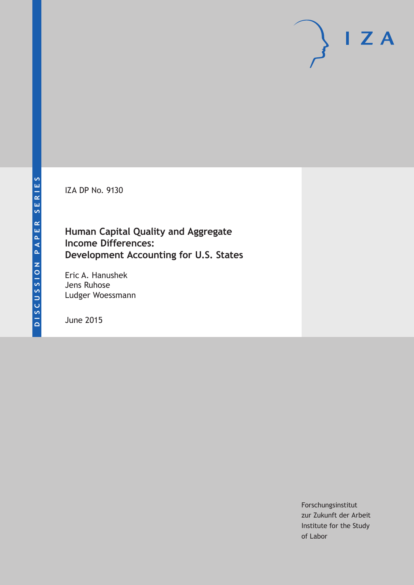IZA DP No. 9130

## **Human Capital Quality and Aggregate Income Differences: Development Accounting for U.S. States**

Eric A. Hanushek Jens Ruhose Ludger Woessmann

June 2015

Forschungsinstitut zur Zukunft der Arbeit Institute for the Study of Labor

 $I Z A$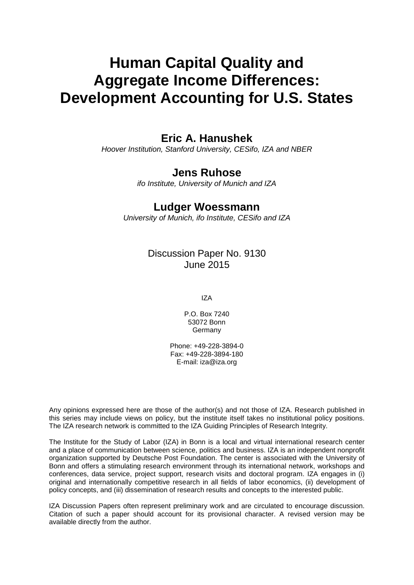# **Human Capital Quality and Aggregate Income Differences: Development Accounting for U.S. States**

**Eric A. Hanushek**

*Hoover Institution, Stanford University, CESifo, IZA and NBER*

### **Jens Ruhose**

*ifo Institute, University of Munich and IZA*

### **Ludger Woessmann**

*University of Munich, ifo Institute, CESifo and IZA*

## Discussion Paper No. 9130 June 2015

IZA

P.O. Box 7240 53072 Bonn **Germany** 

Phone: +49-228-3894-0 Fax: +49-228-3894-180 E-mail: iza@iza.org

Any opinions expressed here are those of the author(s) and not those of IZA. Research published in this series may include views on policy, but the institute itself takes no institutional policy positions. The IZA research network is committed to the IZA Guiding Principles of Research Integrity.

The Institute for the Study of Labor (IZA) in Bonn is a local and virtual international research center and a place of communication between science, politics and business. IZA is an independent nonprofit organization supported by Deutsche Post Foundation. The center is associated with the University of Bonn and offers a stimulating research environment through its international network, workshops and conferences, data service, project support, research visits and doctoral program. IZA engages in (i) original and internationally competitive research in all fields of labor economics, (ii) development of policy concepts, and (iii) dissemination of research results and concepts to the interested public.

<span id="page-1-0"></span>IZA Discussion Papers often represent preliminary work and are circulated to encourage discussion. Citation of such a paper should account for its provisional character. A revised version may be available directly from the author.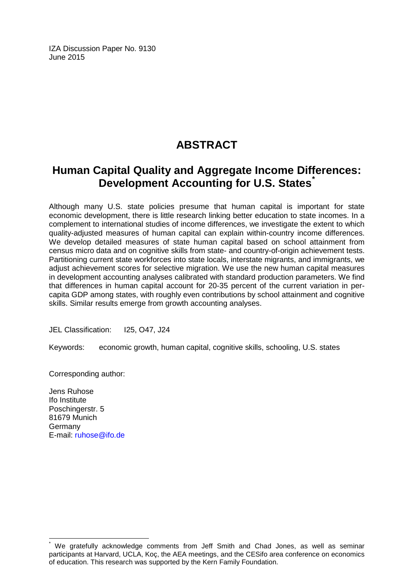IZA Discussion Paper No. 9130 June 2015

## **ABSTRACT**

## **Human Capital Quality and Aggregate Income Differences: Development Accounting for U.S. States[\\*](#page-1-0)**

Although many U.S. state policies presume that human capital is important for state economic development, there is little research linking better education to state incomes. In a complement to international studies of income differences, we investigate the extent to which quality-adjusted measures of human capital can explain within-country income differences. We develop detailed measures of state human capital based on school attainment from census micro data and on cognitive skills from state- and country-of-origin achievement tests. Partitioning current state workforces into state locals, interstate migrants, and immigrants, we adjust achievement scores for selective migration. We use the new human capital measures in development accounting analyses calibrated with standard production parameters. We find that differences in human capital account for 20-35 percent of the current variation in percapita GDP among states, with roughly even contributions by school attainment and cognitive skills. Similar results emerge from growth accounting analyses.

JEL Classification: I25, O47, J24

Keywords: economic growth, human capital, cognitive skills, schooling, U.S. states

Corresponding author:

Jens Ruhose Ifo Institute Poschingerstr. 5 81679 Munich Germany E-mail: [ruhose@ifo.de](mailto:ruhose@ifo.de)

We gratefully acknowledge comments from Jeff Smith and Chad Jones, as well as seminar participants at Harvard, UCLA, Koç, the AEA meetings, and the CESifo area conference on economics of education. This research was supported by the Kern Family Foundation.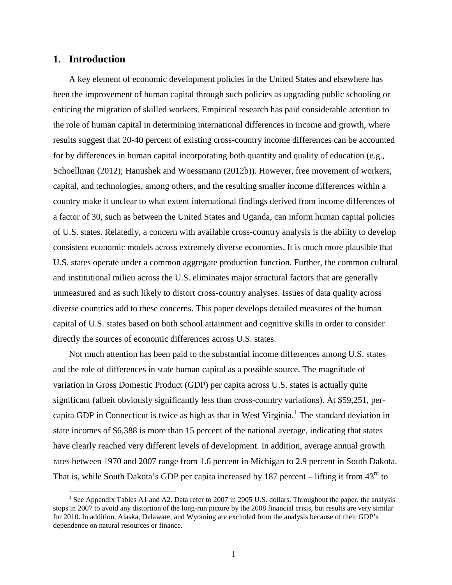#### **1. Introduction**

 $\overline{a}$ 

A key element of economic development policies in the United States and elsewhere has been the improvement of human capital through such policies as upgrading public schooling or enticing the migration of skilled workers. Empirical research has paid considerable attention to the role of human capital in determining international differences in income and growth, where results suggest that 20-40 percent of existing cross-country income differences can be accounted for by differences in human capital incorporating both quantity and quality of education (e.g., [Schoellman \(2012\)](#page-38-0); [Hanushek and Woessmann \(2012b\)](#page-36-0)). However, free movement of workers, capital, and technologies, among others, and the resulting smaller income differences within a country make it unclear to what extent international findings derived from income differences of a factor of 30, such as between the United States and Uganda, can inform human capital policies of U.S. states. Relatedly, a concern with available cross-country analysis is the ability to develop consistent economic models across extremely diverse economies. It is much more plausible that U.S. states operate under a common aggregate production function. Further, the common cultural and institutional milieu across the U.S. eliminates major structural factors that are generally unmeasured and as such likely to distort cross-country analyses. Issues of data quality across diverse countries add to these concerns. This paper develops detailed measures of the human capital of U.S. states based on both school attainment and cognitive skills in order to consider directly the sources of economic differences across U.S. states.

Not much attention has been paid to the substantial income differences among U.S. states and the role of differences in state human capital as a possible source. The magnitude of variation in Gross Domestic Product (GDP) per capita across U.S. states is actually quite significant (albeit obviously significantly less than cross-country variations). At \$59,251, per-capita GDP in Connecticut is twice as high as that in West Virginia.<sup>[1](#page-3-0)</sup> The standard deviation in state incomes of \$6,388 is more than 15 percent of the national average, indicating that states have clearly reached very different levels of development. In addition, average annual growth rates between 1970 and 2007 range from 1.6 percent in Michigan to 2.9 percent in South Dakota. That is, while South Dakota's GDP per capita increased by 187 percent – lifting it from  $43<sup>rd</sup>$  to

<span id="page-3-0"></span><sup>&</sup>lt;sup>1</sup> See Appendix Tables A1 and A2. Data refer to 2007 in 2005 U.S. dollars. Throughout the paper, the analysis stops in 2007 to avoid any distortion of the long-run picture by the 2008 financial crisis, but results are very similar for 2010. In addition, Alaska, Delaware, and Wyoming are excluded from the analysis because of their GDP's dependence on natural resources or finance.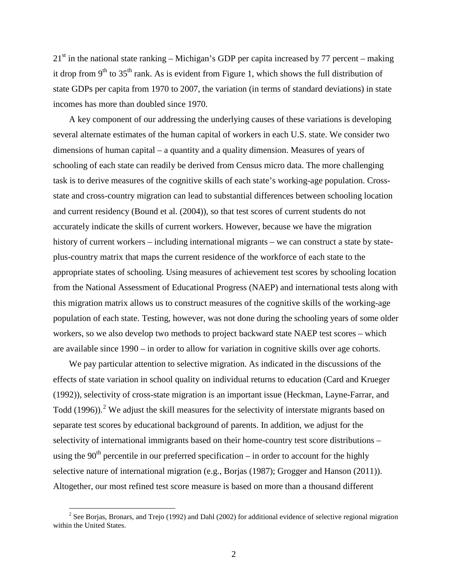$21<sup>st</sup>$  in the national state ranking – Michigan's GDP per capita increased by 77 percent – making it drop from  $9<sup>th</sup>$  to 35<sup>th</sup> rank. As is evident from Figure 1, which shows the full distribution of state GDPs per capita from 1970 to 2007, the variation (in terms of standard deviations) in state incomes has more than doubled since 1970.

A key component of our addressing the underlying causes of these variations is developing several alternate estimates of the human capital of workers in each U.S. state. We consider two dimensions of human capital – a quantity and a quality dimension. Measures of years of schooling of each state can readily be derived from Census micro data. The more challenging task is to derive measures of the cognitive skills of each state's working-age population. Crossstate and cross-country migration can lead to substantial differences between schooling location and current residency [\(Bound et al. \(2004\)](#page-34-0)), so that test scores of current students do not accurately indicate the skills of current workers. However, because we have the migration history of current workers – including international migrants – we can construct a state by stateplus-country matrix that maps the current residence of the workforce of each state to the appropriate states of schooling. Using measures of achievement test scores by schooling location from the National Assessment of Educational Progress (NAEP) and international tests along with this migration matrix allows us to construct measures of the cognitive skills of the working-age population of each state. Testing, however, was not done during the schooling years of some older workers, so we also develop two methods to project backward state NAEP test scores – which are available since 1990 – in order to allow for variation in cognitive skills over age cohorts.

We pay particular attention to selective migration. As indicated in the discussions of the effects of state variation in school quality on individual returns to education [\(Card and Krueger](#page-35-0)  [\(1992\)](#page-35-0)), selectivity of cross-state migration is an important issue [\(Heckman, Layne-Farrar, and](#page-36-1)  Todd  $(1996)$ ).<sup>[2](#page-4-0)</sup> We adjust the skill measures for the selectivity of interstate migrants based on separate test scores by educational background of parents. In addition, we adjust for the selectivity of international immigrants based on their home-country test score distributions – using the  $90<sup>th</sup>$  percentile in our preferred specification – in order to account for the highly selective nature of international migration (e.g., [Borjas \(1987\)](#page-34-1); [Grogger and Hanson \(2011\)](#page-36-2)). Altogether, our most refined test score measure is based on more than a thousand different

 $\overline{a}$ 

<span id="page-4-0"></span> $2^2$  See [Borjas, Bronars, and Trejo \(1992\)](#page-34-2) and [Dahl \(2002\)](#page-35-1) for additional evidence of selective regional migration within the United States.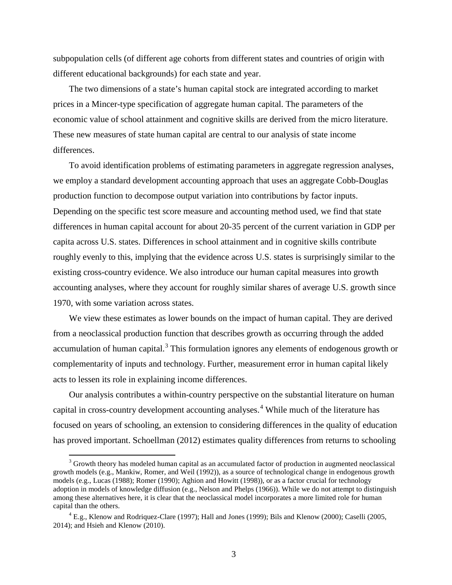subpopulation cells (of different age cohorts from different states and countries of origin with different educational backgrounds) for each state and year.

The two dimensions of a state's human capital stock are integrated according to market prices in a Mincer-type specification of aggregate human capital. The parameters of the economic value of school attainment and cognitive skills are derived from the micro literature. These new measures of state human capital are central to our analysis of state income differences.

To avoid identification problems of estimating parameters in aggregate regression analyses, we employ a standard development accounting approach that uses an aggregate Cobb-Douglas production function to decompose output variation into contributions by factor inputs. Depending on the specific test score measure and accounting method used, we find that state differences in human capital account for about 20-35 percent of the current variation in GDP per capita across U.S. states. Differences in school attainment and in cognitive skills contribute roughly evenly to this, implying that the evidence across U.S. states is surprisingly similar to the existing cross-country evidence. We also introduce our human capital measures into growth accounting analyses, where they account for roughly similar shares of average U.S. growth since 1970, with some variation across states.

We view these estimates as lower bounds on the impact of human capital. They are derived from a neoclassical production function that describes growth as occurring through the added accumulation of human capital.<sup>[3](#page-5-0)</sup> This formulation ignores any elements of endogenous growth or complementarity of inputs and technology. Further, measurement error in human capital likely acts to lessen its role in explaining income differences.

Our analysis contributes a within-country perspective on the substantial literature on human capital in cross-country development accounting analyses.<sup>[4](#page-5-1)</sup> While much of the literature has focused on years of schooling, an extension to considering differences in the quality of education has proved important. [Schoellman \(2012\)](#page-38-0) estimates quality differences from returns to schooling

 $\overline{a}$ 

<span id="page-5-0"></span><sup>&</sup>lt;sup>3</sup> Growth theory has modeled human capital as an accumulated factor of production in augmented neoclassical growth models (e.g., [Mankiw, Romer, and Weil \(1992\)](#page-37-0)), as a source of technological change in endogenous growth models (e.g., [Lucas \(1988\)](#page-37-1)[; Romer \(1990\)](#page-38-1); [Aghion and Howitt \(1998\)](#page-34-3)), or as a factor crucial for technology adoption in models of knowledge diffusion (e.g.[, Nelson and Phelps \(1966\)](#page-38-2)). While we do not attempt to distinguish among these alternatives here, it is clear that the neoclassical model incorporates a more limited role for human capital than the others.

<span id="page-5-1"></span><sup>4</sup> E.g., [Klenow and Rodriquez-Clare \(1997\)](#page-37-2)[; Hall and Jones \(1999\)](#page-36-3); [Bils and Klenow \(2000\)](#page-34-4)[; Caselli \(2005,](#page-35-2) [2014\)](#page-35-3); an[d Hsieh and Klenow \(2010\)](#page-37-3).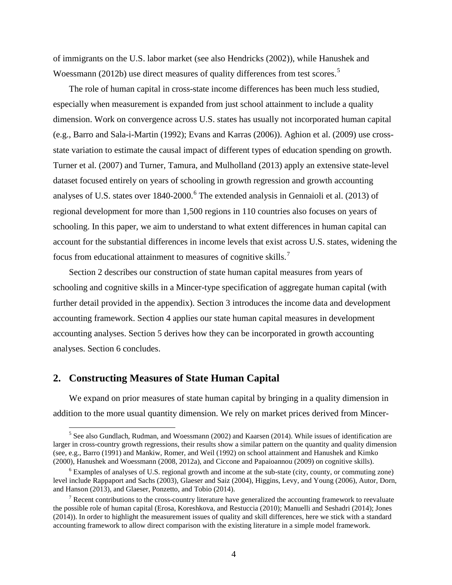of immigrants on the U.S. labor market (see also [Hendricks \(2002\)](#page-37-4)), while [Hanushek and](#page-36-0)  [Woessmann \(2012b\)](#page-36-0) use direct measures of quality differences from test scores.<sup>[5](#page-6-0)</sup>

The role of human capital in cross-state income differences has been much less studied, especially when measurement is expanded from just school attainment to include a quality dimension. Work on convergence across U.S. states has usually not incorporated human capital (e.g., [Barro and Sala-i-Martin \(1992\)](#page-34-5); [Evans and Karras \(2006\)](#page-35-4)). [Aghion et al. \(2009\)](#page-34-6) use crossstate variation to estimate the causal impact of different types of education spending on growth. [Turner et al. \(2007\)](#page-38-3) and [Turner, Tamura, and Mulholland \(2013\)](#page-38-4) apply an extensive state-level dataset focused entirely on years of schooling in growth regression and growth accounting analyses of U.S. states over 1840-2000.<sup>[6](#page-6-1)</sup> The extended analysis in [Gennaioli et al. \(2013\)](#page-35-5) of regional development for more than 1,500 regions in 110 countries also focuses on years of schooling. In this paper, we aim to understand to what extent differences in human capital can account for the substantial differences in income levels that exist across U.S. states, widening the focus from educational attainment to measures of cognitive skills.[7](#page-6-2)

Section 2 describes our construction of state human capital measures from years of schooling and cognitive skills in a Mincer-type specification of aggregate human capital (with further detail provided in the appendix). Section 3 introduces the income data and development accounting framework. Section 4 applies our state human capital measures in development accounting analyses. Section 5 derives how they can be incorporated in growth accounting analyses. Section 6 concludes.

#### **2. Constructing Measures of State Human Capital**

 $\overline{a}$ 

We expand on prior measures of state human capital by bringing in a quality dimension in addition to the more usual quantity dimension. We rely on market prices derived from Mincer-

<span id="page-6-0"></span> $<sup>5</sup>$  See also [Gundlach, Rudman, and Woessmann \(2002\)](#page-36-4) and [Kaarsen \(2014\)](#page-37-5). While issues of identification are</sup> larger in cross-country growth regressions, their results show a similar pattern on the quantity and quality dimension (see, e.g.[, Barro \(1991\)](#page-34-7) and [Mankiw, Romer, and Weil \(1992\)](#page-37-0) on school attainment and [Hanushek and Kimko](#page-36-5)  [\(2000\)](#page-36-5)[, Hanushek and Woessmann \(2008,](#page-36-6) [2012a\)](#page-36-7), and [Ciccone and Papaioannou \(2009\)](#page-35-6) on cognitive skills).

<span id="page-6-1"></span> $6$  Examples of analyses of U.S. regional growth and income at the sub-state (city, county, or commuting zone) level include [Rappaport and Sachs \(2003\)](#page-38-5)[, Glaeser and Saiz \(2004\)](#page-36-8), [Higgins, Levy, and Young \(2006\)](#page-37-6)[, Autor, Dorn,](#page-34-8) and Hanson (2013), and Glaeser, Ponzetto, and Tobio (2014).

<span id="page-6-2"></span> $\alpha$ <sup>[7](#page-34-8)</sup> Recent contributions to the cross-country literature have generalized the accounting framework to reevaluate the possible role of human capital [\(Erosa, Koreshkova, and Restuccia \(2010\)](#page-35-8)[; Manuelli and Seshadri \(2014\)](#page-37-7); [Jones](#page-37-8)  [\(2014\)](#page-37-8)). In order to highlight the measurement issues of quality and skill differences, here we stick with a standard accounting framework to allow direct comparison with the existing literature in a simple model framework.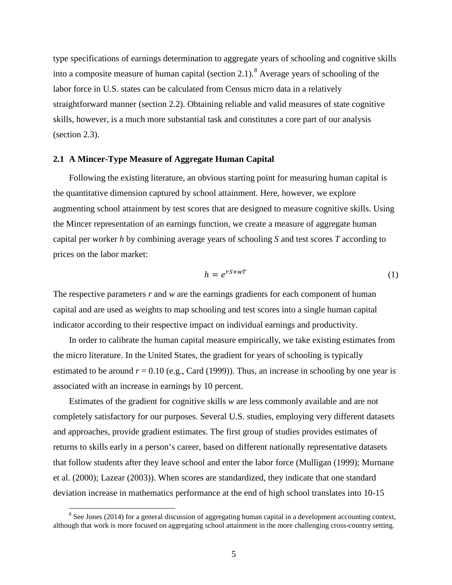type specifications of earnings determination to aggregate years of schooling and cognitive skills into a composite measure of human capital (section 2.1).<sup>[8](#page-7-0)</sup> Average years of schooling of the labor force in U.S. states can be calculated from Census micro data in a relatively straightforward manner (section 2.2). Obtaining reliable and valid measures of state cognitive skills, however, is a much more substantial task and constitutes a core part of our analysis (section 2.3).

#### **2.1 A Mincer-Type Measure of Aggregate Human Capital**

Following the existing literature, an obvious starting point for measuring human capital is the quantitative dimension captured by school attainment. Here, however, we explore augmenting school attainment by test scores that are designed to measure cognitive skills. Using the Mincer representation of an earnings function, we create a measure of aggregate human capital per worker *h* by combining average years of schooling *S* and test scores *T* according to prices on the labor market:

$$
h = e^{rS + wT} \tag{1}
$$

The respective parameters *r* and *w* are the earnings gradients for each component of human capital and are used as weights to map schooling and test scores into a single human capital indicator according to their respective impact on individual earnings and productivity.

In order to calibrate the human capital measure empirically, we take existing estimates from the micro literature. In the United States, the gradient for years of schooling is typically estimated to be around  $r = 0.10$  (e.g., [Card \(1999\)](#page-35-9)). Thus, an increase in schooling by one year is associated with an increase in earnings by 10 percent.

Estimates of the gradient for cognitive skills *w* are less commonly available and are not completely satisfactory for our purposes. Several U.S. studies, employing very different datasets and approaches, provide gradient estimates. The first group of studies provides estimates of returns to skills early in a person's career, based on different nationally representative datasets that follow students after they leave school and enter the labor force [\(Mulligan \(1999\)](#page-37-9); [Murnane](#page-37-10)  [et al. \(2000\)](#page-37-10); [Lazear \(2003\)](#page-37-11)). When scores are standardized, they indicate that one standard deviation increase in mathematics performance at the end of high school translates into 10-15

 $\overline{a}$ 

<span id="page-7-0"></span> $8$  See [Jones \(2014\)](#page-37-8) for a general discussion of aggregating human capital in a development accounting context, although that work is more focused on aggregating school attainment in the more challenging cross-country setting.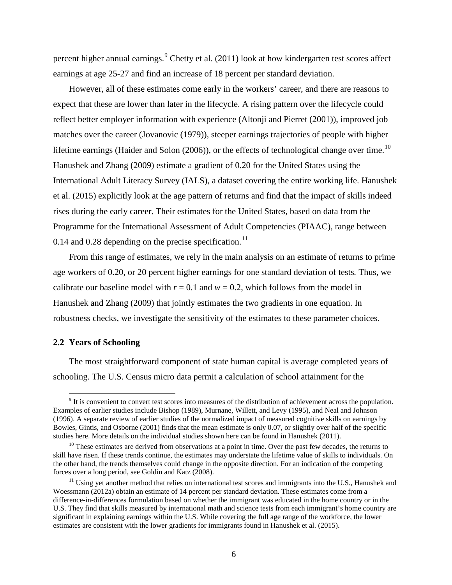percent higher annual earnings.<sup>[9](#page-8-0)</sup> Chetty et al.  $(2011)$  look at how kindergarten test scores affect earnings at age 25-27 and find an increase of 18 percent per standard deviation.

However, all of these estimates come early in the workers' career, and there are reasons to expect that these are lower than later in the lifecycle. A rising pattern over the lifecycle could reflect better employer information with experience [\(Altonji and Pierret \(2001\)](#page-34-9)), improved job matches over the career [\(Jovanovic \(1979\)](#page-37-12)), steeper earnings trajectories of people with higher lifetime earnings [\(Haider and Solon \(2006\)](#page-36-9)), or the effects of technological change over time.<sup>[10](#page-8-1)</sup> [Hanushek and Zhang \(2009\)](#page-36-10) estimate a gradient of 0.20 for the United States using the International Adult Literacy Survey (IALS), a dataset covering the entire working life. [Hanushek](#page-36-11)  [et al. \(2015\)](#page-36-11) explicitly look at the age pattern of returns and find that the impact of skills indeed rises during the early career. Their estimates for the United States, based on data from the Programme for the International Assessment of Adult Competencies (PIAAC), range between 0.14 and 0.28 depending on the precise specification.<sup>[11](#page-8-2)</sup>

From this range of estimates, we rely in the main analysis on an estimate of returns to prime age workers of 0.20, or 20 percent higher earnings for one standard deviation of tests*.* Thus, we calibrate our baseline model with  $r = 0.1$  and  $w = 0.2$ , which follows from the model in [Hanushek and Zhang \(2009\)](#page-36-10) that jointly estimates the two gradients in one equation. In robustness checks, we investigate the sensitivity of the estimates to these parameter choices.

#### **2.2 Years of Schooling**

 $\overline{a}$ 

The most straightforward component of state human capital is average completed years of schooling. The U.S. Census micro data permit a calculation of school attainment for the

<span id="page-8-0"></span> $9<sup>9</sup>$  It is convenient to convert test scores into measures of the distribution of achievement across the population. Examples of earlier studies include [Bishop \(1989\)](#page-34-10)[, Murnane, Willett, and Levy \(1995\)](#page-37-13), and [Neal and Johnson](#page-38-6)  [\(1996\)](#page-38-6). A separate review of earlier studies of the normalized impact of measured cognitive skills on earnings by [Bowles, Gintis, and Osborne \(2001\)](#page-34-11) finds that the mean estimate is only 0.07, or slightly over half of the specific studies here. More details on the individual studies shown here can be found i[n Hanushek \(2011\)](#page-36-12).

<span id="page-8-1"></span><sup>&</sup>lt;sup>10</sup> These estimates are derived from observations at a point in time. Over the past few decades, the returns to skill have risen. If these trends continue, the estimates may understate the lifetime value of skills to individuals. On the other hand, the trends themselves could change in the opposite direction. For an indication of the competing forces over a long period, see [Goldin and Katz \(2008\)](#page-36-13).

<span id="page-8-2"></span> $11$  Using yet another method that relies on international test scores and immigrants into the U.S., Hanushek and [Woessmann \(2012a\)](#page-36-7) obtain an estimate of 14 percent per standard deviation. These estimates come from a difference-in-differences formulation based on whether the immigrant was educated in the home country or in the U.S. They find that skills measured by international math and science tests from each immigrant's home country are significant in explaining earnings within the U.S. While covering the full age range of the workforce, the lower estimates are consistent with the lower gradients for immigrants found i[n Hanushek et al. \(2015\)](#page-36-11).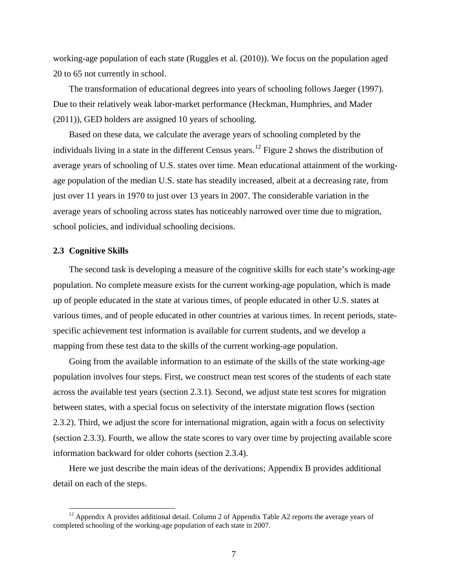working-age population of each state [\(Ruggles et al. \(2010\)](#page-38-7)). We focus on the population aged 20 to 65 not currently in school.

The transformation of educational degrees into years of schooling follows [Jaeger \(1997\)](#page-37-14). Due to their relatively weak labor-market performance [\(Heckman, Humphries, and Mader](#page-36-14)  [\(2011\)](#page-36-14)), GED holders are assigned 10 years of schooling.

Based on these data, we calculate the average years of schooling completed by the individuals living in a state in the different Census years. [12](#page-9-0) Figure 2 shows the distribution of average years of schooling of U.S. states over time. Mean educational attainment of the workingage population of the median U.S. state has steadily increased, albeit at a decreasing rate, from just over 11 years in 1970 to just over 13 years in 2007. The considerable variation in the average years of schooling across states has noticeably narrowed over time due to migration, school policies, and individual schooling decisions.

#### **2.3 Cognitive Skills**

 $\overline{a}$ 

The second task is developing a measure of the cognitive skills for each state's working-age population. No complete measure exists for the current working-age population, which is made up of people educated in the state at various times, of people educated in other U.S. states at various times, and of people educated in other countries at various times. In recent periods, statespecific achievement test information is available for current students, and we develop a mapping from these test data to the skills of the current working-age population.

Going from the available information to an estimate of the skills of the state working-age population involves four steps. First, we construct mean test scores of the students of each state across the available test years (section 2.3.1). Second, we adjust state test scores for migration between states, with a special focus on selectivity of the interstate migration flows (section 2.3.2). Third, we adjust the score for international migration, again with a focus on selectivity (section 2.3.3). Fourth, we allow the state scores to vary over time by projecting available score information backward for older cohorts (section 2.3.4).

Here we just describe the main ideas of the derivations; Appendix B provides additional detail on each of the steps.

<span id="page-9-0"></span> $12$  Appendix A provides additional detail. Column 2 of Appendix Table A2 reports the average years of completed schooling of the working-age population of each state in 2007.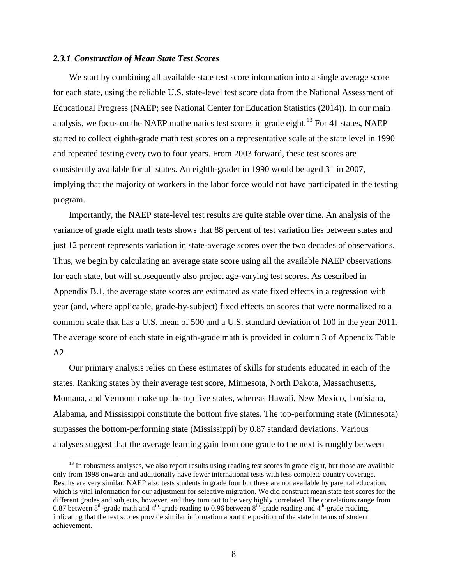#### *2.3.1 Construction of Mean State Test Scores*

 $\overline{a}$ 

We start by combining all available state test score information into a single average score for each state, using the reliable U.S. state-level test score data from the National Assessment of Educational Progress (NAEP; see National [Center for Education Statistics \(2014\)](#page-38-8)). In our main analysis, we focus on the NAEP mathematics test scores in grade eight.<sup>[13](#page-10-0)</sup> For 41 states, NAEP started to collect eighth-grade math test scores on a representative scale at the state level in 1990 and repeated testing every two to four years. From 2003 forward, these test scores are consistently available for all states. An eighth-grader in 1990 would be aged 31 in 2007, implying that the majority of workers in the labor force would not have participated in the testing program.

Importantly, the NAEP state-level test results are quite stable over time. An analysis of the variance of grade eight math tests shows that 88 percent of test variation lies between states and just 12 percent represents variation in state-average scores over the two decades of observations. Thus, we begin by calculating an average state score using all the available NAEP observations for each state, but will subsequently also project age-varying test scores. As described in Appendix B.1, the average state scores are estimated as state fixed effects in a regression with year (and, where applicable, grade-by-subject) fixed effects on scores that were normalized to a common scale that has a U.S. mean of 500 and a U.S. standard deviation of 100 in the year 2011. The average score of each state in eighth-grade math is provided in column 3 of Appendix Table A2.

Our primary analysis relies on these estimates of skills for students educated in each of the states. Ranking states by their average test score, Minnesota, North Dakota, Massachusetts, Montana, and Vermont make up the top five states, whereas Hawaii, New Mexico, Louisiana, Alabama, and Mississippi constitute the bottom five states. The top-performing state (Minnesota) surpasses the bottom-performing state (Mississippi) by 0.87 standard deviations. Various analyses suggest that the average learning gain from one grade to the next is roughly between

<span id="page-10-0"></span> $<sup>13</sup>$  In robustness analyses, we also report results using reading test scores in grade eight, but those are available</sup> only from 1998 onwards and additionally have fewer international tests with less complete country coverage. Results are very similar. NAEP also tests students in grade four but these are not available by parental education, which is vital information for our adjustment for selective migration. We did construct mean state test scores for the different grades and subjects, however, and they turn out to be very highly correlated. The correlations range from 0.87 between  $8<sup>th</sup>$ -grade math and  $4<sup>th</sup>$ -grade reading to 0.96 between  $8<sup>th</sup>$ -grade reading and  $4<sup>th</sup>$ -grade reading, indicating that the test scores provide similar information about the position of the state in terms of student achievement.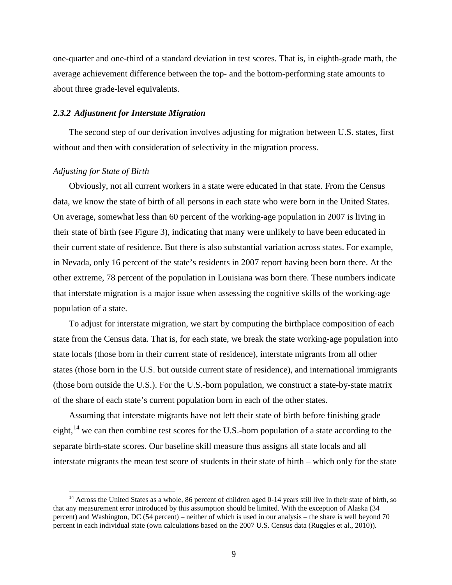one-quarter and one-third of a standard deviation in test scores. That is, in eighth-grade math, the average achievement difference between the top- and the bottom-performing state amounts to about three grade-level equivalents.

#### *2.3.2 Adjustment for Interstate Migration*

The second step of our derivation involves adjusting for migration between U.S. states, first without and then with consideration of selectivity in the migration process.

#### *Adjusting for State of Birth*

 $\overline{a}$ 

Obviously, not all current workers in a state were educated in that state. From the Census data, we know the state of birth of all persons in each state who were born in the United States. On average, somewhat less than 60 percent of the working-age population in 2007 is living in their state of birth (see Figure 3), indicating that many were unlikely to have been educated in their current state of residence. But there is also substantial variation across states. For example, in Nevada, only 16 percent of the state's residents in 2007 report having been born there. At the other extreme, 78 percent of the population in Louisiana was born there. These numbers indicate that interstate migration is a major issue when assessing the cognitive skills of the working-age population of a state.

To adjust for interstate migration, we start by computing the birthplace composition of each state from the Census data. That is, for each state, we break the state working-age population into state locals (those born in their current state of residence), interstate migrants from all other states (those born in the U.S. but outside current state of residence), and international immigrants (those born outside the U.S.). For the U.S.-born population, we construct a state-by-state matrix of the share of each state's current population born in each of the other states.

Assuming that interstate migrants have not left their state of birth before finishing grade eight,<sup>[14](#page-11-0)</sup> we can then combine test scores for the U.S.-born population of a state according to the separate birth-state scores. Our baseline skill measure thus assigns all state locals and all interstate migrants the mean test score of students in their state of birth – which only for the state

<span id="page-11-0"></span><sup>&</sup>lt;sup>14</sup> Across the United States as a whole, 86 percent of children aged 0-14 years still live in their state of birth, so that any measurement error introduced by this assumption should be limited. With the exception of Alaska (34 percent) and Washington, DC (54 percent) – neither of which is used in our analysis – the share is well beyond 70 percent in each individual state (own calculations based on the 2007 U.S. Census data (Ruggles et al., 2010)).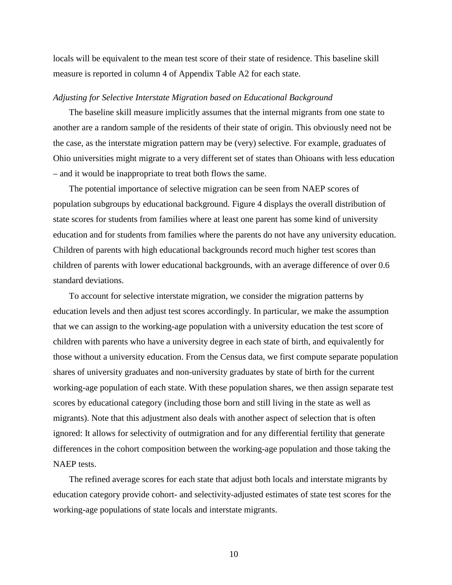locals will be equivalent to the mean test score of their state of residence. This baseline skill measure is reported in column 4 of Appendix Table A2 for each state.

#### *Adjusting for Selective Interstate Migration based on Educational Background*

The baseline skill measure implicitly assumes that the internal migrants from one state to another are a random sample of the residents of their state of origin. This obviously need not be the case, as the interstate migration pattern may be (very) selective. For example, graduates of Ohio universities might migrate to a very different set of states than Ohioans with less education – and it would be inappropriate to treat both flows the same.

The potential importance of selective migration can be seen from NAEP scores of population subgroups by educational background. Figure 4 displays the overall distribution of state scores for students from families where at least one parent has some kind of university education and for students from families where the parents do not have any university education. Children of parents with high educational backgrounds record much higher test scores than children of parents with lower educational backgrounds, with an average difference of over 0.6 standard deviations.

To account for selective interstate migration, we consider the migration patterns by education levels and then adjust test scores accordingly. In particular, we make the assumption that we can assign to the working-age population with a university education the test score of children with parents who have a university degree in each state of birth, and equivalently for those without a university education. From the Census data, we first compute separate population shares of university graduates and non-university graduates by state of birth for the current working-age population of each state. With these population shares, we then assign separate test scores by educational category (including those born and still living in the state as well as migrants). Note that this adjustment also deals with another aspect of selection that is often ignored: It allows for selectivity of outmigration and for any differential fertility that generate differences in the cohort composition between the working-age population and those taking the NAEP tests.

The refined average scores for each state that adjust both locals and interstate migrants by education category provide cohort- and selectivity-adjusted estimates of state test scores for the working-age populations of state locals and interstate migrants.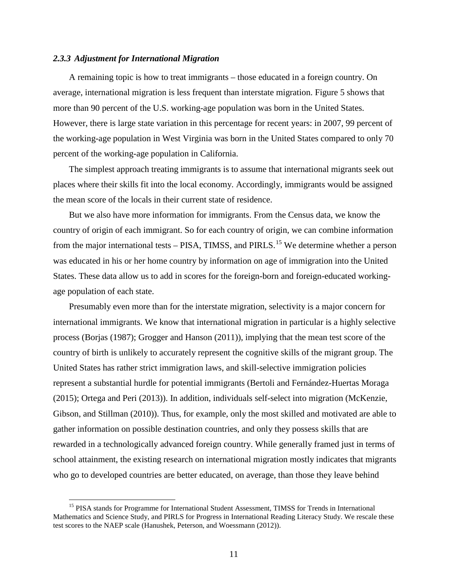#### *2.3.3 Adjustment for International Migration*

 $\overline{a}$ 

A remaining topic is how to treat immigrants – those educated in a foreign country. On average, international migration is less frequent than interstate migration. Figure 5 shows that more than 90 percent of the U.S. working-age population was born in the United States. However, there is large state variation in this percentage for recent years: in 2007, 99 percent of the working-age population in West Virginia was born in the United States compared to only 70 percent of the working-age population in California.

The simplest approach treating immigrants is to assume that international migrants seek out places where their skills fit into the local economy. Accordingly, immigrants would be assigned the mean score of the locals in their current state of residence.

But we also have more information for immigrants. From the Census data, we know the country of origin of each immigrant. So for each country of origin, we can combine information from the major international tests – PISA, TIMSS, and PIRLS.<sup>[15](#page-13-0)</sup> We determine whether a person was educated in his or her home country by information on age of immigration into the United States. These data allow us to add in scores for the foreign-born and foreign-educated workingage population of each state.

Presumably even more than for the interstate migration, selectivity is a major concern for international immigrants. We know that international migration in particular is a highly selective process [\(Borjas \(1987\)](#page-34-1); [Grogger and Hanson \(2011\)](#page-36-2)), implying that the mean test score of the country of birth is unlikely to accurately represent the cognitive skills of the migrant group. The United States has rather strict immigration laws, and skill-selective immigration policies represent a substantial hurdle for potential immigrants [\(Bertoli and Fernández-Huertas Moraga](#page-34-12)  [\(2015\)](#page-34-12); [Ortega and Peri \(2013\)](#page-38-9)). In addition, individuals self-select into migration [\(McKenzie,](#page-37-15)  [Gibson, and Stillman \(2010\)](#page-37-15)). Thus, for example, only the most skilled and motivated are able to gather information on possible destination countries, and only they possess skills that are rewarded in a technologically advanced foreign country. While generally framed just in terms of school attainment, the existing research on international migration mostly indicates that migrants who go to developed countries are better educated, on average, than those they leave behind

<span id="page-13-0"></span><sup>&</sup>lt;sup>15</sup> PISA stands for Programme for International Student Assessment, TIMSS for Trends in International Mathematics and Science Study, and PIRLS for Progress in International Reading Literacy Study. We rescale these test scores to the NAEP scale [\(Hanushek, Peterson, and Woessmann \(2012\)](#page-36-15)).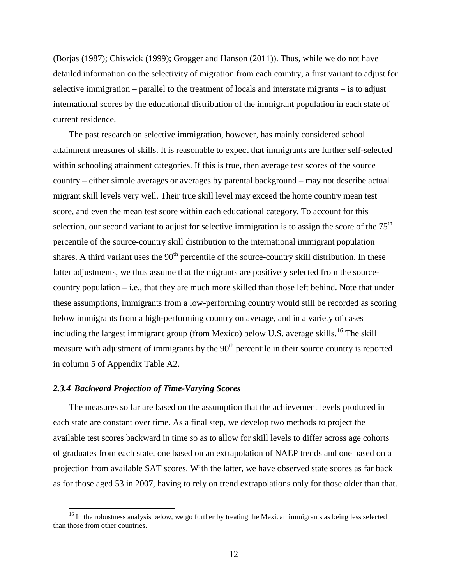[\(Borjas \(1987\)](#page-34-1); [Chiswick \(1999\)](#page-35-11); [Grogger and Hanson \(2011\)](#page-36-2)). Thus, while we do not have detailed information on the selectivity of migration from each country, a first variant to adjust for selective immigration – parallel to the treatment of locals and interstate migrants – is to adjust international scores by the educational distribution of the immigrant population in each state of current residence.

The past research on selective immigration, however, has mainly considered school attainment measures of skills. It is reasonable to expect that immigrants are further self-selected within schooling attainment categories. If this is true, then average test scores of the source country – either simple averages or averages by parental background – may not describe actual migrant skill levels very well. Their true skill level may exceed the home country mean test score, and even the mean test score within each educational category. To account for this selection, our second variant to adjust for selective immigration is to assign the score of the  $75<sup>th</sup>$ percentile of the source-country skill distribution to the international immigrant population shares. A third variant uses the 90<sup>th</sup> percentile of the source-country skill distribution. In these latter adjustments, we thus assume that the migrants are positively selected from the sourcecountry population – i.e., that they are much more skilled than those left behind. Note that under these assumptions, immigrants from a low-performing country would still be recorded as scoring below immigrants from a high-performing country on average, and in a variety of cases including the largest immigrant group (from Mexico) below U.S. average skills.<sup>[16](#page-14-0)</sup> The skill measure with adjustment of immigrants by the  $90<sup>th</sup>$  percentile in their source country is reported in column 5 of Appendix Table A2.

#### *2.3.4 Backward Projection of Time-Varying Scores*

 $\overline{a}$ 

The measures so far are based on the assumption that the achievement levels produced in each state are constant over time. As a final step, we develop two methods to project the available test scores backward in time so as to allow for skill levels to differ across age cohorts of graduates from each state, one based on an extrapolation of NAEP trends and one based on a projection from available SAT scores. With the latter, we have observed state scores as far back as for those aged 53 in 2007, having to rely on trend extrapolations only for those older than that.

<span id="page-14-0"></span><sup>&</sup>lt;sup>16</sup> In the robustness analysis below, we go further by treating the Mexican immigrants as being less selected than those from other countries.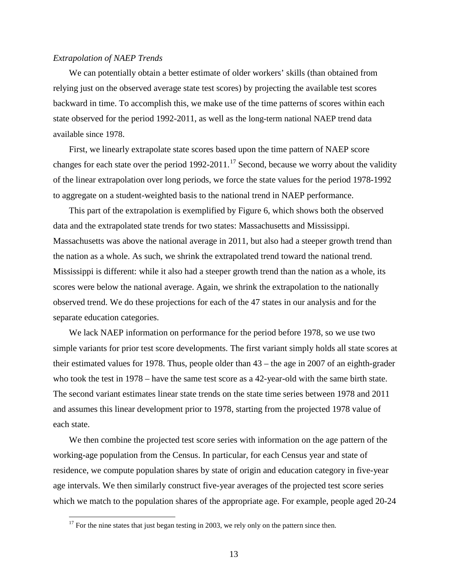#### *Extrapolation of NAEP Trends*

 $\overline{a}$ 

We can potentially obtain a better estimate of older workers' skills (than obtained from relying just on the observed average state test scores) by projecting the available test scores backward in time. To accomplish this, we make use of the time patterns of scores within each state observed for the period 1992-2011, as well as the long-term national NAEP trend data available since 1978.

First, we linearly extrapolate state scores based upon the time pattern of NAEP score changes for each state over the period  $1992-2011$ .<sup>[17](#page-15-0)</sup> Second, because we worry about the validity of the linear extrapolation over long periods, we force the state values for the period 1978-1992 to aggregate on a student-weighted basis to the national trend in NAEP performance.

This part of the extrapolation is exemplified by Figure 6, which shows both the observed data and the extrapolated state trends for two states: Massachusetts and Mississippi. Massachusetts was above the national average in 2011, but also had a steeper growth trend than the nation as a whole. As such, we shrink the extrapolated trend toward the national trend. Mississippi is different: while it also had a steeper growth trend than the nation as a whole, its scores were below the national average. Again, we shrink the extrapolation to the nationally observed trend. We do these projections for each of the 47 states in our analysis and for the separate education categories.

We lack NAEP information on performance for the period before 1978, so we use two simple variants for prior test score developments. The first variant simply holds all state scores at their estimated values for 1978. Thus, people older than 43 – the age in 2007 of an eighth-grader who took the test in 1978 – have the same test score as a 42-year-old with the same birth state. The second variant estimates linear state trends on the state time series between 1978 and 2011 and assumes this linear development prior to 1978, starting from the projected 1978 value of each state.

We then combine the projected test score series with information on the age pattern of the working-age population from the Census. In particular, for each Census year and state of residence, we compute population shares by state of origin and education category in five-year age intervals. We then similarly construct five-year averages of the projected test score series which we match to the population shares of the appropriate age. For example, people aged 20-24

<span id="page-15-0"></span> $17$  For the nine states that just began testing in 2003, we rely only on the pattern since then.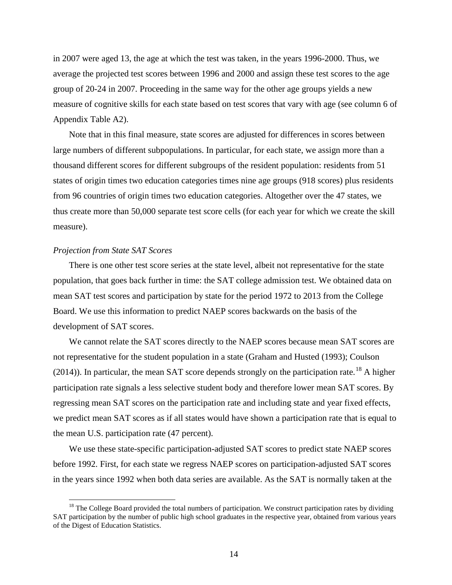in 2007 were aged 13, the age at which the test was taken, in the years 1996-2000. Thus, we average the projected test scores between 1996 and 2000 and assign these test scores to the age group of 20-24 in 2007. Proceeding in the same way for the other age groups yields a new measure of cognitive skills for each state based on test scores that vary with age (see column 6 of Appendix Table A2).

Note that in this final measure, state scores are adjusted for differences in scores between large numbers of different subpopulations. In particular, for each state, we assign more than a thousand different scores for different subgroups of the resident population: residents from 51 states of origin times two education categories times nine age groups (918 scores) plus residents from 96 countries of origin times two education categories. Altogether over the 47 states, we thus create more than 50,000 separate test score cells (for each year for which we create the skill measure).

#### *Projection from State SAT Scores*

 $\overline{a}$ 

There is one other test score series at the state level, albeit not representative for the state population, that goes back further in time: the SAT college admission test. We obtained data on mean SAT test scores and participation by state for the period 1972 to 2013 from the College Board. We use this information to predict NAEP scores backwards on the basis of the development of SAT scores.

We cannot relate the SAT scores directly to the NAEP scores because mean SAT scores are not representative for the student population in a state [\(Graham and Husted \(1993\)](#page-36-16); [Coulson](#page-35-12)  [\(2014\)](#page-35-12)). In particular, the mean SAT score depends strongly on the participation rate.<sup>[18](#page-16-0)</sup> A higher participation rate signals a less selective student body and therefore lower mean SAT scores. By regressing mean SAT scores on the participation rate and including state and year fixed effects, we predict mean SAT scores as if all states would have shown a participation rate that is equal to the mean U.S. participation rate (47 percent).

We use these state-specific participation-adjusted SAT scores to predict state NAEP scores before 1992. First, for each state we regress NAEP scores on participation-adjusted SAT scores in the years since 1992 when both data series are available. As the SAT is normally taken at the

<span id="page-16-0"></span> $18$  The College Board provided the total numbers of participation. We construct participation rates by dividing SAT participation by the number of public high school graduates in the respective year, obtained from various years of the Digest of Education Statistics.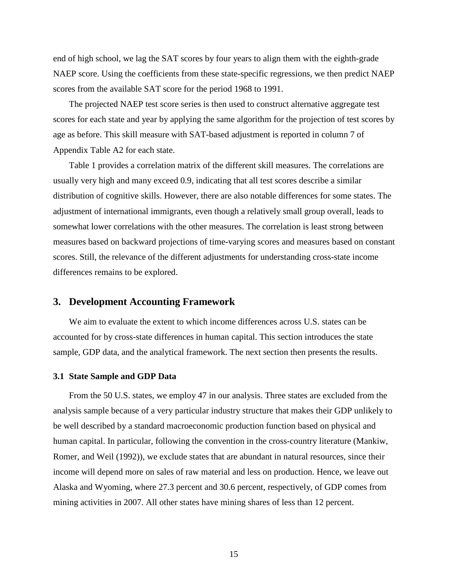end of high school, we lag the SAT scores by four years to align them with the eighth-grade NAEP score. Using the coefficients from these state-specific regressions, we then predict NAEP scores from the available SAT score for the period 1968 to 1991.

The projected NAEP test score series is then used to construct alternative aggregate test scores for each state and year by applying the same algorithm for the projection of test scores by age as before. This skill measure with SAT-based adjustment is reported in column 7 of Appendix Table A2 for each state.

Table 1 provides a correlation matrix of the different skill measures. The correlations are usually very high and many exceed 0.9, indicating that all test scores describe a similar distribution of cognitive skills. However, there are also notable differences for some states. The adjustment of international immigrants, even though a relatively small group overall, leads to somewhat lower correlations with the other measures. The correlation is least strong between measures based on backward projections of time-varying scores and measures based on constant scores. Still, the relevance of the different adjustments for understanding cross-state income differences remains to be explored.

#### **3. Development Accounting Framework**

We aim to evaluate the extent to which income differences across U.S. states can be accounted for by cross-state differences in human capital. This section introduces the state sample, GDP data, and the analytical framework. The next section then presents the results.

#### **3.1 State Sample and GDP Data**

From the 50 U.S. states, we employ 47 in our analysis. Three states are excluded from the analysis sample because of a very particular industry structure that makes their GDP unlikely to be well described by a standard macroeconomic production function based on physical and human capital. In particular, following the convention in the cross-country literature [\(Mankiw,](#page-37-0)  [Romer, and Weil \(1992\)](#page-37-0)), we exclude states that are abundant in natural resources, since their income will depend more on sales of raw material and less on production. Hence, we leave out Alaska and Wyoming, where 27.3 percent and 30.6 percent, respectively, of GDP comes from mining activities in 2007. All other states have mining shares of less than 12 percent.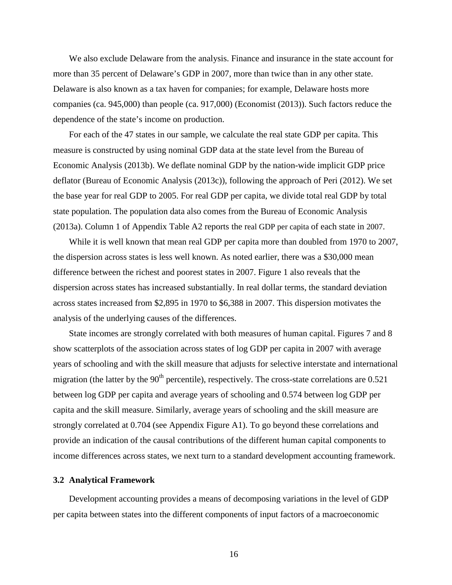We also exclude Delaware from the analysis. Finance and insurance in the state account for more than 35 percent of Delaware's GDP in 2007, more than twice than in any other state. Delaware is also known as a tax haven for companies; for example, Delaware hosts more companies (ca. 945,000) than people (ca. 917,000) [\(Economist \(2013\)](#page-35-13)). Such factors reduce the dependence of the state's income on production.

For each of the 47 states in our sample, we calculate the real state GDP per capita. This measure is constructed by using nominal GDP data at the state level from the [Bureau of](#page-34-13)  [Economic Analysis \(2013b\)](#page-34-13). We deflate nominal GDP by the nation-wide implicit GDP price deflator [\(Bureau of Economic Analysis \(2013c\)](#page-34-14)), following the approach of [Peri \(2012\)](#page-38-10). We set the base year for real GDP to 2005. For real GDP per capita, we divide total real GDP by total state population. The population data also comes from the [Bureau of Economic Analysis](#page-34-15)  [\(2013a\)](#page-34-15). Column 1 of Appendix Table A2 reports the real GDP per capita of each state in 2007.

While it is well known that mean real GDP per capita more than doubled from 1970 to 2007, the dispersion across states is less well known. As noted earlier, there was a \$30,000 mean difference between the richest and poorest states in 2007. Figure 1 also reveals that the dispersion across states has increased substantially. In real dollar terms, the standard deviation across states increased from \$2,895 in 1970 to \$6,388 in 2007. This dispersion motivates the analysis of the underlying causes of the differences.

State incomes are strongly correlated with both measures of human capital. Figures 7 and 8 show scatterplots of the association across states of log GDP per capita in 2007 with average years of schooling and with the skill measure that adjusts for selective interstate and international migration (the latter by the  $90<sup>th</sup>$  percentile), respectively. The cross-state correlations are 0.521 between log GDP per capita and average years of schooling and 0.574 between log GDP per capita and the skill measure. Similarly, average years of schooling and the skill measure are strongly correlated at 0.704 (see Appendix Figure A1). To go beyond these correlations and provide an indication of the causal contributions of the different human capital components to income differences across states, we next turn to a standard development accounting framework.

#### **3.2 Analytical Framework**

Development accounting provides a means of decomposing variations in the level of GDP per capita between states into the different components of input factors of a macroeconomic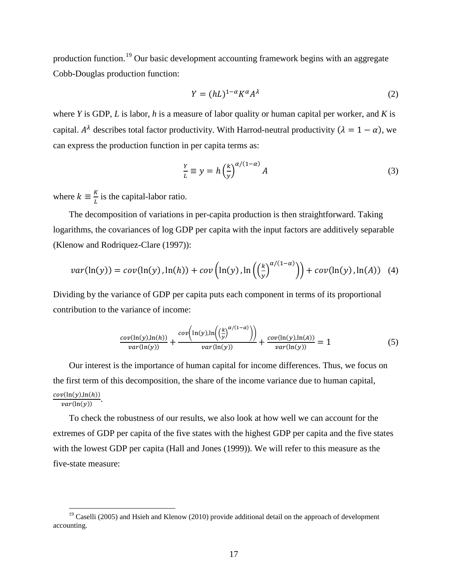production function.<sup>[19](#page-19-0)</sup> Our basic development accounting framework begins with an aggregate Cobb-Douglas production function:

$$
Y = (hL)^{1-\alpha} K^{\alpha} A^{\lambda}
$$
 (2)

where *Y* is GDP, *L* is labor, *h* is a measure of labor quality or human capital per worker, and *K* is capital.  $A^{\lambda}$  describes total factor productivity. With Harrod-neutral productivity ( $\lambda = 1 - \alpha$ ), we can express the production function in per capita terms as:

$$
\frac{Y}{L} \equiv y = h \left(\frac{k}{y}\right)^{\alpha/(1-\alpha)} A \tag{3}
$$

where  $k \equiv \frac{k}{L}$  is the capital-labor ratio.

The decomposition of variations in per-capita production is then straightforward. Taking logarithms, the covariances of log GDP per capita with the input factors are additively separable [\(Klenow and Rodriquez-Clare \(1997\)](#page-37-2)):

$$
var(\ln(y)) = cov(\ln(y), \ln(h)) + cov\left(\ln(y), \ln\left(\left(\frac{k}{y}\right)^{\alpha/(1-\alpha)}\right)\right) + cov(\ln(y), \ln(A)) \quad (4)
$$

Dividing by the variance of GDP per capita puts each component in terms of its proportional contribution to the variance of income:

$$
\frac{cov(\ln(y),\ln(h))}{var(\ln(y))} + \frac{cov\left(\ln(y),\ln\left(\frac{k}{y}\right)^{\alpha/(1-\alpha)}\right)}{var(\ln(y))} + \frac{cov(\ln(y),\ln(A))}{var(\ln(y))} = 1\tag{5}
$$

Our interest is the importance of human capital for income differences. Thus, we focus on the first term of this decomposition, the share of the income variance due to human capital,  $cov(\ln(y),\ln(h))$ 

 $var(\ln(v))$ 

 $\overline{a}$ 

To check the robustness of our results, we also look at how well we can account for the extremes of GDP per capita of the five states with the highest GDP per capita and the five states with the lowest GDP per capita [\(Hall and Jones \(1999\)](#page-36-3)). We will refer to this measure as the five-state measure:

<span id="page-19-0"></span> $19$  [Caselli \(2005\)](#page-35-2) and [Hsieh and Klenow \(2010\)](#page-37-3) provide additional detail on the approach of development accounting.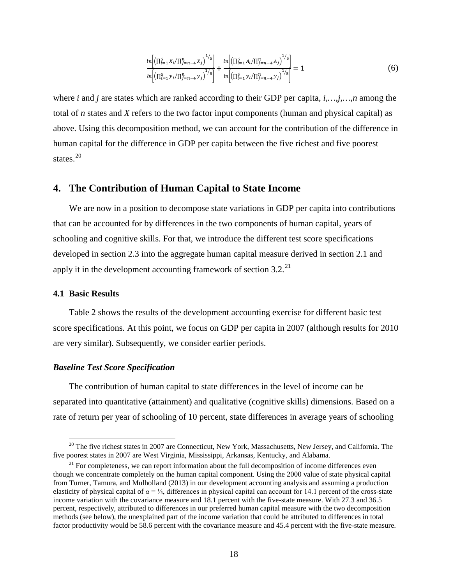$$
\frac{\ln\left[\left(\prod_{i=1}^{5} X_{i}/\prod_{j=n-4}^{n} X_{j}\right)^{1/5}\right]}{\ln\left[\left(\prod_{i=1}^{5} y_{i}/\prod_{j=n-4}^{n} y_{j}\right)^{1/5}\right]} + \frac{\ln\left[\left(\prod_{i=1}^{5} A_{i}/\prod_{j=n-4}^{n} X_{j}\right)^{1/5}\right]}{\ln\left[\left(\prod_{i=1}^{5} y_{i}/\prod_{j=n-4}^{n} y_{j}\right)^{1/5}\right]} = 1\tag{6}
$$

where *i* and *j* are states which are ranked according to their GDP per capita, *i*, ..., *j*, ..., *n* among the total of *n* states and *X* refers to the two factor input components (human and physical capital) as above. Using this decomposition method, we can account for the contribution of the difference in human capital for the difference in GDP per capita between the five richest and five poorest states.<sup>[20](#page-20-0)</sup>

#### **4. The Contribution of Human Capital to State Income**

We are now in a position to decompose state variations in GDP per capita into contributions that can be accounted for by differences in the two components of human capital, years of schooling and cognitive skills. For that, we introduce the different test score specifications developed in section 2.3 into the aggregate human capital measure derived in section 2.1 and apply it in the development accounting framework of section  $3.2$ .<sup>[21](#page-20-1)</sup>

#### **4.1 Basic Results**

 $\overline{a}$ 

Table 2 shows the results of the development accounting exercise for different basic test score specifications. At this point, we focus on GDP per capita in 2007 (although results for 2010 are very similar). Subsequently, we consider earlier periods.

#### *Baseline Test Score Specification*

The contribution of human capital to state differences in the level of income can be separated into quantitative (attainment) and qualitative (cognitive skills) dimensions. Based on a rate of return per year of schooling of 10 percent, state differences in average years of schooling

<span id="page-20-0"></span><sup>&</sup>lt;sup>20</sup> The five richest states in 2007 are Connecticut, New York, Massachusetts, New Jersey, and California. The five poorest states in 2007 are West Virginia, Mississippi, Arkansas, Kentucky, and Alabama.

<span id="page-20-1"></span> $21$  For completeness, we can report information about the full decomposition of income differences even though we concentrate completely on the human capital component. Using the 2000 value of state physical capital from [Turner, Tamura, and Mulholland \(2013\)](#page-38-4) in our development accounting analysis and assuming a production elasticity of physical capital of  $\alpha = \frac{1}{3}$ , differences in physical capital can account for 14.1 percent of the cross-state income variation with the covariance measure and 18.1 percent with the five-state measure. With 27.3 and 36.5 percent, respectively, attributed to differences in our preferred human capital measure with the two decomposition methods (see below), the unexplained part of the income variation that could be attributed to differences in total factor productivity would be 58.6 percent with the covariance measure and 45.4 percent with the five-state measure.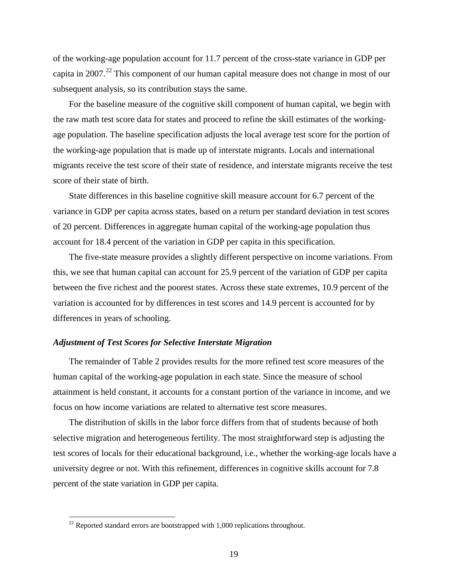of the working-age population account for 11.7 percent of the cross-state variance in GDP per capita in 2007.<sup>[22](#page-21-0)</sup> This component of our human capital measure does not change in most of our subsequent analysis, so its contribution stays the same.

For the baseline measure of the cognitive skill component of human capital, we begin with the raw math test score data for states and proceed to refine the skill estimates of the workingage population. The baseline specification adjusts the local average test score for the portion of the working-age population that is made up of interstate migrants. Locals and international migrants receive the test score of their state of residence, and interstate migrants receive the test score of their state of birth.

State differences in this baseline cognitive skill measure account for 6.7 percent of the variance in GDP per capita across states, based on a return per standard deviation in test scores of 20 percent. Differences in aggregate human capital of the working-age population thus account for 18.4 percent of the variation in GDP per capita in this specification.

The five-state measure provides a slightly different perspective on income variations. From this, we see that human capital can account for 25.9 percent of the variation of GDP per capita between the five richest and the poorest states. Across these state extremes, 10.9 percent of the variation is accounted for by differences in test scores and 14.9 percent is accounted for by differences in years of schooling.

#### *Adjustment of Test Scores for Selective Interstate Migration*

The remainder of Table 2 provides results for the more refined test score measures of the human capital of the working-age population in each state. Since the measure of school attainment is held constant, it accounts for a constant portion of the variance in income, and we focus on how income variations are related to alternative test score measures.

The distribution of skills in the labor force differs from that of students because of both selective migration and heterogeneous fertility. The most straightforward step is adjusting the test scores of locals for their educational background, i.e., whether the working-age locals have a university degree or not. With this refinement, differences in cognitive skills account for 7.8 percent of the state variation in GDP per capita.

 $\overline{a}$ 

<span id="page-21-0"></span> $22$  Reported standard errors are bootstrapped with 1,000 replications throughout.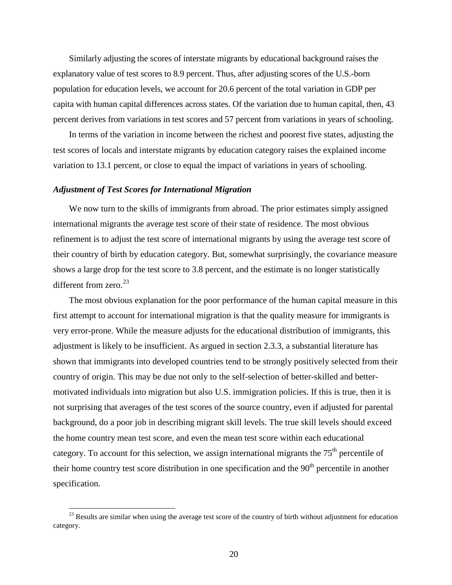Similarly adjusting the scores of interstate migrants by educational background raises the explanatory value of test scores to 8.9 percent. Thus, after adjusting scores of the U.S.-born population for education levels, we account for 20.6 percent of the total variation in GDP per capita with human capital differences across states. Of the variation due to human capital, then, 43 percent derives from variations in test scores and 57 percent from variations in years of schooling.

In terms of the variation in income between the richest and poorest five states, adjusting the test scores of locals and interstate migrants by education category raises the explained income variation to 13.1 percent, or close to equal the impact of variations in years of schooling.

#### *Adjustment of Test Scores for International Migration*

 $\overline{a}$ 

We now turn to the skills of immigrants from abroad. The prior estimates simply assigned international migrants the average test score of their state of residence. The most obvious refinement is to adjust the test score of international migrants by using the average test score of their country of birth by education category. But, somewhat surprisingly, the covariance measure shows a large drop for the test score to 3.8 percent, and the estimate is no longer statistically different from zero. $^{23}$  $^{23}$  $^{23}$ 

The most obvious explanation for the poor performance of the human capital measure in this first attempt to account for international migration is that the quality measure for immigrants is very error-prone. While the measure adjusts for the educational distribution of immigrants, this adjustment is likely to be insufficient. As argued in section 2.3.3, a substantial literature has shown that immigrants into developed countries tend to be strongly positively selected from their country of origin. This may be due not only to the self-selection of better-skilled and bettermotivated individuals into migration but also U.S. immigration policies. If this is true, then it is not surprising that averages of the test scores of the source country, even if adjusted for parental background, do a poor job in describing migrant skill levels. The true skill levels should exceed the home country mean test score, and even the mean test score within each educational category. To account for this selection, we assign international migrants the  $75<sup>th</sup>$  percentile of their home country test score distribution in one specification and the  $90<sup>th</sup>$  percentile in another specification.

<span id="page-22-0"></span> $23$  Results are similar when using the average test score of the country of birth without adjustment for education category.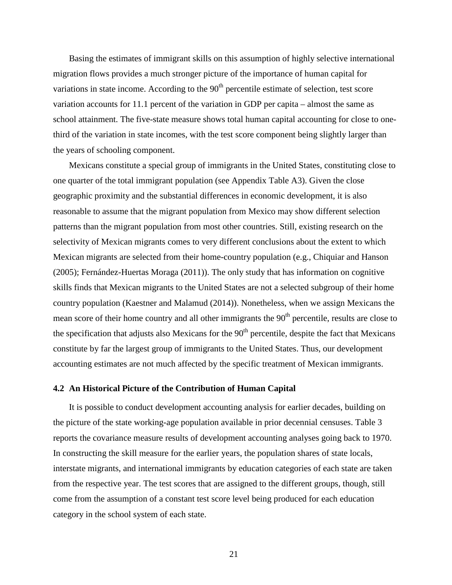Basing the estimates of immigrant skills on this assumption of highly selective international migration flows provides a much stronger picture of the importance of human capital for variations in state income. According to the  $90<sup>th</sup>$  percentile estimate of selection, test score variation accounts for 11.1 percent of the variation in GDP per capita – almost the same as school attainment. The five-state measure shows total human capital accounting for close to onethird of the variation in state incomes, with the test score component being slightly larger than the years of schooling component.

Mexicans constitute a special group of immigrants in the United States, constituting close to one quarter of the total immigrant population (see Appendix Table A3). Given the close geographic proximity and the substantial differences in economic development, it is also reasonable to assume that the migrant population from Mexico may show different selection patterns than the migrant population from most other countries. Still, existing research on the selectivity of Mexican migrants comes to very different conclusions about the extent to which Mexican migrants are selected from their home-country population (e.g., [Chiquiar and Hanson](#page-35-14)  [\(2005\)](#page-35-14); [Fernández-Huertas Moraga \(2011\)](#page-35-15)). The only study that has information on cognitive skills finds that Mexican migrants to the United States are not a selected subgroup of their home country population [\(Kaestner and Malamud \(2014\)](#page-37-16)). Nonetheless, when we assign Mexicans the mean score of their home country and all other immigrants the  $90<sup>th</sup>$  percentile, results are close to the specification that adjusts also Mexicans for the  $90<sup>th</sup>$  percentile, despite the fact that Mexicans constitute by far the largest group of immigrants to the United States. Thus, our development accounting estimates are not much affected by the specific treatment of Mexican immigrants.

#### **4.2 An Historical Picture of the Contribution of Human Capital**

It is possible to conduct development accounting analysis for earlier decades, building on the picture of the state working-age population available in prior decennial censuses. Table 3 reports the covariance measure results of development accounting analyses going back to 1970. In constructing the skill measure for the earlier years, the population shares of state locals, interstate migrants, and international immigrants by education categories of each state are taken from the respective year. The test scores that are assigned to the different groups, though, still come from the assumption of a constant test score level being produced for each education category in the school system of each state.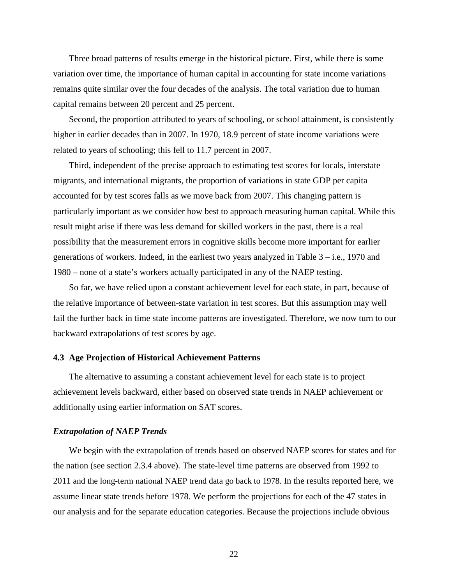Three broad patterns of results emerge in the historical picture. First, while there is some variation over time, the importance of human capital in accounting for state income variations remains quite similar over the four decades of the analysis. The total variation due to human capital remains between 20 percent and 25 percent.

Second, the proportion attributed to years of schooling, or school attainment, is consistently higher in earlier decades than in 2007. In 1970, 18.9 percent of state income variations were related to years of schooling; this fell to 11.7 percent in 2007.

Third, independent of the precise approach to estimating test scores for locals, interstate migrants, and international migrants, the proportion of variations in state GDP per capita accounted for by test scores falls as we move back from 2007. This changing pattern is particularly important as we consider how best to approach measuring human capital. While this result might arise if there was less demand for skilled workers in the past, there is a real possibility that the measurement errors in cognitive skills become more important for earlier generations of workers. Indeed, in the earliest two years analyzed in Table 3 – i.e., 1970 and 1980 – none of a state's workers actually participated in any of the NAEP testing.

So far, we have relied upon a constant achievement level for each state, in part, because of the relative importance of between-state variation in test scores. But this assumption may well fail the further back in time state income patterns are investigated. Therefore, we now turn to our backward extrapolations of test scores by age.

#### **4.3 Age Projection of Historical Achievement Patterns**

The alternative to assuming a constant achievement level for each state is to project achievement levels backward, either based on observed state trends in NAEP achievement or additionally using earlier information on SAT scores.

#### *Extrapolation of NAEP Trends*

We begin with the extrapolation of trends based on observed NAEP scores for states and for the nation (see section 2.3.4 above). The state-level time patterns are observed from 1992 to 2011 and the long-term national NAEP trend data go back to 1978. In the results reported here, we assume linear state trends before 1978. We perform the projections for each of the 47 states in our analysis and for the separate education categories. Because the projections include obvious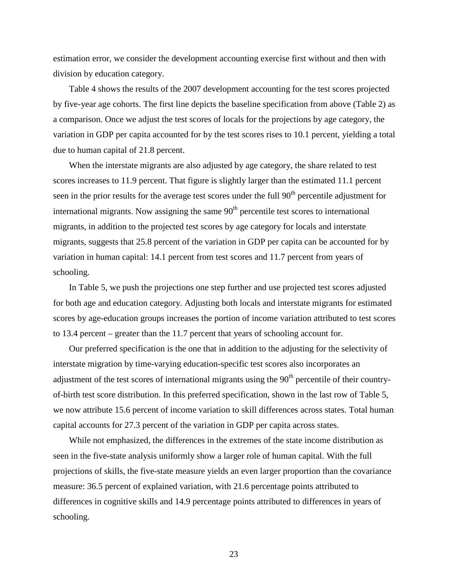estimation error, we consider the development accounting exercise first without and then with division by education category.

Table 4 shows the results of the 2007 development accounting for the test scores projected by five-year age cohorts. The first line depicts the baseline specification from above (Table 2) as a comparison. Once we adjust the test scores of locals for the projections by age category, the variation in GDP per capita accounted for by the test scores rises to 10.1 percent, yielding a total due to human capital of 21.8 percent.

When the interstate migrants are also adjusted by age category, the share related to test scores increases to 11.9 percent. That figure is slightly larger than the estimated 11.1 percent seen in the prior results for the average test scores under the full 90<sup>th</sup> percentile adjustment for international migrants. Now assigning the same  $90<sup>th</sup>$  percentile test scores to international migrants, in addition to the projected test scores by age category for locals and interstate migrants, suggests that 25.8 percent of the variation in GDP per capita can be accounted for by variation in human capital: 14.1 percent from test scores and 11.7 percent from years of schooling.

In Table 5, we push the projections one step further and use projected test scores adjusted for both age and education category. Adjusting both locals and interstate migrants for estimated scores by age-education groups increases the portion of income variation attributed to test scores to 13.4 percent – greater than the 11.7 percent that years of schooling account for.

Our preferred specification is the one that in addition to the adjusting for the selectivity of interstate migration by time-varying education-specific test scores also incorporates an adjustment of the test scores of international migrants using the  $90<sup>th</sup>$  percentile of their countryof-birth test score distribution. In this preferred specification, shown in the last row of Table 5, we now attribute 15.6 percent of income variation to skill differences across states. Total human capital accounts for 27.3 percent of the variation in GDP per capita across states.

While not emphasized, the differences in the extremes of the state income distribution as seen in the five-state analysis uniformly show a larger role of human capital. With the full projections of skills, the five-state measure yields an even larger proportion than the covariance measure: 36.5 percent of explained variation, with 21.6 percentage points attributed to differences in cognitive skills and 14.9 percentage points attributed to differences in years of schooling.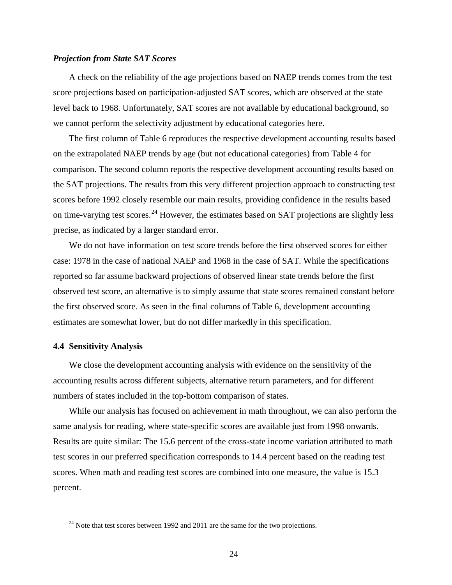#### *Projection from State SAT Scores*

A check on the reliability of the age projections based on NAEP trends comes from the test score projections based on participation-adjusted SAT scores, which are observed at the state level back to 1968. Unfortunately, SAT scores are not available by educational background, so we cannot perform the selectivity adjustment by educational categories here.

The first column of Table 6 reproduces the respective development accounting results based on the extrapolated NAEP trends by age (but not educational categories) from Table 4 for comparison. The second column reports the respective development accounting results based on the SAT projections. The results from this very different projection approach to constructing test scores before 1992 closely resemble our main results, providing confidence in the results based on time-varying test scores.<sup>[24](#page-26-0)</sup> However, the estimates based on SAT projections are slightly less precise, as indicated by a larger standard error.

We do not have information on test score trends before the first observed scores for either case: 1978 in the case of national NAEP and 1968 in the case of SAT. While the specifications reported so far assume backward projections of observed linear state trends before the first observed test score, an alternative is to simply assume that state scores remained constant before the first observed score. As seen in the final columns of Table 6, development accounting estimates are somewhat lower, but do not differ markedly in this specification.

#### **4.4 Sensitivity Analysis**

 $\overline{a}$ 

We close the development accounting analysis with evidence on the sensitivity of the accounting results across different subjects, alternative return parameters, and for different numbers of states included in the top-bottom comparison of states.

While our analysis has focused on achievement in math throughout, we can also perform the same analysis for reading, where state-specific scores are available just from 1998 onwards. Results are quite similar: The 15.6 percent of the cross-state income variation attributed to math test scores in our preferred specification corresponds to 14.4 percent based on the reading test scores. When math and reading test scores are combined into one measure, the value is 15.3 percent.

<span id="page-26-0"></span> $2<sup>24</sup>$  Note that test scores between 1992 and 2011 are the same for the two projections.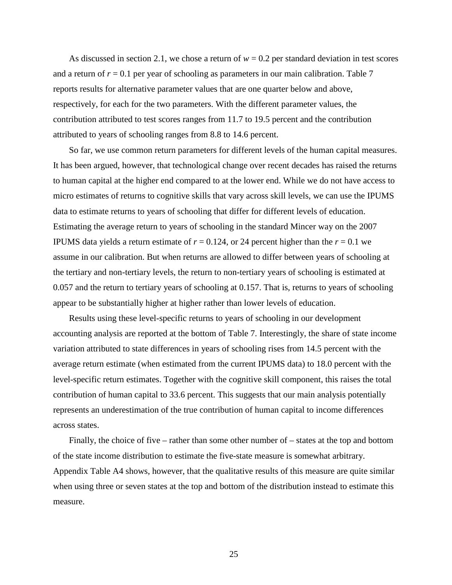As discussed in section 2.1, we chose a return of  $w = 0.2$  per standard deviation in test scores and a return of  $r = 0.1$  per year of schooling as parameters in our main calibration. Table 7 reports results for alternative parameter values that are one quarter below and above, respectively, for each for the two parameters. With the different parameter values, the contribution attributed to test scores ranges from 11.7 to 19.5 percent and the contribution attributed to years of schooling ranges from 8.8 to 14.6 percent.

So far, we use common return parameters for different levels of the human capital measures. It has been argued, however, that technological change over recent decades has raised the returns to human capital at the higher end compared to at the lower end. While we do not have access to micro estimates of returns to cognitive skills that vary across skill levels, we can use the IPUMS data to estimate returns to years of schooling that differ for different levels of education. Estimating the average return to years of schooling in the standard Mincer way on the 2007 IPUMS data yields a return estimate of  $r = 0.124$ , or 24 percent higher than the  $r = 0.1$  we assume in our calibration. But when returns are allowed to differ between years of schooling at the tertiary and non-tertiary levels, the return to non-tertiary years of schooling is estimated at 0.057 and the return to tertiary years of schooling at 0.157. That is, returns to years of schooling appear to be substantially higher at higher rather than lower levels of education.

Results using these level-specific returns to years of schooling in our development accounting analysis are reported at the bottom of Table 7. Interestingly, the share of state income variation attributed to state differences in years of schooling rises from 14.5 percent with the average return estimate (when estimated from the current IPUMS data) to 18.0 percent with the level-specific return estimates. Together with the cognitive skill component, this raises the total contribution of human capital to 33.6 percent. This suggests that our main analysis potentially represents an underestimation of the true contribution of human capital to income differences across states.

Finally, the choice of five – rather than some other number of – states at the top and bottom of the state income distribution to estimate the five-state measure is somewhat arbitrary. Appendix Table A4 shows, however, that the qualitative results of this measure are quite similar when using three or seven states at the top and bottom of the distribution instead to estimate this measure.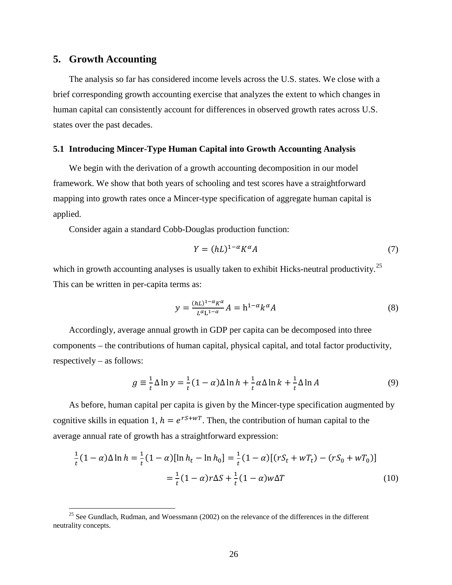#### **5. Growth Accounting**

 $\overline{a}$ 

The analysis so far has considered income levels across the U.S. states. We close with a brief corresponding growth accounting exercise that analyzes the extent to which changes in human capital can consistently account for differences in observed growth rates across U.S. states over the past decades.

#### **5.1 Introducing Mincer-Type Human Capital into Growth Accounting Analysis**

We begin with the derivation of a growth accounting decomposition in our model framework. We show that both years of schooling and test scores have a straightforward mapping into growth rates once a Mincer-type specification of aggregate human capital is applied.

Consider again a standard Cobb-Douglas production function:

$$
Y = (hL)^{1-\alpha} K^{\alpha} A \tag{7}
$$

which in growth accounting analyses is usually taken to exhibit Hicks-neutral productivity.<sup>[25](#page-28-0)</sup> This can be written in per-capita terms as:

$$
y = \frac{(hL)^{1-\alpha}K^{\alpha}}{L^{\alpha}L^{1-\alpha}}A = h^{1-\alpha}k^{\alpha}A
$$
\n(8)

Accordingly, average annual growth in GDP per capita can be decomposed into three components – the contributions of human capital, physical capital, and total factor productivity, respectively – as follows:

$$
g \equiv \frac{1}{t} \Delta \ln y = \frac{1}{t} (1 - \alpha) \Delta \ln h + \frac{1}{t} \alpha \Delta \ln k + \frac{1}{t} \Delta \ln A \tag{9}
$$

As before, human capital per capita is given by the Mincer-type specification augmented by cognitive skills in equation 1,  $h = e^{rS + wT}$ . Then, the contribution of human capital to the average annual rate of growth has a straightforward expression:

$$
\frac{1}{t}(1-\alpha)\Delta\ln h = \frac{1}{t}(1-\alpha)[\ln h_t - \ln h_0] = \frac{1}{t}(1-\alpha)[(rS_t + wT_t) - (rS_0 + wT_0)]
$$

$$
= \frac{1}{t}(1-\alpha)r\Delta S + \frac{1}{t}(1-\alpha)w\Delta T
$$
(10)

<span id="page-28-0"></span> $25$  See [Gundlach, Rudman, and Woessmann \(2002\)](#page-36-4) on the relevance of the differences in the different neutrality concepts.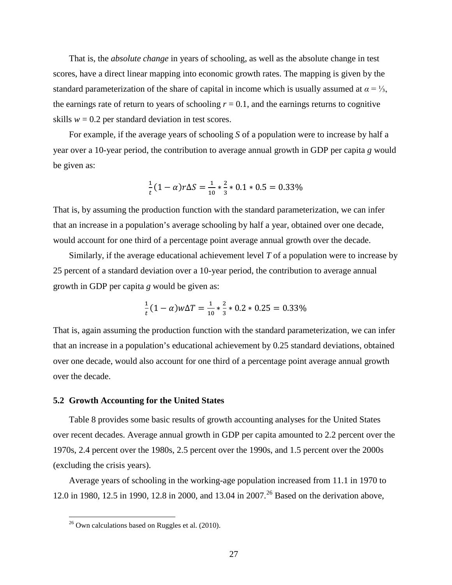That is, the *absolute change* in years of schooling, as well as the absolute change in test scores, have a direct linear mapping into economic growth rates. The mapping is given by the standard parameterization of the share of capital in income which is usually assumed at  $\alpha = \frac{1}{3}$ , the earnings rate of return to years of schooling  $r = 0.1$ , and the earnings returns to cognitive skills  $w = 0.2$  per standard deviation in test scores.

For example, if the average years of schooling *S* of a population were to increase by half a year over a 10-year period, the contribution to average annual growth in GDP per capita *g* would be given as:

$$
\frac{1}{t}(1-\alpha)r\Delta S = \frac{1}{10} * \frac{2}{3} * 0.1 * 0.5 = 0.33\%
$$

That is, by assuming the production function with the standard parameterization, we can infer that an increase in a population's average schooling by half a year, obtained over one decade, would account for one third of a percentage point average annual growth over the decade.

Similarly, if the average educational achievement level *T* of a population were to increase by 25 percent of a standard deviation over a 10-year period, the contribution to average annual growth in GDP per capita *g* would be given as:

$$
\frac{1}{t}(1-\alpha)w\Delta T = \frac{1}{10} * \frac{2}{3} * 0.2 * 0.25 = 0.33\%
$$

That is, again assuming the production function with the standard parameterization, we can infer that an increase in a population's educational achievement by 0.25 standard deviations, obtained over one decade, would also account for one third of a percentage point average annual growth over the decade.

#### **5.2 Growth Accounting for the United States**

Table 8 provides some basic results of growth accounting analyses for the United States over recent decades. Average annual growth in GDP per capita amounted to 2.2 percent over the 1970s, 2.4 percent over the 1980s, 2.5 percent over the 1990s, and 1.5 percent over the 2000s (excluding the crisis years).

Average years of schooling in the working-age population increased from 11.1 in 1970 to 12.0 in 1980, 12.5 in 1990, 12.8 in 2000, and 13.04 in 2007. [26](#page-29-0) Based on the derivation above,

 $\overline{a}$ 

<span id="page-29-0"></span> $26$  Own calculations based o[n Ruggles et al. \(2010\)](#page-38-7).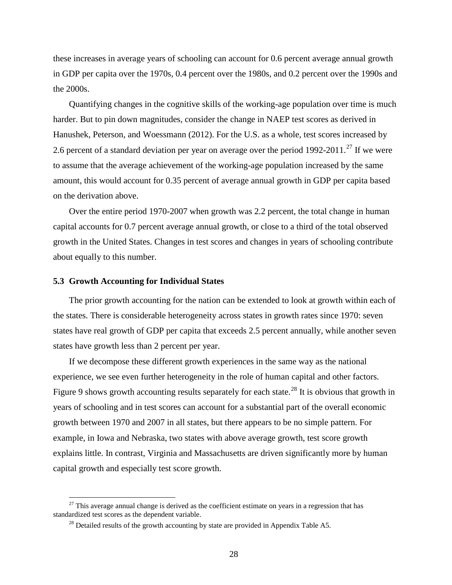these increases in average years of schooling can account for 0.6 percent average annual growth in GDP per capita over the 1970s, 0.4 percent over the 1980s, and 0.2 percent over the 1990s and the 2000s.

Quantifying changes in the cognitive skills of the working-age population over time is much harder. But to pin down magnitudes, consider the change in NAEP test scores as derived in [Hanushek, Peterson, and Woessmann \(2012\)](#page-36-15). For the U.S. as a whole, test scores increased by 2.6 percent of a standard deviation per year on average over the period  $1992-2011$ <sup>[27](#page-30-0)</sup> If we were to assume that the average achievement of the working-age population increased by the same amount, this would account for 0.35 percent of average annual growth in GDP per capita based on the derivation above.

Over the entire period 1970-2007 when growth was 2.2 percent, the total change in human capital accounts for 0.7 percent average annual growth, or close to a third of the total observed growth in the United States. Changes in test scores and changes in years of schooling contribute about equally to this number.

#### **5.3 Growth Accounting for Individual States**

 $\overline{a}$ 

The prior growth accounting for the nation can be extended to look at growth within each of the states. There is considerable heterogeneity across states in growth rates since 1970: seven states have real growth of GDP per capita that exceeds 2.5 percent annually, while another seven states have growth less than 2 percent per year.

If we decompose these different growth experiences in the same way as the national experience, we see even further heterogeneity in the role of human capital and other factors. Figure 9 shows growth accounting results separately for each state.<sup>[28](#page-30-1)</sup> It is obvious that growth in years of schooling and in test scores can account for a substantial part of the overall economic growth between 1970 and 2007 in all states, but there appears to be no simple pattern. For example, in Iowa and Nebraska, two states with above average growth, test score growth explains little. In contrast, Virginia and Massachusetts are driven significantly more by human capital growth and especially test score growth.

<span id="page-30-1"></span><span id="page-30-0"></span> $27$  This average annual change is derived as the coefficient estimate on years in a regression that has standardized test scores as the dependent variable.

 $28$  Detailed results of the growth accounting by state are provided in Appendix Table A5.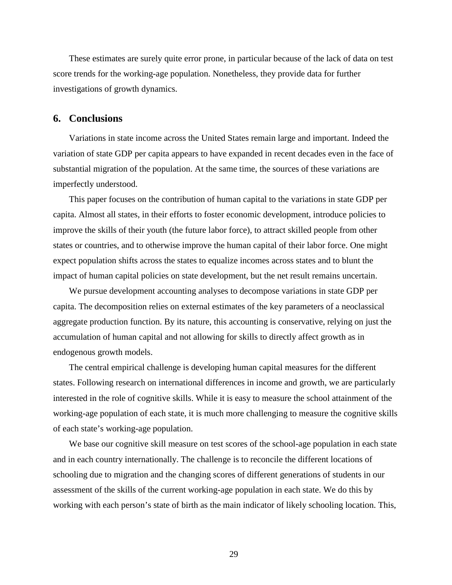These estimates are surely quite error prone, in particular because of the lack of data on test score trends for the working-age population. Nonetheless, they provide data for further investigations of growth dynamics.

#### **6. Conclusions**

Variations in state income across the United States remain large and important. Indeed the variation of state GDP per capita appears to have expanded in recent decades even in the face of substantial migration of the population. At the same time, the sources of these variations are imperfectly understood.

This paper focuses on the contribution of human capital to the variations in state GDP per capita. Almost all states, in their efforts to foster economic development, introduce policies to improve the skills of their youth (the future labor force), to attract skilled people from other states or countries, and to otherwise improve the human capital of their labor force. One might expect population shifts across the states to equalize incomes across states and to blunt the impact of human capital policies on state development, but the net result remains uncertain.

We pursue development accounting analyses to decompose variations in state GDP per capita. The decomposition relies on external estimates of the key parameters of a neoclassical aggregate production function. By its nature, this accounting is conservative, relying on just the accumulation of human capital and not allowing for skills to directly affect growth as in endogenous growth models.

The central empirical challenge is developing human capital measures for the different states. Following research on international differences in income and growth, we are particularly interested in the role of cognitive skills. While it is easy to measure the school attainment of the working-age population of each state, it is much more challenging to measure the cognitive skills of each state's working-age population.

We base our cognitive skill measure on test scores of the school-age population in each state and in each country internationally. The challenge is to reconcile the different locations of schooling due to migration and the changing scores of different generations of students in our assessment of the skills of the current working-age population in each state. We do this by working with each person's state of birth as the main indicator of likely schooling location. This,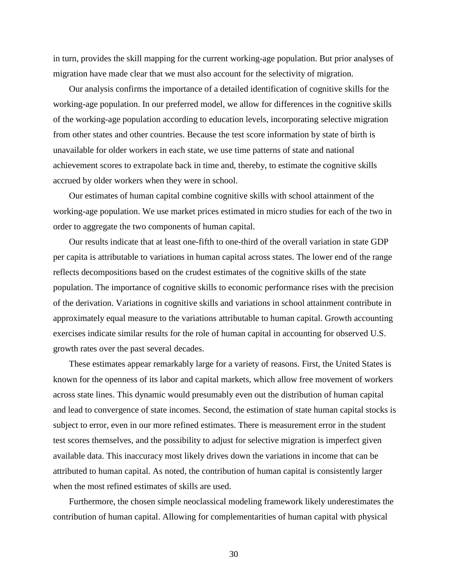in turn, provides the skill mapping for the current working-age population. But prior analyses of migration have made clear that we must also account for the selectivity of migration.

Our analysis confirms the importance of a detailed identification of cognitive skills for the working-age population. In our preferred model, we allow for differences in the cognitive skills of the working-age population according to education levels, incorporating selective migration from other states and other countries. Because the test score information by state of birth is unavailable for older workers in each state, we use time patterns of state and national achievement scores to extrapolate back in time and, thereby, to estimate the cognitive skills accrued by older workers when they were in school.

Our estimates of human capital combine cognitive skills with school attainment of the working-age population. We use market prices estimated in micro studies for each of the two in order to aggregate the two components of human capital.

Our results indicate that at least one-fifth to one-third of the overall variation in state GDP per capita is attributable to variations in human capital across states. The lower end of the range reflects decompositions based on the crudest estimates of the cognitive skills of the state population. The importance of cognitive skills to economic performance rises with the precision of the derivation. Variations in cognitive skills and variations in school attainment contribute in approximately equal measure to the variations attributable to human capital. Growth accounting exercises indicate similar results for the role of human capital in accounting for observed U.S. growth rates over the past several decades.

These estimates appear remarkably large for a variety of reasons. First, the United States is known for the openness of its labor and capital markets, which allow free movement of workers across state lines. This dynamic would presumably even out the distribution of human capital and lead to convergence of state incomes. Second, the estimation of state human capital stocks is subject to error, even in our more refined estimates. There is measurement error in the student test scores themselves, and the possibility to adjust for selective migration is imperfect given available data. This inaccuracy most likely drives down the variations in income that can be attributed to human capital. As noted, the contribution of human capital is consistently larger when the most refined estimates of skills are used.

Furthermore, the chosen simple neoclassical modeling framework likely underestimates the contribution of human capital. Allowing for complementarities of human capital with physical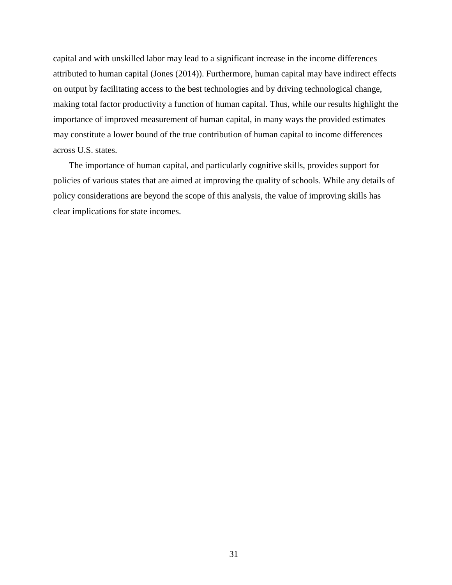capital and with unskilled labor may lead to a significant increase in the income differences attributed to human capital [\(Jones \(2014\)](#page-37-8)). Furthermore, human capital may have indirect effects on output by facilitating access to the best technologies and by driving technological change, making total factor productivity a function of human capital. Thus, while our results highlight the importance of improved measurement of human capital, in many ways the provided estimates may constitute a lower bound of the true contribution of human capital to income differences across U.S. states.

The importance of human capital, and particularly cognitive skills, provides support for policies of various states that are aimed at improving the quality of schools. While any details of policy considerations are beyond the scope of this analysis, the value of improving skills has clear implications for state incomes.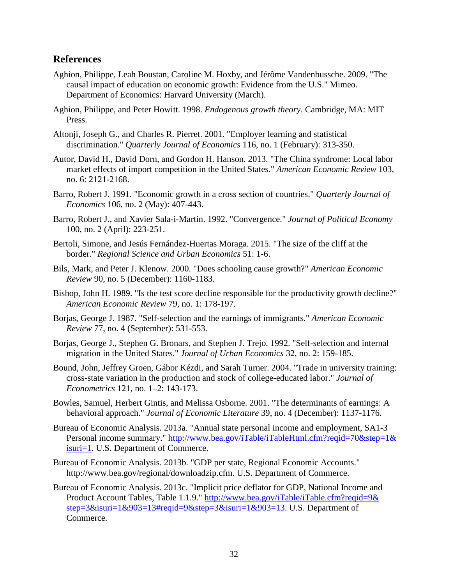### **References**

- <span id="page-34-6"></span>Aghion, Philippe, Leah Boustan, Caroline M. Hoxby, and Jérôme Vandenbussche. 2009. "The causal impact of education on economic growth: Evidence from the U.S." Mimeo. Department of Economics: Harvard University (March).
- <span id="page-34-3"></span>Aghion, Philippe, and Peter Howitt. 1998. *Endogenous growth theory*. Cambridge, MA: MIT Press.
- <span id="page-34-9"></span>Altonji, Joseph G., and Charles R. Pierret. 2001. "Employer learning and statistical discrimination." *Quarterly Journal of Economics* 116, no. 1 (February): 313-350.
- <span id="page-34-8"></span>Autor, David H., David Dorn, and Gordon H. Hanson. 2013. "The China syndrome: Local labor market effects of import competition in the United States." *American Economic Review* 103, no. 6: 2121-2168.
- <span id="page-34-7"></span>Barro, Robert J. 1991. "Economic growth in a cross section of countries." *Quarterly Journal of Economics* 106, no. 2 (May): 407-443.
- <span id="page-34-5"></span>Barro, Robert J., and Xavier Sala-i-Martin. 1992. "Convergence." *Journal of Political Economy* 100, no. 2 (April): 223-251.
- <span id="page-34-12"></span>Bertoli, Simone, and Jesús Fernández-Huertas Moraga. 2015. "The size of the cliff at the border." *Regional Science and Urban Economics* 51: 1-6.
- <span id="page-34-4"></span>Bils, Mark, and Peter J. Klenow. 2000. "Does schooling cause growth?" *American Economic Review* 90, no. 5 (December): 1160-1183.
- <span id="page-34-10"></span>Bishop, John H. 1989. "Is the test score decline responsible for the productivity growth decline?" *American Economic Review* 79, no. 1: 178-197.
- <span id="page-34-1"></span>Borjas, George J. 1987. "Self-selection and the earnings of immigrants." *American Economic Review* 77, no. 4 (September): 531-553.
- <span id="page-34-2"></span>Borjas, George J., Stephen G. Bronars, and Stephen J. Trejo. 1992. "Self-selection and internal migration in the United States." *Journal of Urban Economics* 32, no. 2: 159-185.
- <span id="page-34-0"></span>Bound, John, Jeffrey Groen, Gábor Kézdi, and Sarah Turner. 2004. "Trade in university training: cross-state variation in the production and stock of college-educated labor." *Journal of Econometrics* 121, no. 1–2: 143-173.
- <span id="page-34-11"></span>Bowles, Samuel, Herbert Gintis, and Melissa Osborne. 2001. "The determinants of earnings: A behavioral approach." *Journal of Economic Literature* 39, no. 4 (December): 1137-1176.
- <span id="page-34-15"></span>Bureau of Economic Analysis. 2013a. "Annual state personal income and employment, SA1-3 Personal income summary." [http://www.bea.gov/iTable/iTableHtml.cfm?reqid=70&step=1&](http://www.bea.gov/iTable/iTableHtml.cfm?reqid=70&step=1&isuri=1) [isuri=1.](http://www.bea.gov/iTable/iTableHtml.cfm?reqid=70&step=1&isuri=1) U.S. Department of Commerce.
- <span id="page-34-13"></span>Bureau of Economic Analysis. 2013b. "GDP per state, Regional Economic Accounts." http://www.bea.gov/regional/downloadzip.cfm. U.S. Department of Commerce.
- <span id="page-34-14"></span>Bureau of Economic Analysis. 2013c. "Implicit price deflator for GDP, National Income and Product Account Tables, Table 1.1.9." [http://www.bea.gov/iTable/iTable.cfm?reqid=9&](http://www.bea.gov/iTable/iTable.cfm?reqid=9&step=3&isuri=1&903=13%23reqid=9&step=3&isuri=1&903=13) [step=3&isuri=1&903=13#reqid=9&step=3&isuri=1&903=13.](http://www.bea.gov/iTable/iTable.cfm?reqid=9&step=3&isuri=1&903=13%23reqid=9&step=3&isuri=1&903=13) U.S. Department of Commerce.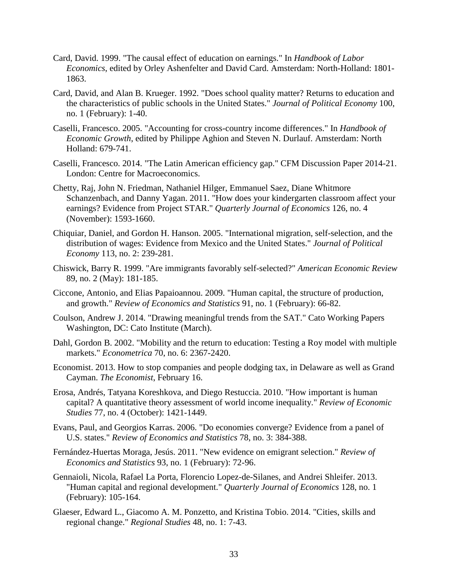- <span id="page-35-9"></span>Card, David. 1999. "The causal effect of education on earnings." In *Handbook of Labor Economics*, edited by Orley Ashenfelter and David Card. Amsterdam: North-Holland: 1801- 1863.
- <span id="page-35-0"></span>Card, David, and Alan B. Krueger. 1992. "Does school quality matter? Returns to education and the characteristics of public schools in the United States." *Journal of Political Economy* 100, no. 1 (February): 1-40.
- <span id="page-35-2"></span>Caselli, Francesco. 2005. "Accounting for cross-country income differences." In *Handbook of Economic Growth*, edited by Philippe Aghion and Steven N. Durlauf. Amsterdam: North Holland: 679-741.
- <span id="page-35-3"></span>Caselli, Francesco. 2014. "The Latin American efficiency gap." CFM Discussion Paper 2014-21. London: Centre for Macroeconomics.
- <span id="page-35-10"></span>Chetty, Raj, John N. Friedman, Nathaniel Hilger, Emmanuel Saez, Diane Whitmore Schanzenbach, and Danny Yagan. 2011. "How does your kindergarten classroom affect your earnings? Evidence from Project STAR." *Quarterly Journal of Economics* 126, no. 4 (November): 1593-1660.
- <span id="page-35-14"></span>Chiquiar, Daniel, and Gordon H. Hanson. 2005. "International migration, self-selection, and the distribution of wages: Evidence from Mexico and the United States." *Journal of Political Economy* 113, no. 2: 239-281.
- <span id="page-35-11"></span>Chiswick, Barry R. 1999. "Are immigrants favorably self-selected?" *American Economic Review* 89, no. 2 (May): 181-185.
- <span id="page-35-6"></span>Ciccone, Antonio, and Elias Papaioannou. 2009. "Human capital, the structure of production, and growth." *Review of Economics and Statistics* 91, no. 1 (February): 66-82.
- <span id="page-35-12"></span>Coulson, Andrew J. 2014. "Drawing meaningful trends from the SAT." Cato Working Papers Washington, DC: Cato Institute (March).
- <span id="page-35-1"></span>Dahl, Gordon B. 2002. "Mobility and the return to education: Testing a Roy model with multiple markets." *Econometrica* 70, no. 6: 2367-2420.
- <span id="page-35-13"></span>Economist. 2013. How to stop companies and people dodging tax, in Delaware as well as Grand Cayman. *The Economist*, February 16.
- <span id="page-35-8"></span>Erosa, Andrés, Tatyana Koreshkova, and Diego Restuccia. 2010. "How important is human capital? A quantitative theory assessment of world income inequality." *Review of Economic Studies* 77, no. 4 (October): 1421-1449.
- <span id="page-35-4"></span>Evans, Paul, and Georgios Karras. 2006. "Do economies converge? Evidence from a panel of U.S. states." *Review of Economics and Statistics* 78, no. 3: 384-388.
- <span id="page-35-15"></span>Fernández-Huertas Moraga, Jesús. 2011. "New evidence on emigrant selection." *Review of Economics and Statistics* 93, no. 1 (February): 72-96.
- <span id="page-35-5"></span>Gennaioli, Nicola, Rafael La Porta, Florencio Lopez-de-Silanes, and Andrei Shleifer. 2013. "Human capital and regional development." *Quarterly Journal of Economics* 128, no. 1 (February): 105-164.
- <span id="page-35-7"></span>Glaeser, Edward L., Giacomo A. M. Ponzetto, and Kristina Tobio. 2014. "Cities, skills and regional change." *Regional Studies* 48, no. 1: 7-43.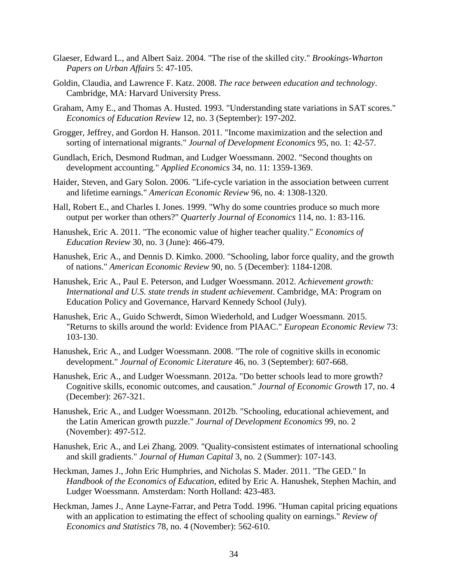- Glaeser, Edward L., and Albert Saiz. 2004. "The rise of the skilled city." *Brookings-Wharton Papers on Urban Affairs* 5: 47-105.
- Goldin, Claudia, and Lawrence F. Katz. 2008. *The race between education and technology*. Cambridge, MA: Harvard University Press.
- Graham, Amy E., and Thomas A. Husted. 1993. "Understanding state variations in SAT scores." *Economics of Education Review* 12, no. 3 (September): 197-202.
- Grogger, Jeffrey, and Gordon H. Hanson. 2011. "Income maximization and the selection and sorting of international migrants." *Journal of Development Economics* 95, no. 1: 42-57.
- Gundlach, Erich, Desmond Rudman, and Ludger Woessmann. 2002. "Second thoughts on development accounting." *Applied Economics* 34, no. 11: 1359-1369.
- Haider, Steven, and Gary Solon. 2006. "Life-cycle variation in the association between current and lifetime earnings." *American Economic Review* 96, no. 4: 1308-1320.
- Hall, Robert E., and Charles I. Jones. 1999. "Why do some countries produce so much more output per worker than others?" *Quarterly Journal of Economics* 114, no. 1: 83-116.
- Hanushek, Eric A. 2011. "The economic value of higher teacher quality." *Economics of Education Review* 30, no. 3 (June): 466-479.
- Hanushek, Eric A., and Dennis D. Kimko. 2000. "Schooling, labor force quality, and the growth of nations." *American Economic Review* 90, no. 5 (December): 1184-1208.
- <span id="page-36-1"></span>Hanushek, Eric A., Paul E. Peterson, and Ludger Woessmann. 2012. *Achievement growth: International and U.S. state trends in student achievement*. Cambridge, MA: Program on Education Policy and Governance, Harvard Kennedy School (July).
- Hanushek, Eric A., Guido Schwerdt, Simon Wiederhold, and Ludger Woessmann. 2015. "Returns to skills around the world: Evidence from PIAAC." *European Economic Review* 73: 103-130.
- Hanushek, Eric A., and Ludger Woessmann. 2008. "The role of cognitive skills in economic development." *Journal of Economic Literature* 46, no. 3 (September): 607-668.
- Hanushek, Eric A., and Ludger Woessmann. 2012a. "Do better schools lead to more growth? Cognitive skills, economic outcomes, and causation." *Journal of Economic Growth* 17, no. 4 (December): 267-321.
- Hanushek, Eric A., and Ludger Woessmann. 2012b. "Schooling, educational achievement, and the Latin American growth puzzle." *Journal of Development Economics* 99, no. 2 (November): 497-512.
- Hanushek, Eric A., and Lei Zhang. 2009. "Quality-consistent estimates of international schooling and skill gradients." *Journal of Human Capital* 3, no. 2 (Summer): 107-143.
- <span id="page-36-0"></span>Heckman, James J., John Eric Humphries, and Nicholas S. Mader. 2011. "The GED." In *Handbook of the Economics of Education*, edited by Eric A. Hanushek, Stephen Machin, and Ludger Woessmann. Amsterdam: North Holland: 423-483.
- Heckman, James J., Anne Layne-Farrar, and Petra Todd. 1996. "Human capital pricing equations with an application to estimating the effect of schooling quality on earnings." *Review of Economics and Statistics* 78, no. 4 (November): 562-610.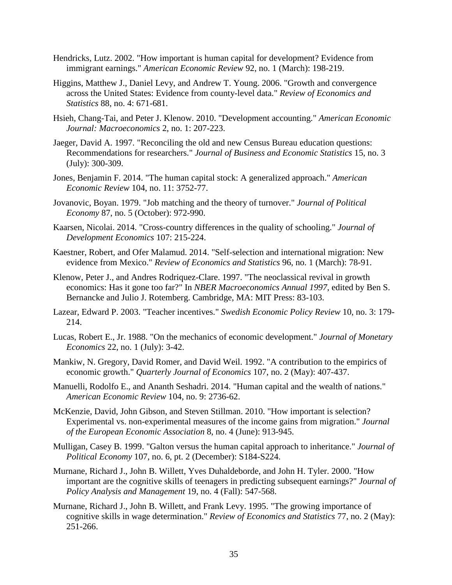- Hendricks, Lutz. 2002. "How important is human capital for development? Evidence from immigrant earnings." *American Economic Review* 92, no. 1 (March): 198-219.
- Higgins, Matthew J., Daniel Levy, and Andrew T. Young. 2006. "Growth and convergence across the United States: Evidence from county-level data." *Review of Economics and Statistics* 88, no. 4: 671-681.
- Hsieh, Chang-Tai, and Peter J. Klenow. 2010. "Development accounting." *American Economic Journal: Macroeconomics* 2, no. 1: 207-223.
- <span id="page-37-0"></span>Jaeger, David A. 1997. "Reconciling the old and new Census Bureau education questions: Recommendations for researchers." *Journal of Business and Economic Statistics* 15, no. 3 (July): 300-309.
- Jones, Benjamin F. 2014. "The human capital stock: A generalized approach." *American Economic Review* 104, no. 11: 3752-77.
- Jovanovic, Boyan. 1979. "Job matching and the theory of turnover." *Journal of Political Economy* 87, no. 5 (October): 972-990.
- Kaarsen, Nicolai. 2014. "Cross-country differences in the quality of schooling." *Journal of Development Economics* 107: 215-224.
- Kaestner, Robert, and Ofer Malamud. 2014. "Self-selection and international migration: New evidence from Mexico." *Review of Economics and Statistics* 96, no. 1 (March): 78-91.
- Klenow, Peter J., and Andres Rodriquez-Clare. 1997. "The neoclassical revival in growth economics: Has it gone too far?" In *NBER Macroeconomics Annual 1997*, edited by Ben S. Bernancke and Julio J. Rotemberg. Cambridge, MA: MIT Press: 83-103.
- Lazear, Edward P. 2003. "Teacher incentives." *Swedish Economic Policy Review* 10, no. 3: 179- 214.
- Lucas, Robert E., Jr. 1988. "On the mechanics of economic development." *Journal of Monetary Economics* 22, no. 1 (July): 3-42.
- Mankiw, N. Gregory, David Romer, and David Weil. 1992. "A contribution to the empirics of economic growth." *Quarterly Journal of Economics* 107, no. 2 (May): 407-437.
- Manuelli, Rodolfo E., and Ananth Seshadri. 2014. "Human capital and the wealth of nations." *American Economic Review* 104, no. 9: 2736-62.
- McKenzie, David, John Gibson, and Steven Stillman. 2010. "How important is selection? Experimental vs. non-experimental measures of the income gains from migration." *Journal of the European Economic Association* 8, no. 4 (June): 913-945.
- Mulligan, Casey B. 1999. "Galton versus the human capital approach to inheritance." *Journal of Political Economy* 107, no. 6, pt. 2 (December): S184-S224.
- Murnane, Richard J., John B. Willett, Yves Duhaldeborde, and John H. Tyler. 2000. "How important are the cognitive skills of teenagers in predicting subsequent earnings?" *Journal of Policy Analysis and Management* 19, no. 4 (Fall): 547-568.
- Murnane, Richard J., John B. Willett, and Frank Levy. 1995. "The growing importance of cognitive skills in wage determination." *Review of Economics and Statistics* 77, no. 2 (May): 251-266.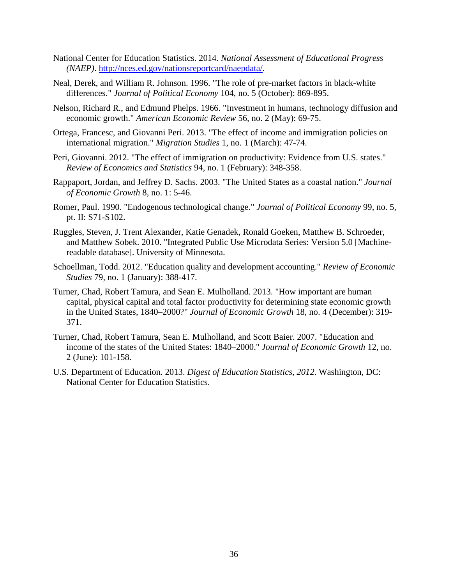- <span id="page-38-4"></span><span id="page-38-1"></span>National Center for Education Statistics. 2014. *National Assessment of Educational Progress (NAEP)*. [http://nces.ed.gov/nationsreportcard/naepdata/.](http://nces.ed.gov/nationsreportcard/naepdata/)
- Neal, Derek, and William R. Johnson. 1996. "The role of pre-market factors in black-white differences." *Journal of Political Economy* 104, no. 5 (October): 869-895.
- <span id="page-38-3"></span>Nelson, Richard R., and Edmund Phelps. 1966. "Investment in humans, technology diffusion and economic growth." *American Economic Review* 56, no. 2 (May): 69-75.
- Ortega, Francesc, and Giovanni Peri. 2013. "The effect of income and immigration policies on international migration." *Migration Studies* 1, no. 1 (March): 47-74.
- Peri, Giovanni. 2012. "The effect of immigration on productivity: Evidence from U.S. states." *Review of Economics and Statistics* 94, no. 1 (February): 348-358.
- Rappaport, Jordan, and Jeffrey D. Sachs. 2003. "The United States as a coastal nation." *Journal of Economic Growth* 8, no. 1: 5-46.
- Romer, Paul. 1990. "Endogenous technological change." *Journal of Political Economy* 99, no. 5, pt. II: S71-S102.
- <span id="page-38-0"></span>Ruggles, Steven, J. Trent Alexander, Katie Genadek, Ronald Goeken, Matthew B. Schroeder, and Matthew Sobek. 2010. "Integrated Public Use Microdata Series: Version 5.0 [Machinereadable database]. University of Minnesota.
- Schoellman, Todd. 2012. "Education quality and development accounting." *Review of Economic Studies* 79, no. 1 (January): 388-417.
- Turner, Chad, Robert Tamura, and Sean E. Mulholland. 2013. "How important are human capital, physical capital and total factor productivity for determining state economic growth in the United States, 1840–2000?" *Journal of Economic Growth* 18, no. 4 (December): 319- 371.
- Turner, Chad, Robert Tamura, Sean E. Mulholland, and Scott Baier. 2007. "Education and income of the states of the United States: 1840–2000." *Journal of Economic Growth* 12, no. 2 (June): 101-158.
- <span id="page-38-2"></span>U.S. Department of Education. 2013. *Digest of Education Statistics, 2012*. Washington, DC: National Center for Education Statistics.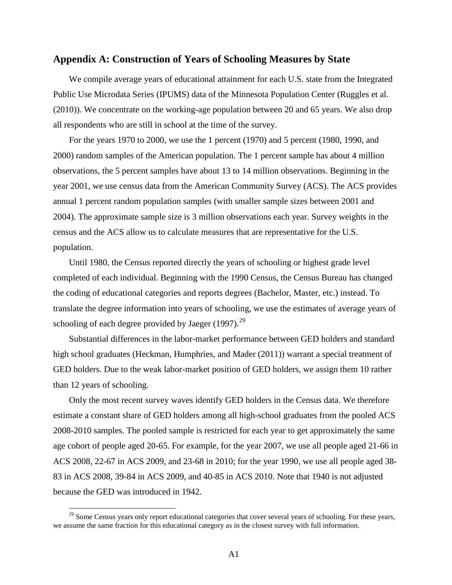## **Appendix A: Construction of Years of Schooling Measures by State**

We compile average years of educational attainment for each U.S. state from the Integrated Public Use Microdata Series (IPUMS) data of the Minnesota Population Center [\(Ruggles et al.](#page-38-0)  [\(2010\)](#page-38-0)). We concentrate on the working-age population between 20 and 65 years. We also drop all respondents who are still in school at the time of the survey.

For the years 1970 to 2000, we use the 1 percent (1970) and 5 percent (1980, 1990, and 2000) random samples of the American population. The 1 percent sample has about 4 million observations, the 5 percent samples have about 13 to 14 million observations. Beginning in the year 2001, we use census data from the American Community Survey (ACS). The ACS provides annual 1 percent random population samples (with smaller sample sizes between 2001 and 2004). The approximate sample size is 3 million observations each year. Survey weights in the census and the ACS allow us to calculate measures that are representative for the U.S. population.

Until 1980, the Census reported directly the years of schooling or highest grade level completed of each individual. Beginning with the 1990 Census, the Census Bureau has changed the coding of educational categories and reports degrees (Bachelor, Master, etc.) instead. To translate the degree information into years of schooling, we use the estimates of average years of schooling of each degree provided by Jaeger  $(1997)$ .<sup>[29](#page-39-0)</sup>

Substantial differences in the labor-market performance between GED holders and standard high school graduates [\(Heckman, Humphries, and Mader \(2011\)](#page-36-0)) warrant a special treatment of GED holders. Due to the weak labor-market position of GED holders, we assign them 10 rather than 12 years of schooling.

Only the most recent survey waves identify GED holders in the Census data. We therefore estimate a constant share of GED holders among all high-school graduates from the pooled ACS 2008-2010 samples. The pooled sample is restricted for each year to get approximately the same age cohort of people aged 20-65. For example, for the year 2007, we use all people aged 21-66 in ACS 2008, 22-67 in ACS 2009, and 23-68 in 2010; for the year 1990, we use all people aged 38- 83 in ACS 2008, 39-84 in ACS 2009, and 40-85 in ACS 2010. Note that 1940 is not adjusted because the GED was introduced in 1942.

 $\overline{a}$ 

<span id="page-39-0"></span><sup>&</sup>lt;sup>29</sup> Some Census years only report educational categories that cover several years of schooling. For these years, we assume the same fraction for this educational category as in the closest survey with full information.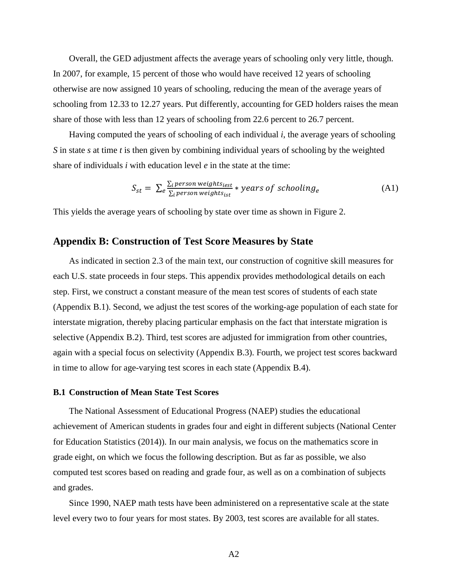Overall, the GED adjustment affects the average years of schooling only very little, though. In 2007, for example, 15 percent of those who would have received 12 years of schooling otherwise are now assigned 10 years of schooling, reducing the mean of the average years of schooling from 12.33 to 12.27 years. Put differently, accounting for GED holders raises the mean share of those with less than 12 years of schooling from 22.6 percent to 26.7 percent.

Having computed the years of schooling of each individual *i*, the average years of schooling *S* in state *s* at time *t* is then given by combining individual years of schooling by the weighted share of individuals *i* with education level *e* in the state at the time:

$$
S_{st} = \sum_{e} \frac{\sum_{i} person\ weights_{iest}}{\sum_{i} person\ weights_{ist}} * years\ of\ schooling_{e}
$$
 (A1)

This yields the average years of schooling by state over time as shown in Figure 2.

## **Appendix B: Construction of Test Score Measures by State**

As indicated in section 2.3 of the main text, our construction of cognitive skill measures for each U.S. state proceeds in four steps. This appendix provides methodological details on each step. First, we construct a constant measure of the mean test scores of students of each state (Appendix B.1). Second, we adjust the test scores of the working-age population of each state for interstate migration, thereby placing particular emphasis on the fact that interstate migration is selective (Appendix B.2). Third, test scores are adjusted for immigration from other countries, again with a special focus on selectivity (Appendix B.3). Fourth, we project test scores backward in time to allow for age-varying test scores in each state (Appendix B.4).

#### **B.1 Construction of Mean State Test Scores**

The National Assessment of Educational Progress (NAEP) studies the educational achievement of American students in grades four and eight in different subjects [\(National Center](#page-38-1)  [for Education Statistics \(2014\)](#page-38-1)). In our main analysis, we focus on the mathematics score in grade eight, on which we focus the following description. But as far as possible, we also computed test scores based on reading and grade four, as well as on a combination of subjects and grades.

Since 1990, NAEP math tests have been administered on a representative scale at the state level every two to four years for most states. By 2003, test scores are available for all states.

 $A<sub>2</sub>$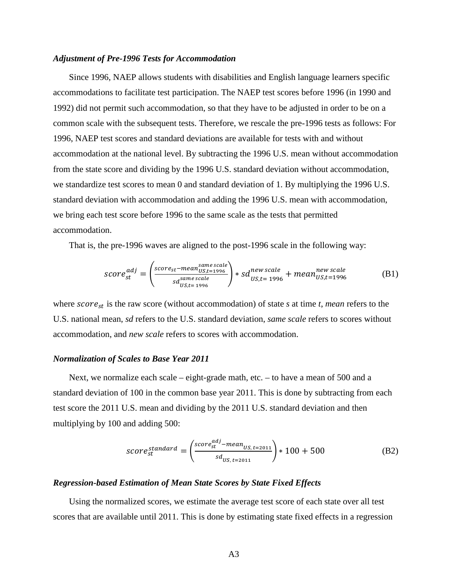#### *Adjustment of Pre-1996 Tests for Accommodation*

Since 1996, NAEP allows students with disabilities and English language learners specific accommodations to facilitate test participation. The NAEP test scores before 1996 (in 1990 and 1992) did not permit such accommodation, so that they have to be adjusted in order to be on a common scale with the subsequent tests. Therefore, we rescale the pre-1996 tests as follows: For 1996, NAEP test scores and standard deviations are available for tests with and without accommodation at the national level. By subtracting the 1996 U.S. mean without accommodation from the state score and dividing by the 1996 U.S. standard deviation without accommodation, we standardize test scores to mean 0 and standard deviation of 1. By multiplying the 1996 U.S. standard deviation with accommodation and adding the 1996 U.S. mean with accommodation, we bring each test score before 1996 to the same scale as the tests that permitted accommodation.

That is, the pre-1996 waves are aligned to the post-1996 scale in the following way:

$$
score_{st}^{adj} = \left(\frac{score_{st} - mean_{US,t=1996}^{same\ scale}}{sd_{US,t=1996}^{same\ scale}}\right) * sd_{US,t=1996}^{new\ scale} + mean_{US,t=1996}^{new\ scale} \tag{B1}
$$

where  $score_{st}$  is the raw score (without accommodation) of state *s* at time *t*, *mean* refers to the U.S. national mean, *sd* refers to the U.S. standard deviation, *same scale* refers to scores without accommodation, and *new scale* refers to scores with accommodation.

#### *Normalization of Scales to Base Year 2011*

Next, we normalize each scale – eight-grade math, etc. – to have a mean of 500 and a standard deviation of 100 in the common base year 2011. This is done by subtracting from each test score the 2011 U.S. mean and dividing by the 2011 U.S. standard deviation and then multiplying by 100 and adding 500:

$$
score_{st}^{standard} = \left(\frac{score_{st}^{adj} - mean_{US, t=2011}}{sd_{US, t=2011}}\right) * 100 + 500
$$
 (B2)

#### *Regression-based Estimation of Mean State Scores by State Fixed Effects*

Using the normalized scores, we estimate the average test score of each state over all test scores that are available until 2011. This is done by estimating state fixed effects in a regression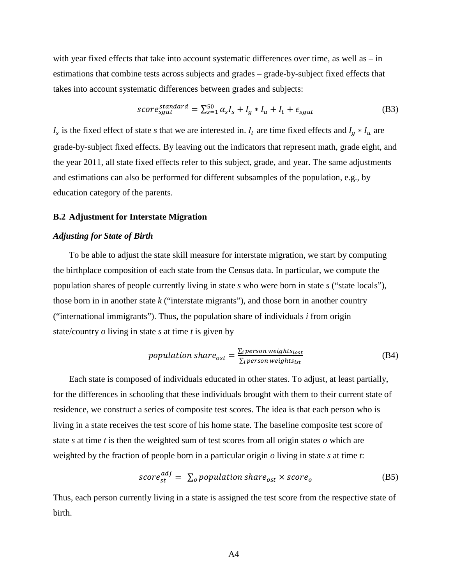with year fixed effects that take into account systematic differences over time, as well as  $-$  in estimations that combine tests across subjects and grades – grade-by-subject fixed effects that takes into account systematic differences between grades and subjects:

$$
score_{sgut}^{standard} = \sum_{s=1}^{50} \alpha_s I_s + I_g * I_u + I_t + \epsilon_{sgut}
$$
 (B3)

 $I_s$  is the fixed effect of state *s* that we are interested in.  $I_t$  are time fixed effects and  $I_q * I_u$  are grade-by-subject fixed effects. By leaving out the indicators that represent math, grade eight, and the year 2011, all state fixed effects refer to this subject, grade, and year. The same adjustments and estimations can also be performed for different subsamples of the population, e.g., by education category of the parents.

#### **B.2 Adjustment for Interstate Migration**

#### *Adjusting for State of Birth*

To be able to adjust the state skill measure for interstate migration, we start by computing the birthplace composition of each state from the Census data. In particular, we compute the population shares of people currently living in state *s* who were born in state *s* ("state locals"), those born in in another state *k* ("interstate migrants"), and those born in another country ("international immigrants"). Thus, the population share of individuals *i* from origin state/country *o* living in state *s* at time *t* is given by

$$
population share_{ost} = \frac{\Sigma_i \, person \, weights_{lost}}{\Sigma_i \, person \, weights_{ist}} \tag{B4}
$$

Each state is composed of individuals educated in other states. To adjust, at least partially, for the differences in schooling that these individuals brought with them to their current state of residence, we construct a series of composite test scores. The idea is that each person who is living in a state receives the test score of his home state. The baseline composite test score of state *s* at time *t* is then the weighted sum of test scores from all origin states *o* which are weighted by the fraction of people born in a particular origin *o* living in state *s* at time *t*:

$$
score_{st}^{adj} = \sum_{o} population\ share_{ost} \times score_o
$$
 (B5)

Thus, each person currently living in a state is assigned the test score from the respective state of birth.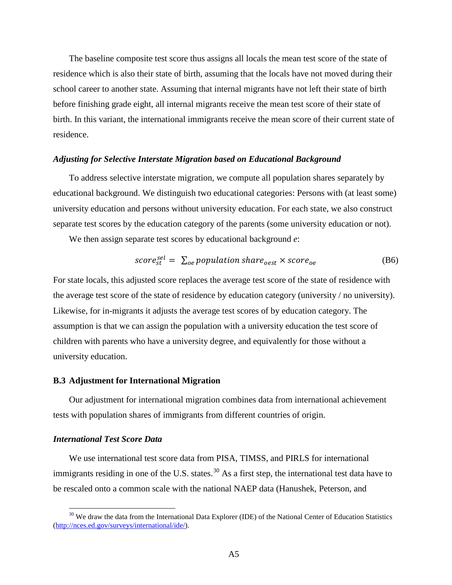The baseline composite test score thus assigns all locals the mean test score of the state of residence which is also their state of birth, assuming that the locals have not moved during their school career to another state. Assuming that internal migrants have not left their state of birth before finishing grade eight, all internal migrants receive the mean test score of their state of birth. In this variant, the international immigrants receive the mean score of their current state of residence.

#### *Adjusting for Selective Interstate Migration based on Educational Background*

To address selective interstate migration, we compute all population shares separately by educational background. We distinguish two educational categories: Persons with (at least some) university education and persons without university education. For each state, we also construct separate test scores by the education category of the parents (some university education or not).

We then assign separate test scores by educational background *e*:

$$
score_{st}^{sel} = \sum_{oe} population share_{oest} \times score_{oe}
$$
 (B6)

For state locals, this adjusted score replaces the average test score of the state of residence with the average test score of the state of residence by education category (university / no university). Likewise, for in-migrants it adjusts the average test scores of by education category. The assumption is that we can assign the population with a university education the test score of children with parents who have a university degree, and equivalently for those without a university education.

#### **B.3 Adjustment for International Migration**

Our adjustment for international migration combines data from international achievement tests with population shares of immigrants from different countries of origin.

#### *International Test Score Data*

 $\overline{a}$ 

We use international test score data from PISA, TIMSS, and PIRLS for international immigrants residing in one of the U.S. states.<sup>[30](#page-43-0)</sup> As a first step, the international test data have to be rescaled onto a common scale with the national NAEP data [\(Hanushek, Peterson, and](#page-36-1) 

<span id="page-43-0"></span><sup>&</sup>lt;sup>30</sup> We draw the data from the International Data Explorer (IDE) of the National Center of Education Statistics [\(http://nces.ed.gov/surveys/international/ide/\)](http://nces.ed.gov/surveys/international/ide/).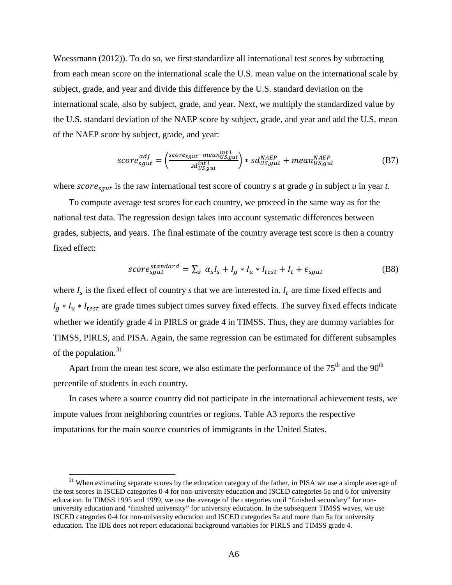[Woessmann \(2012\)](#page-36-1)). To do so, we first standardize all international test scores by subtracting from each mean score on the international scale the U.S. mean value on the international scale by subject, grade, and year and divide this difference by the U.S. standard deviation on the international scale, also by subject, grade, and year. Next, we multiply the standardized value by the U.S. standard deviation of the NAEP score by subject, grade, and year and add the U.S. mean of the NAEP score by subject, grade, and year:

$$
score_{sgut}^{adj} = \left(\frac{score_{sgut} - mean_{US, gut}^{int'l}}{sd_{US, gut}^{int'}}\right) * sd_{US, gut}^{NAEP} + mean_{US, gut}^{NAEP}
$$
(B7)

where  $score_{saut}$  is the raw international test score of country *s* at grade *g* in subject *u* in year *t*.

To compute average test scores for each country, we proceed in the same way as for the national test data. The regression design takes into account systematic differences between grades, subjects, and years. The final estimate of the country average test score is then a country fixed effect:

$$
score_{sgut}^{standard} = \sum_{s} \alpha_{s} I_{s} + I_{g} * I_{u} * I_{test} + I_{t} + \epsilon_{sgut}
$$
(B8)

where  $I_s$  is the fixed effect of country *s* that we are interested in.  $I_t$  are time fixed effects and  $I_a * I_u * I_{test}$  are grade times subject times survey fixed effects. The survey fixed effects indicate whether we identify grade 4 in PIRLS or grade 4 in TIMSS. Thus, they are dummy variables for TIMSS, PIRLS, and PISA. Again, the same regression can be estimated for different subsamples of the population.<sup>[31](#page-44-0)</sup>

Apart from the mean test score, we also estimate the performance of the  $75<sup>th</sup>$  and the  $90<sup>th</sup>$ percentile of students in each country.

In cases where a source country did not participate in the international achievement tests, we impute values from neighboring countries or regions. Table A3 reports the respective imputations for the main source countries of immigrants in the United States.

 $\overline{a}$ 

<span id="page-44-0"></span><sup>&</sup>lt;sup>31</sup> When estimating separate scores by the education category of the father, in PISA we use a simple average of the test scores in ISCED categories 0-4 for non-university education and ISCED categories 5a and 6 for university education. In TIMSS 1995 and 1999, we use the average of the categories until "finished secondary" for nonuniversity education and "finished university" for university education. In the subsequent TIMSS waves, we use ISCED categories 0-4 for non-university education and ISCED categories 5a and more than 5a for university education. The IDE does not report educational background variables for PIRLS and TIMSS grade 4.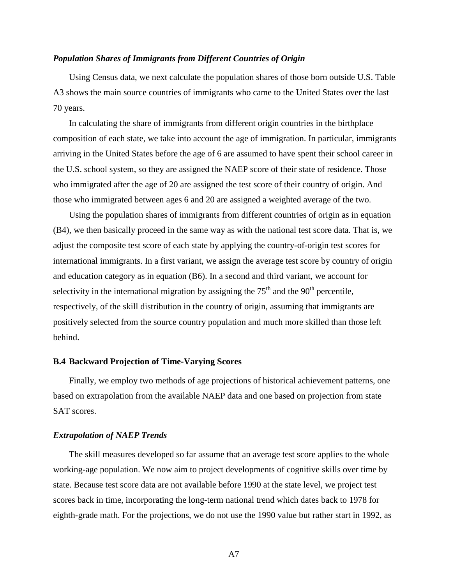#### *Population Shares of Immigrants from Different Countries of Origin*

Using Census data, we next calculate the population shares of those born outside U.S. Table A3 shows the main source countries of immigrants who came to the United States over the last 70 years.

In calculating the share of immigrants from different origin countries in the birthplace composition of each state, we take into account the age of immigration. In particular, immigrants arriving in the United States before the age of 6 are assumed to have spent their school career in the U.S. school system, so they are assigned the NAEP score of their state of residence. Those who immigrated after the age of 20 are assigned the test score of their country of origin. And those who immigrated between ages 6 and 20 are assigned a weighted average of the two.

Using the population shares of immigrants from different countries of origin as in equation (B4), we then basically proceed in the same way as with the national test score data. That is, we adjust the composite test score of each state by applying the country-of-origin test scores for international immigrants. In a first variant, we assign the average test score by country of origin and education category as in equation (B6). In a second and third variant, we account for selectivity in the international migration by assigning the  $75<sup>th</sup>$  and the  $90<sup>th</sup>$  percentile, respectively, of the skill distribution in the country of origin, assuming that immigrants are positively selected from the source country population and much more skilled than those left behind.

#### **B.4 Backward Projection of Time-Varying Scores**

Finally, we employ two methods of age projections of historical achievement patterns, one based on extrapolation from the available NAEP data and one based on projection from state SAT scores.

#### *Extrapolation of NAEP Trends*

The skill measures developed so far assume that an average test score applies to the whole working-age population. We now aim to project developments of cognitive skills over time by state. Because test score data are not available before 1990 at the state level, we project test scores back in time, incorporating the long-term national trend which dates back to 1978 for eighth-grade math. For the projections, we do not use the 1990 value but rather start in 1992, as

A7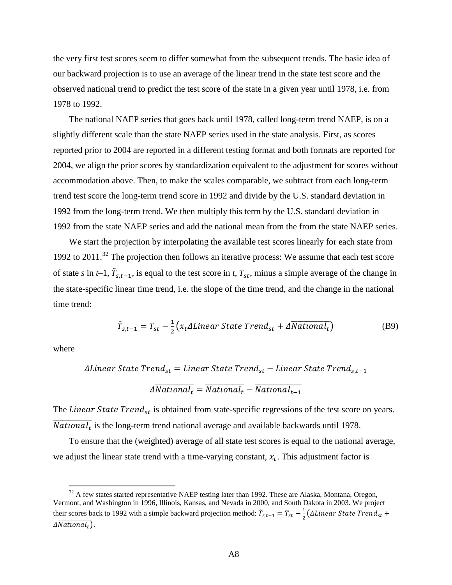the very first test scores seem to differ somewhat from the subsequent trends. The basic idea of our backward projection is to use an average of the linear trend in the state test score and the observed national trend to predict the test score of the state in a given year until 1978, i.e. from 1978 to 1992.

The national NAEP series that goes back until 1978, called long-term trend NAEP, is on a slightly different scale than the state NAEP series used in the state analysis. First, as scores reported prior to 2004 are reported in a different testing format and both formats are reported for 2004, we align the prior scores by standardization equivalent to the adjustment for scores without accommodation above. Then, to make the scales comparable, we subtract from each long-term trend test score the long-term trend score in 1992 and divide by the U.S. standard deviation in 1992 from the long-term trend. We then multiply this term by the U.S. standard deviation in 1992 from the state NAEP series and add the national mean from the from the state NAEP series.

We start the projection by interpolating the available test scores linearly for each state from 1992 to 2011.<sup>32</sup> The projection then follows an iterative process: We assume that each test score of state s in t-1,  $\tilde{T}_{s,t-1}$ , is equal to the test score in t,  $T_{st}$ , minus a simple average of the change in the state-specific linear time trend, i.e. the slope of the time trend, and the change in the national time trend:

$$
\tilde{T}_{s,t-1} = T_{st} - \frac{1}{2} \left( x_t \Delta Linear State \, Trend_{st} + \Delta \overline{National}_t \right) \tag{B9}
$$

where

$$
\Delta Linear\ State\ Trend_{st} = Linear\ State\ Trend_{st} - Linear\ State\ Trend_{s,t-1}
$$

$$
\Delta Natural_{t} = National_{t} - National_{t-1}
$$

The Linear State Trend<sub>st</sub> is obtained from state-specific regressions of the test score on years.  $\overline{National_t}$  is the long-term trend national average and available backwards until 1978.

To ensure that the (weighted) average of all state test scores is equal to the national average, we adjust the linear state trend with a time-varying constant,  $x_t$ . This adjustment factor is

<span id="page-46-0"></span> $32$  A few states started representative NAEP testing later than 1992. These are Alaska, Montana, Oregon, Vermont, and Washington in 1996, Illinois, Kansas, and Nevada in 2000, and South Dakota in 2003. We project their scores back to 1992 with a simple backward projection method:  $\tilde{T}_{s,t-1} = T_{st} - \frac{1}{2} (\Delta Linear State Trend_{st} +$  $\Delta \overline{National_t}$ ).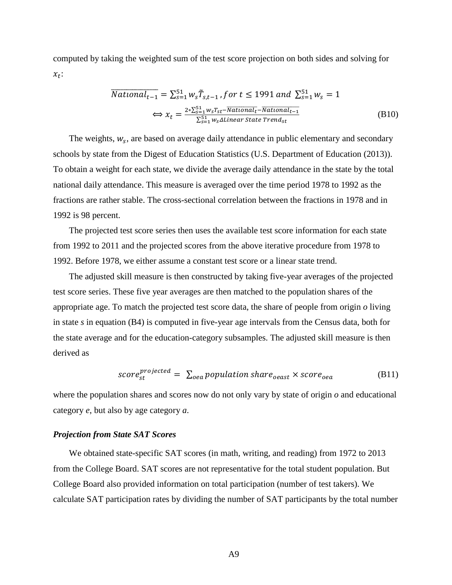computed by taking the weighted sum of the test score projection on both sides and solving for  $x_t$ :

$$
\overline{National_{t-1}} = \sum_{s=1}^{51} w_s \widetilde{T}_{s,t-1}, \text{ for } t \le 1991 \text{ and } \sum_{s=1}^{51} w_s = 1
$$
\n
$$
\Leftrightarrow x_t = \frac{2 \times \sum_{s=1}^{51} w_s T_{st} - \overline{National_t} - \overline{National_{t-1}}}{\sum_{s=1}^{51} w_s \Delta Linear State \text{ Trend}_{st}} \tag{B10}
$$

The weights,  $w<sub>s</sub>$ , are based on average daily attendance in public elementary and secondary schools by state from the Digest of Education Statistics [\(U.S. Department of Education \(2013\)](#page-38-2)). To obtain a weight for each state, we divide the average daily attendance in the state by the total national daily attendance. This measure is averaged over the time period 1978 to 1992 as the fractions are rather stable. The cross-sectional correlation between the fractions in 1978 and in 1992 is 98 percent.

The projected test score series then uses the available test score information for each state from 1992 to 2011 and the projected scores from the above iterative procedure from 1978 to 1992. Before 1978, we either assume a constant test score or a linear state trend.

The adjusted skill measure is then constructed by taking five-year averages of the projected test score series. These five year averages are then matched to the population shares of the appropriate age. To match the projected test score data, the share of people from origin *o* living in state *s* in equation (B4) is computed in five-year age intervals from the Census data, both for the state average and for the education-category subsamples. The adjusted skill measure is then derived as

$$
score_{st}^{projected} = \sum_{o \neq a} population share_{o \neq ast} \times score_{o \neq a}
$$
 (B11)

where the population shares and scores now do not only vary by state of origin *o* and educational category *e*, but also by age category *a*.

#### *Projection from State SAT Scores*

We obtained state-specific SAT scores (in math, writing, and reading) from 1972 to 2013 from the College Board. SAT scores are not representative for the total student population. But College Board also provided information on total participation (number of test takers). We calculate SAT participation rates by dividing the number of SAT participants by the total number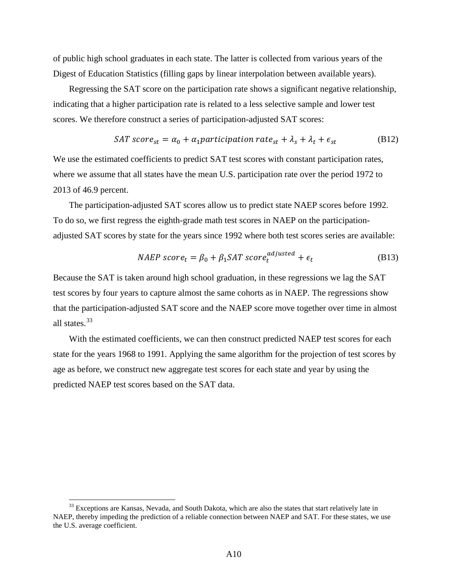of public high school graduates in each state. The latter is collected from various years of the Digest of Education Statistics (filling gaps by linear interpolation between available years).

Regressing the SAT score on the participation rate shows a significant negative relationship, indicating that a higher participation rate is related to a less selective sample and lower test scores. We therefore construct a series of participation-adjusted SAT scores:

$$
SAT\ score_{st} = \alpha_0 + \alpha_1 partitionation\ rate_{st} + \lambda_s + \lambda_t + \epsilon_{st}
$$
(B12)

We use the estimated coefficients to predict SAT test scores with constant participation rates, where we assume that all states have the mean U.S. participation rate over the period 1972 to 2013 of 46.9 percent.

The participation-adjusted SAT scores allow us to predict state NAEP scores before 1992. To do so, we first regress the eighth-grade math test scores in NAEP on the participationadjusted SAT scores by state for the years since 1992 where both test scores series are available:

$$
NAEP score_t = \beta_0 + \beta_1 SAT score_t^{adjusted} + \epsilon_t
$$
 (B13)

 $\mathbb{R}^2$ 

Because the SAT is taken around high school graduation, in these regressions we lag the SAT test scores by four years to capture almost the same cohorts as in NAEP. The regressions show that the participation-adjusted SAT score and the NAEP score move together over time in almost all states.[33](#page-48-0)

With the estimated coefficients, we can then construct predicted NAEP test scores for each state for the years 1968 to 1991. Applying the same algorithm for the projection of test scores by age as before, we construct new aggregate test scores for each state and year by using the predicted NAEP test scores based on the SAT data.

 $\overline{a}$ 

<span id="page-48-0"></span><sup>&</sup>lt;sup>33</sup> Exceptions are Kansas, Nevada, and South Dakota, which are also the states that start relatively late in NAEP, thereby impeding the prediction of a reliable connection between NAEP and SAT. For these states, we use the U.S. average coefficient.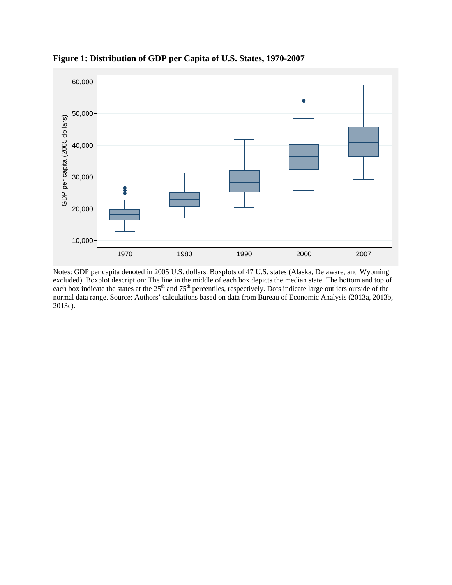

**Figure 1: Distribution of GDP per Capita of U.S. States, 1970-2007**

Notes: GDP per capita denoted in 2005 U.S. dollars. Boxplots of 47 U.S. states (Alaska, Delaware, and Wyoming excluded). Boxplot description: The line in the middle of each box depicts the median state. The bottom and top of each box indicate the states at the  $25<sup>th</sup>$  and  $75<sup>th</sup>$  percentiles, respectively. Dots indicate large outliers outside of the normal data range. Source: Authors' calculations based on data fro[m Bureau of Economic Analysis \(2013a,](#page-34-0) [2013b,](#page-34-1) [2013c\)](#page-34-2).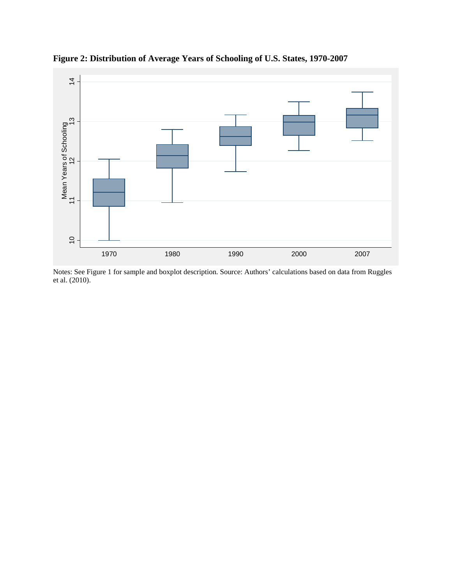

**Figure 2: Distribution of Average Years of Schooling of U.S. States, 1970-2007**

Notes: See Figure 1 for sample and boxplot description. Source: Authors' calculations based on data from [Ruggles](#page-38-0)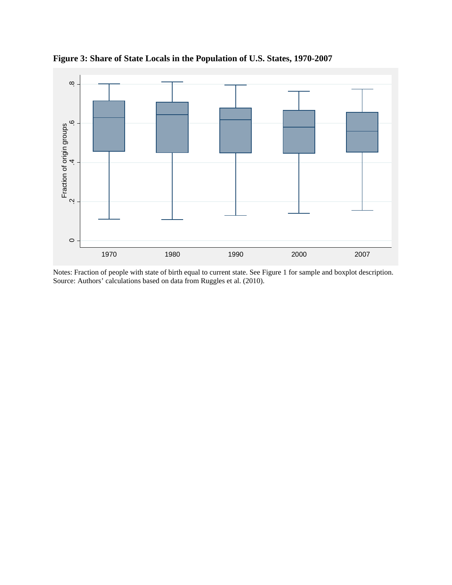

**Figure 3: Share of State Locals in the Population of U.S. States, 1970-2007** 

Notes: Fraction of people with state of birth equal to current state. See Figure 1 for sample and boxplot description. Source: Authors' calculations based on data from [Ruggles et al. \(2010\)](#page-38-0).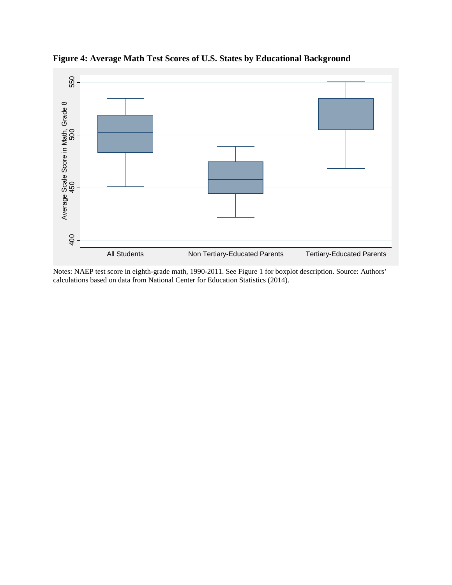

**Figure 4: Average Math Test Scores of U.S. States by Educational Background**

Notes: NAEP test score in eighth-grade math, 1990-2011. See Figure 1 for boxplot description. Source: Authors'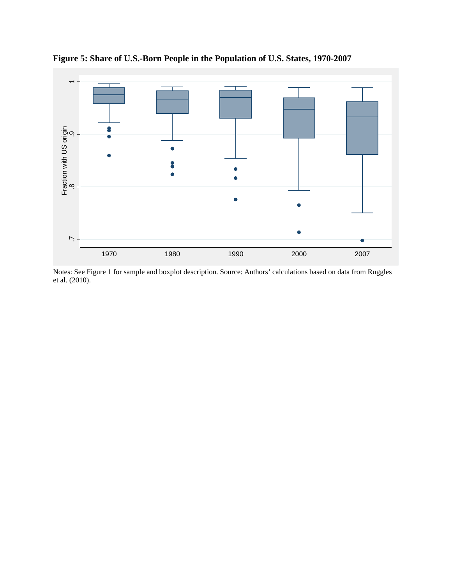

**Figure 5: Share of U.S.-Born People in the Population of U.S. States, 1970-2007** 

Notes: See Figure 1 for sample and boxplot description. Source: Authors' calculations based on data from [Ruggles](#page-38-0)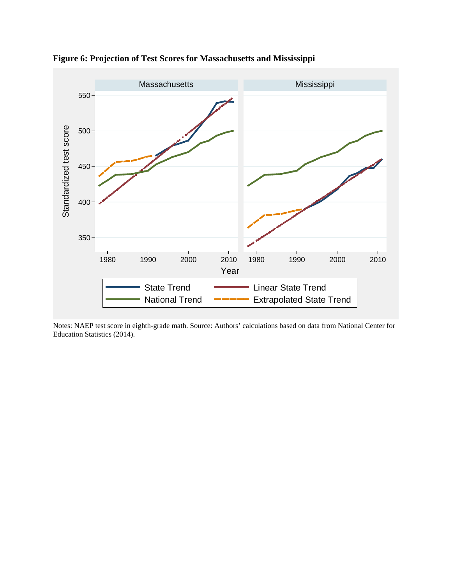

**Figure 6: Projection of Test Scores for Massachusetts and Mississippi**

Notes: NAEP test score in eighth-grade math. Source: Authors' calculations based on data fro[m National Center for](#page-38-1)  [Education Statistics \(2014\)](#page-38-1).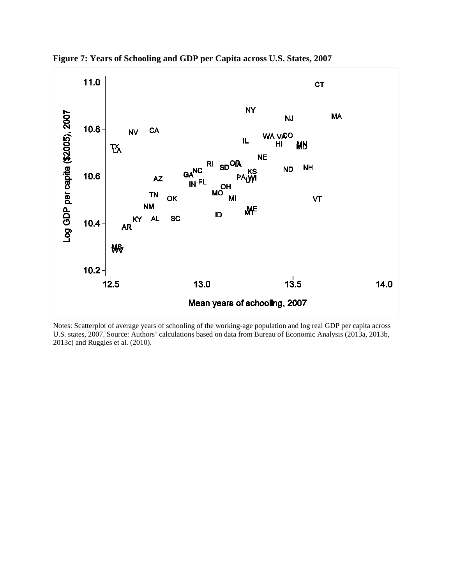

**Figure 7: Years of Schooling and GDP per Capita across U.S. States, 2007**

Notes: Scatterplot of average years of schooling of the working-age population and log real GDP per capita across U.S. states, 2007. Source: Authors' calculations based on data fro[m Bureau of Economic Analysis \(2013a,](#page-34-0) [2013b,](#page-34-1) [2013c\)](#page-34-2) and [Ruggles et al. \(2010\)](#page-38-0).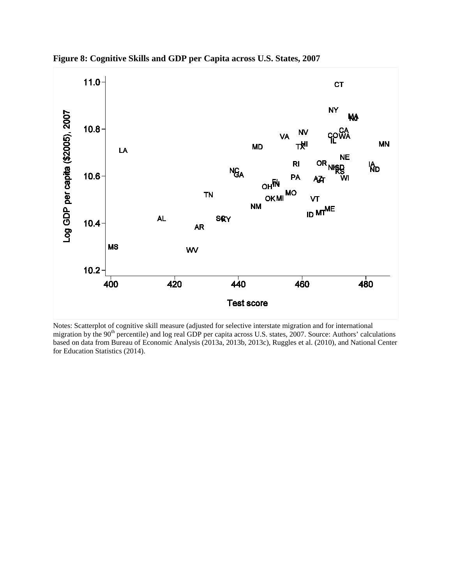

**Figure 8: Cognitive Skills and GDP per Capita across U.S. States, 2007**

Notes: Scatterplot of cognitive skill measure (adjusted for selective interstate migration and for international migration by the 90<sup>th</sup> percentile) and log real GDP per capita across U.S. states, 2007. Source: Authors' calculations based on data from [Bureau of Economic Analysis \(2013a,](#page-34-0) [2013b,](#page-34-1) [2013c\)](#page-34-2), [Ruggles et al. \(2010\)](#page-38-0), and [National Center](#page-38-1)  [for Education Statistics \(2014\)](#page-38-1).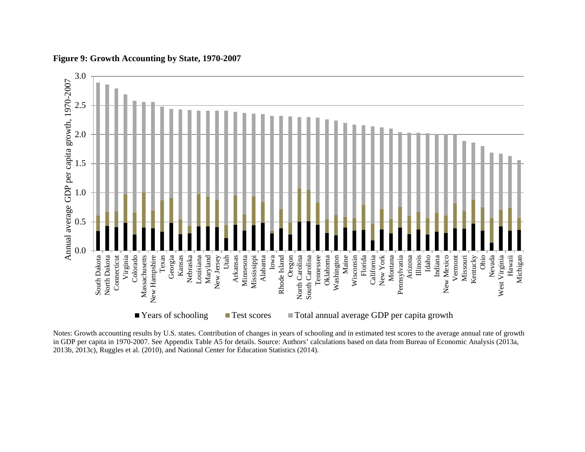

**Figure 9: Growth Accounting by State, 1970-2007** 

Notes: Growth accounting results by U.S. states. Contribution of changes in years of schooling and in estimated test scores to the average annual rate of growth in GDP per capita in 1970-2007. See Appendix Table A5 for details. Source: Authors' calculations based on data from [Bureau of Economic Analysis \(2013a,](#page-34-3) [2013b,](#page-34-4) [2013c\)](#page-34-5), [Ruggles et al. \(2010\)](#page-38-3), an[d National Center for Education Statistics \(2014\)](#page-38-4).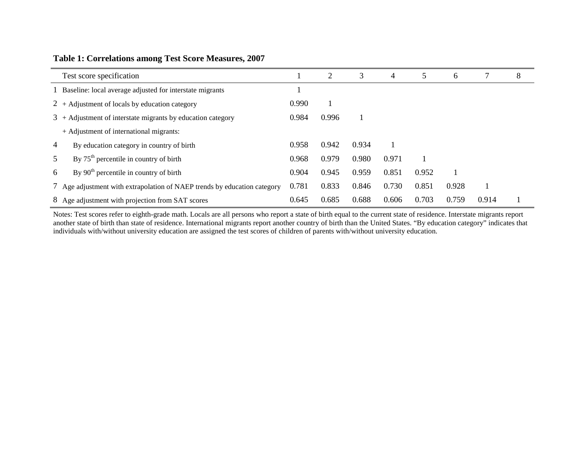## **Table 1: Correlations among Test Score Measures, 2007**

|   | Test score specification                                                 |       | 2     | 3     | 4     | 5     | 6     |       | 8 |
|---|--------------------------------------------------------------------------|-------|-------|-------|-------|-------|-------|-------|---|
|   | 1 Baseline: local average adjusted for interstate migrants               |       |       |       |       |       |       |       |   |
|   | $2 +$ Adjustment of locals by education category                         | 0.990 |       |       |       |       |       |       |   |
|   | $3 +$ Adjustment of interstate migrants by education category            | 0.984 | 0.996 |       |       |       |       |       |   |
|   | + Adjustment of international migrants:                                  |       |       |       |       |       |       |       |   |
| 4 | By education category in country of birth                                | 0.958 | 0.942 | 0.934 |       |       |       |       |   |
| 5 | By $75th$ percentile in country of birth                                 | 0.968 | 0.979 | 0.980 | 0.971 |       |       |       |   |
| 6 | By $90th$ percentile in country of birth                                 | 0.904 | 0.945 | 0.959 | 0.851 | 0.952 |       |       |   |
|   | 7 Age adjustment with extrapolation of NAEP trends by education category | 0.781 | 0.833 | 0.846 | 0.730 | 0.851 | 0.928 |       |   |
|   | 8 Age adjustment with projection from SAT scores                         | 0.645 | 0.685 | 0.688 | 0.606 | 0.703 | 0.759 | 0.914 |   |

Notes: Test scores refer to eighth-grade math. Locals are all persons who report a state of birth equal to the current state of residence. Interstate migrants report another state of birth than state of residence. International migrants report another country of birth than the United States. "By education category" indicates that individuals with/without university education are assigned the test scores of children of parents with/without university education.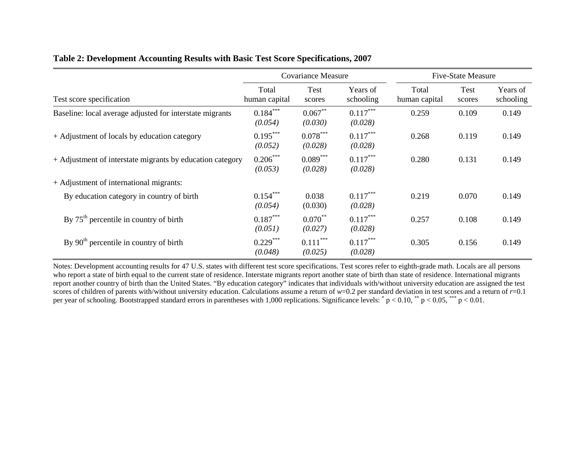|                                                           |                        | <b>Covariance Measure</b> |                       |                        | <b>Five-State Measure</b> |                       |
|-----------------------------------------------------------|------------------------|---------------------------|-----------------------|------------------------|---------------------------|-----------------------|
| Test score specification                                  | Total<br>human capital | Test<br>scores            | Years of<br>schooling | Total<br>human capital | <b>Test</b><br>scores     | Years of<br>schooling |
| Baseline: local average adjusted for interstate migrants  | $0.184***$<br>(0.054)  | $0.067***$<br>(0.030)     | $0.117***$<br>(0.028) | 0.259                  | 0.109                     | 0.149                 |
| + Adjustment of locals by education category              | $0.195***$<br>(0.052)  | $0.078***$<br>(0.028)     | $0.117***$<br>(0.028) | 0.268                  | 0.119                     | 0.149                 |
| + Adjustment of interstate migrants by education category | $0.206***$<br>(0.053)  | $0.089***$<br>(0.028)     | $0.117***$<br>(0.028) | 0.280                  | 0.131                     | 0.149                 |
| + Adjustment of international migrants:                   |                        |                           |                       |                        |                           |                       |
| By education category in country of birth                 | $0.154***$<br>(0.054)  | 0.038<br>(0.030)          | $0.117***$<br>(0.028) | 0.219                  | 0.070                     | 0.149                 |
| By $75th$ percentile in country of birth                  | $0.187***$<br>(0.051)  | $0.070***$<br>(0.027)     | $0.117***$<br>(0.028) | 0.257                  | 0.108                     | 0.149                 |
| By $90th$ percentile in country of birth                  | $0.229***$<br>(0.048)  | $0.111***$<br>(0.025)     | $0.117***$<br>(0.028) | 0.305                  | 0.156                     | 0.149                 |

## **Table 2: Development Accounting Results with Basic Test Score Specifications, 2007**

Notes: Development accounting results for 47 U.S. states with different test score specifications. Test scores refer to eighth-grade math. Locals are all persons who report a state of birth equal to the current state of residence. Interstate migrants report another state of birth than state of residence. International migrants report another country of birth than the United States. "By education category" indicates that individuals with/without university education are assigned the test scores of children of parents with/without university education. Calculations assume a return of  $w=0.2$  per standard deviation in test scores and a return of  $r=0.1$ per year of schooling. Bootstrapped standard errors in parentheses with 1,000 replications. Significance levels:  $* p < 0.10$ ,  $* p < 0.05$ ,  $* * p < 0.01$ .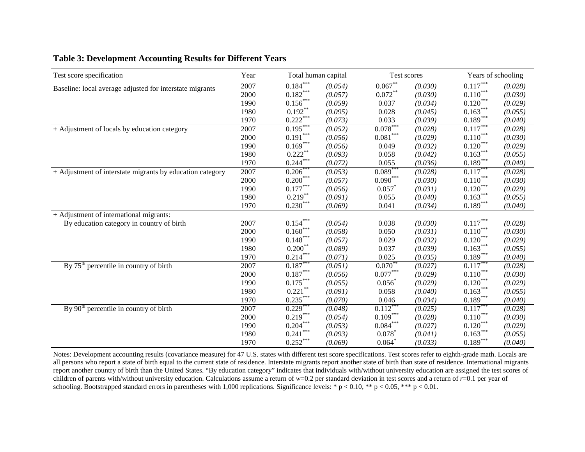| Test score specification                                  | Year | Total human capital    |         | Test scores            |         | Years of schooling     |         |
|-----------------------------------------------------------|------|------------------------|---------|------------------------|---------|------------------------|---------|
| Baseline: local average adjusted for interstate migrants  | 2007 | $0.184***$             | (0.054) | $0.067**$              | (0.030) | $0.117***$             | (0.028) |
|                                                           | 2000 | $0.182***$             | (0.057) | $0.072***$             | (0.030) | $0.110^\mathrm{***}$   | (0.030) |
|                                                           | 1990 | $0.156***$             | (0.059) | 0.037                  | (0.034) | $0.120^\mathrm{***}$   | (0.029) |
|                                                           | 1980 | $0.192***$             | (0.095) | 0.028                  | (0.045) | $0.163***$             | (0.055) |
|                                                           | 1970 | $0.222***$             | (0.073) | 0.033                  | (0.039) | $0.189***$             | (0.040) |
| + Adjustment of locals by education category              | 2007 | $0.195***$             | (0.052) | $0.078***$             | (0.028) | $0.117***$             | (0.028) |
|                                                           | 2000 | $0.191***$             | (0.056) | $0.081^{\ast\ast\ast}$ | (0.029) | $0.110***$             | (0.030) |
|                                                           | 1990 | $0.169***$             | (0.056) | 0.049                  | (0.032) | $0.120***$             | (0.029) |
|                                                           | 1980 | $0.222$ <sup>**</sup>  | (0.093) | 0.058                  | (0.042) | $0.163^{***}$          | (0.055) |
|                                                           | 1970 | $0.244***$             | (0.072) | 0.055                  | (0.036) | $0.189***$             | (0.040) |
| + Adjustment of interstate migrants by education category | 2007 | $0.206*$               | (0.053) | 0.089                  | (0.028) | $0.117***$             | (0.028) |
|                                                           | 2000 | $0.200***$             | (0.057) | $0.090^\mathrm{***}$   | (0.030) | $0.110^{\ast\ast\ast}$ | (0.030) |
|                                                           | 1990 | $0.177^{\ast\ast\ast}$ | (0.056) | 0.057                  | (0.031) | $0.120***$             | (0.029) |
|                                                           | 1980 | $0.219***$             | (0.091) | 0.055                  | (0.040) | $0.163***$             | (0.055) |
|                                                           | 1970 | $0.230***$             | (0.069) | 0.041                  | (0.034) | $0.189***$             | (0.040) |
| + Adjustment of international migrants:                   |      |                        |         |                        |         |                        |         |
| By education category in country of birth                 | 2007 | $0.154***$             | (0.054) | 0.038                  | (0.030) | $0.117***$             | (0.028) |
|                                                           | 2000 | $0.160***$             | (0.058) | 0.050                  | (0.031) | $0.110^\mathrm{***}$   | (0.030) |
|                                                           | 1990 | $0.148***$             | (0.057) | 0.029                  | (0.032) | $0.120^{\ast\ast\ast}$ | (0.029) |
|                                                           | 1980 | $0.200***$             | (0.089) | 0.037                  | (0.039) | $0.163***$             | (0.055) |
|                                                           | 1970 | $0.214***$             | (0.071) | 0.025                  | (0.035) | $0.189***$             | (0.040) |
| By $75th$ percentile in country of birth                  | 2007 | $0.187***$             | (0.051) | 0.070                  | (0.027) | $0.117***$             | (0.028) |
|                                                           | 2000 | $0.187^{\ast\ast\ast}$ | (0.056) | $0.077^{\ast\ast\ast}$ | (0.029) | $0.110^{\ast\ast\ast}$ | (0.030) |
|                                                           | 1990 | $0.175***$             | (0.055) | 0.056                  | (0.029) | $0.120***$             | (0.029) |
|                                                           | 1980 | $0.221$ **             | (0.091) | 0.058                  | (0.040) | $0.163***$             | (0.055) |
|                                                           | 1970 | $0.235***$             | (0.070) | 0.046                  | (0.034) | $0.189***$             | (0.040) |
| By 90 <sup>th</sup> percentile in country of birth        | 2007 | $0.229$ **             | (0.048) | $0.112***$             | (0.025) | $0.117***$             | (0.028) |
|                                                           | 2000 | $0.219***$             | (0.054) | $0.109***$             | (0.028) | $0.110^\mathrm{***}$   | (0.030) |
|                                                           | 1990 | $0.204***$             | (0.053) | $0.084^{\ast\ast\ast}$ | (0.027) | $0.120^\mathrm{***}$   | (0.029) |
|                                                           | 1980 | $0.241***$             | (0.093) | 0.078                  | (0.041) | $0.163***$             | (0.055) |
|                                                           | 1970 | $0.252***$             | (0.069) | 0.064                  | (0.033) | $0.189***$             | (0.040) |

## **Table 3: Development Accounting Results for Different Years**

Notes: Development accounting results (covariance measure) for 47 U.S. states with different test score specifications. Test scores refer to eighth-grade math. Locals are all persons who report a state of birth equal to the current state of residence. Interstate migrants report another state of birth than state of residence. International migrants report another country of birth than the United States. "By education category" indicates that individuals with/without university education are assigned the test scores of children of parents with/without university education. Calculations assume a return of *w*=0.2 per standard deviation in test scores and a return of *r*=0.1 per year of schooling. Bootstrapped standard errors in parentheses with 1,000 replications. Significance levels: \*  $p < 0.10$ , \*\*  $p < 0.05$ , \*\*\*  $p < 0.01$ .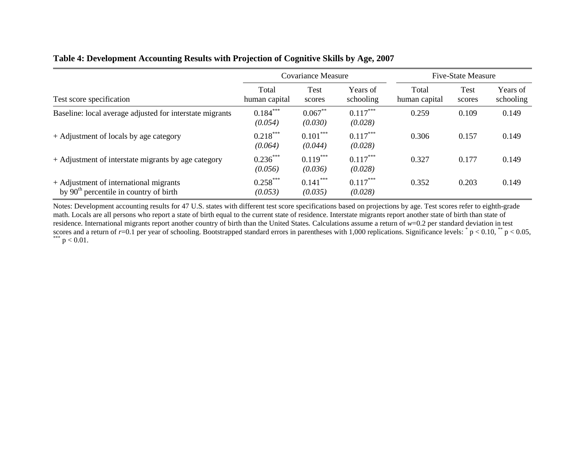## **Table 4: Development Accounting Results with Projection of Cognitive Skills by Age, 2007**

|                                                                                    |                        | <b>Covariance Measure</b> |                       | <b>Five-State Measure</b> |                       |                       |
|------------------------------------------------------------------------------------|------------------------|---------------------------|-----------------------|---------------------------|-----------------------|-----------------------|
| Test score specification                                                           | Total<br>human capital | Test<br>scores            | Years of<br>schooling | Total<br>human capital    | <b>Test</b><br>scores | Years of<br>schooling |
| Baseline: local average adjusted for interstate migrants                           | $0.184***$<br>(0.054)  | $0.067**$<br>(0.030)      | $0.117***$<br>(0.028) | 0.259                     | 0.109                 | 0.149                 |
| + Adjustment of locals by age category                                             | $0.218***$<br>(0.064)  | $0.101***$<br>(0.044)     | $0.117***$<br>(0.028) | 0.306                     | 0.157                 | 0.149                 |
| + Adjustment of interstate migrants by age category                                | $0.236***$<br>(0.056)  | $0.119***$<br>(0.036)     | $0.117***$<br>(0.028) | 0.327                     | 0.177                 | 0.149                 |
| + Adjustment of international migrants<br>by $90th$ percentile in country of birth | $0.258***$<br>(0.053)  | $0.141***$<br>(0.035)     | $0.117***$<br>(0.028) | 0.352                     | 0.203                 | 0.149                 |

Notes: Development accounting results for 47 U.S. states with different test score specifications based on projections by age. Test scores refer to eighth-grade math. Locals are all persons who report a state of birth equal to the current state of residence. Interstate migrants report another state of birth than state of residence. International migrants report another country of birth than the United States. Calculations assume a return of  $w=0.2$  per standard deviation in test scores and a return of  $r=0.1$  per year of schooling. Bootstrapped standard errors in parentheses with 1,000 replications. Significance levels: \* p < 0.10, \*\* p < 0.05, \*\*\* p < 0.01.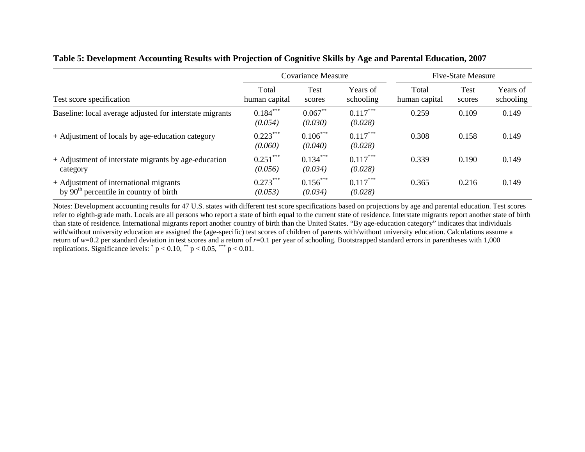|                                                                                      |                        | Covariance Measure    |                       | <b>Five-State Measure</b> |                |                       |
|--------------------------------------------------------------------------------------|------------------------|-----------------------|-----------------------|---------------------------|----------------|-----------------------|
| Test score specification                                                             | Total<br>human capital | Test<br>scores        | Years of<br>schooling | Total<br>human capital    | Test<br>scores | Years of<br>schooling |
| Baseline: local average adjusted for interstate migrants                             | $0.184***$<br>(0.054)  | $0.067***$<br>(0.030) | $0.117***$<br>(0.028) | 0.259                     | 0.109          | 0.149                 |
| + Adjustment of locals by age-education category                                     | $0.223***$<br>(0.060)  | $0.106***$<br>(0.040) | $0.117***$<br>(0.028) | 0.308                     | 0.158          | 0.149                 |
| + Adjustment of interstate migrants by age-education<br>category                     | $0.251***$<br>(0.056)  | $0.134***$<br>(0.034) | $0.117***$<br>(0.028) | 0.339                     | 0.190          | 0.149                 |
| $+$ Adjustment of international migrants<br>by $90th$ percentile in country of birth | $0.273***$<br>(0.053)  | $0.156***$<br>(0.034) | $0.117***$<br>(0.028) | 0.365                     | 0.216          | 0.149                 |

## **Table 5: Development Accounting Results with Projection of Cognitive Skills by Age and Parental Education, 2007**

Notes: Development accounting results for 47 U.S. states with different test score specifications based on projections by age and parental education. Test scores refer to eighth-grade math. Locals are all persons who report a state of birth equal to the current state of residence. Interstate migrants report another state of birth than state of residence. International migrants report another country of birth than the United States. "By age-education category" indicates that individuals with/without university education are assigned the (age-specific) test scores of children of parents with/without university education. Calculations assume a return of *w*=0.2 per standard deviation in test scores and a return of *r*=0.1 per year of schooling. Bootstrapped standard errors in parentheses with 1,000 replications. Significance levels:  $p < 0.10$ ,  $p < 0.05$ ,  $p < 0.01$ .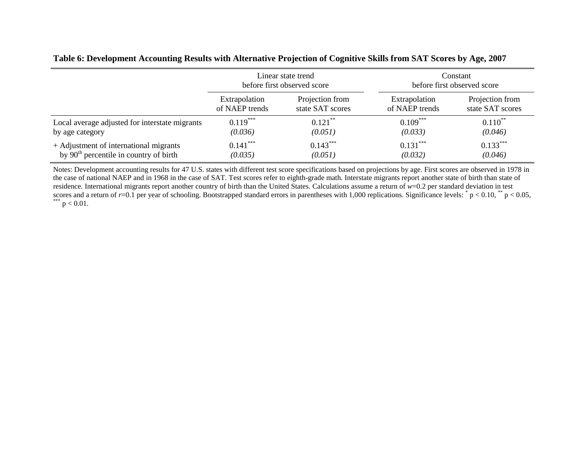|                                                    |                | Linear state trend<br>before first observed score | Constant<br>before first observed score |                  |  |
|----------------------------------------------------|----------------|---------------------------------------------------|-----------------------------------------|------------------|--|
|                                                    | Extrapolation  | Projection from                                   | Extrapolation                           | Projection from  |  |
|                                                    | of NAEP trends | state SAT scores                                  | of NAEP trends                          | state SAT scores |  |
| Local average adjusted for interstate migrants     | $0.119***$     | $0.121$ **                                        | $0.109***$                              | $0.110^{**}$     |  |
| by age category                                    | (0.036)        | (0.051)                                           | (0.033)                                 | (0.046)          |  |
| + Adjustment of international migrants             | $0.141***$     | $0.143***$                                        | $0.131***$                              | $0.133***$       |  |
| by 90 <sup>th</sup> percentile in country of birth | (0.035)        | (0.051)                                           | (0.032)                                 | (0.046)          |  |

**Table 6: Development Accounting Results with Alternative Projection of Cognitive Skills from SAT Scores by Age, 2007**

Notes: Development accounting results for 47 U.S. states with different test score specifications based on projections by age. First scores are observed in 1978 in the case of national NAEP and in 1968 in the case of SAT. Test scores refer to eighth-grade math. Interstate migrants report another state of birth than state of residence. International migrants report another country of birth than the United States. Calculations assume a return of  $w=0.2$  per standard deviation in test scores and a return of  $r=0.1$  per year of schooling. Bootstrapped standard errors in parentheses with 1,000 replications. Significance levels:  $p < 0.10$ ,  $p < 0.05$ ,  $p < 0.05$ ,  $p < 0.01$ .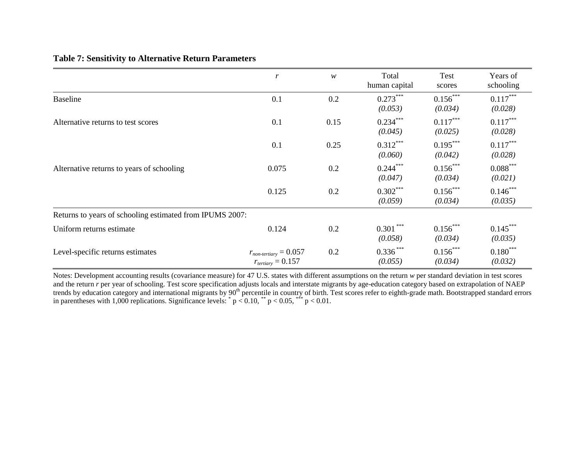## **Table 7: Sensitivity to Alternative Return Parameters**

|                                                          | $\boldsymbol{r}$                                            | W    | Total<br>human capital | Test<br>scores        | Years of<br>schooling |
|----------------------------------------------------------|-------------------------------------------------------------|------|------------------------|-----------------------|-----------------------|
| <b>Baseline</b>                                          | 0.1                                                         | 0.2  | $0.273***$<br>(0.053)  | $0.156***$<br>(0.034) | $0.117***$<br>(0.028) |
| Alternative returns to test scores                       | 0.1                                                         | 0.15 | $0.234***$<br>(0.045)  | $0.117***$<br>(0.025) | $0.117***$<br>(0.028) |
|                                                          | 0.1                                                         | 0.25 | $0.312***$<br>(0.060)  | $0.195***$<br>(0.042) | $0.117***$<br>(0.028) |
| Alternative returns to years of schooling                | 0.075                                                       | 0.2  | $0.244***$<br>(0.047)  | $0.156***$<br>(0.034) | $0.088***$<br>(0.021) |
|                                                          | 0.125                                                       | 0.2  | $0.302***$<br>(0.059)  | $0.156***$<br>(0.034) | $0.146***$<br>(0.035) |
| Returns to years of schooling estimated from IPUMS 2007: |                                                             |      |                        |                       |                       |
| Uniform returns estimate                                 | 0.124                                                       | 0.2  | $0.301$ ***<br>(0.058) | $0.156***$<br>(0.034) | $0.145***$<br>(0.035) |
| Level-specific returns estimates                         | $r_{non-tertiary} = 0.057$<br>$r_{\text{tertiary}} = 0.157$ | 0.2  | $0.336***$<br>(0.055)  | $0.156***$<br>(0.034) | $0.180***$<br>(0.032) |

Notes: Development accounting results (covariance measure) for 47 U.S. states with different assumptions on the return *w* per standard deviation in test scores and the return *r* per year of schooling. Test score specification adjusts locals and interstate migrants by age-education category based on extrapolation of NAEP trends by education category and international migrants by 90<sup>th</sup> percentile in country of birth. Test scores refer to eighth-grade math. Bootstrapped standard errors in parentheses with 1,000 replications. Significance levels:  $p < 0.10$ ,  $p > 0.05$ ,  $p > 0.01$ .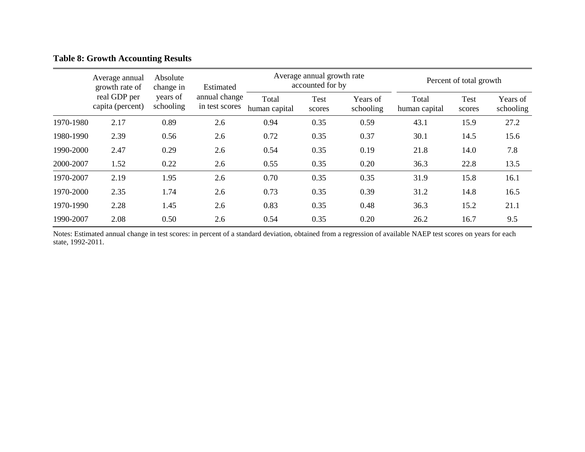## **Table 8: Growth Accounting Results**

|           | Average annual<br>growth rate of | Absolute<br>change in |                                 | Estimated              | Average annual growth rate<br>accounted for by |                       |                        | Percent of total growth |                       |  |
|-----------|----------------------------------|-----------------------|---------------------------------|------------------------|------------------------------------------------|-----------------------|------------------------|-------------------------|-----------------------|--|
|           | real GDP per<br>capita (percent) | years of<br>schooling | annual change<br>in test scores | Total<br>human capital | Test<br>scores                                 | Years of<br>schooling | Total<br>human capital | Test<br>scores          | Years of<br>schooling |  |
| 1970-1980 | 2.17                             | 0.89                  | 2.6                             | 0.94                   | 0.35                                           | 0.59                  | 43.1                   | 15.9                    | 27.2                  |  |
| 1980-1990 | 2.39                             | 0.56                  | 2.6                             | 0.72                   | 0.35                                           | 0.37                  | 30.1                   | 14.5                    | 15.6                  |  |
| 1990-2000 | 2.47                             | 0.29                  | 2.6                             | 0.54                   | 0.35                                           | 0.19                  | 21.8                   | 14.0                    | 7.8                   |  |
| 2000-2007 | 1.52                             | 0.22                  | 2.6                             | 0.55                   | 0.35                                           | 0.20                  | 36.3                   | 22.8                    | 13.5                  |  |
| 1970-2007 | 2.19                             | 1.95                  | 2.6                             | 0.70                   | 0.35                                           | 0.35                  | 31.9                   | 15.8                    | 16.1                  |  |
| 1970-2000 | 2.35                             | 1.74                  | 2.6                             | 0.73                   | 0.35                                           | 0.39                  | 31.2                   | 14.8                    | 16.5                  |  |
| 1970-1990 | 2.28                             | 1.45                  | 2.6                             | 0.83                   | 0.35                                           | 0.48                  | 36.3                   | 15.2                    | 21.1                  |  |
| 1990-2007 | 2.08                             | 0.50                  | 2.6                             | 0.54                   | 0.35                                           | 0.20                  | 26.2                   | 16.7                    | 9.5                   |  |

Notes: Estimated annual change in test scores: in percent of a standard deviation, obtained from a regression of available NAEP test scores on years for each state, 1992-2011.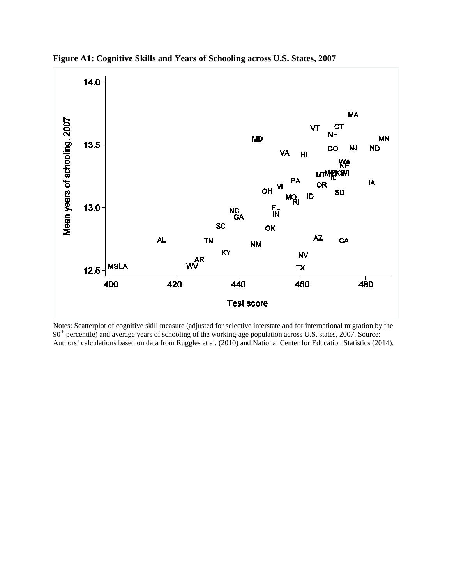

**Figure A1: Cognitive Skills and Years of Schooling across U.S. States, 2007**

Notes: Scatterplot of cognitive skill measure (adjusted for selective interstate and for international migration by the 90<sup>th</sup> percentile) and average years of schooling of the working-age population across U.S. states, 2007. Source: Authors' calculations based on data from [Ruggles et al. \(2010\)](#page-38-0) an[d National Center for Education Statistics \(2014\)](#page-38-1).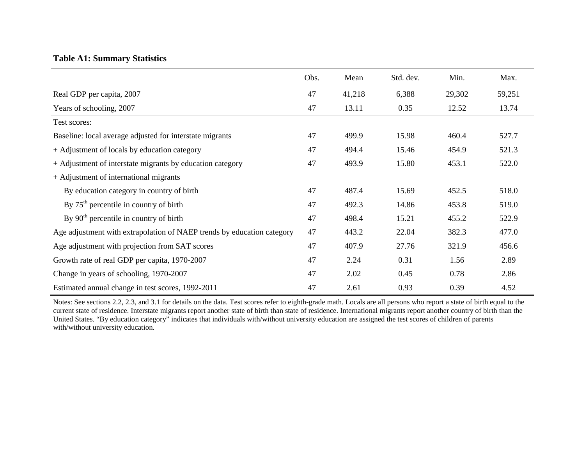## **Table A1: Summary Statistics**

|                                                                        | Obs. | Mean   | Std. dev. | Min.   | Max.   |
|------------------------------------------------------------------------|------|--------|-----------|--------|--------|
| Real GDP per capita, 2007                                              | 47   | 41,218 | 6,388     | 29,302 | 59,251 |
| Years of schooling, 2007                                               | 47   | 13.11  | 0.35      | 12.52  | 13.74  |
| Test scores:                                                           |      |        |           |        |        |
| Baseline: local average adjusted for interstate migrants               | 47   | 499.9  | 15.98     | 460.4  | 527.7  |
| + Adjustment of locals by education category                           | 47   | 494.4  | 15.46     | 454.9  | 521.3  |
| + Adjustment of interstate migrants by education category              | 47   | 493.9  | 15.80     | 453.1  | 522.0  |
| + Adjustment of international migrants                                 |      |        |           |        |        |
| By education category in country of birth                              | 47   | 487.4  | 15.69     | 452.5  | 518.0  |
| By $75th$ percentile in country of birth                               | 47   | 492.3  | 14.86     | 453.8  | 519.0  |
| By $90th$ percentile in country of birth                               | 47   | 498.4  | 15.21     | 455.2  | 522.9  |
| Age adjustment with extrapolation of NAEP trends by education category | 47   | 443.2  | 22.04     | 382.3  | 477.0  |
| Age adjustment with projection from SAT scores                         | 47   | 407.9  | 27.76     | 321.9  | 456.6  |
| Growth rate of real GDP per capita, 1970-2007                          | 47   | 2.24   | 0.31      | 1.56   | 2.89   |
| Change in years of schooling, 1970-2007                                | 47   | 2.02   | 0.45      | 0.78   | 2.86   |
| Estimated annual change in test scores, 1992-2011                      | 47   | 2.61   | 0.93      | 0.39   | 4.52   |

Notes: See sections 2.2, 2.3, and 3.1 for details on the data. Test scores refer to eighth-grade math. Locals are all persons who report a state of birth equal to the current state of residence. Interstate migrants report another state of birth than state of residence. International migrants report another country of birth than the United States. "By education category" indicates that individuals with/without university education are assigned the test scores of children of parents with/without university education.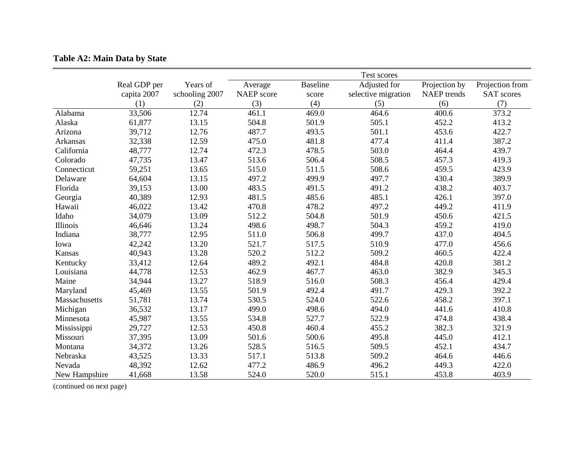|               |              |                |            |                 | Test scores         |                    |                   |
|---------------|--------------|----------------|------------|-----------------|---------------------|--------------------|-------------------|
|               | Real GDP per | Years of       | Average    | <b>Baseline</b> | Adjusted for        | Projection by      | Projection from   |
|               | capita 2007  | schooling 2007 | NAEP score | score           | selective migration | <b>NAEP</b> trends | <b>SAT</b> scores |
|               | (1)          | (2)            | (3)        | (4)             | (5)                 | (6)                | (7)               |
| Alabama       | 33,506       | 12.74          | 461.1      | 469.0           | 464.6               | 400.6              | 373.2             |
| Alaska        | 61,877       | 13.15          | 504.8      | 501.9           | 505.1               | 452.2              | 413.2             |
| Arizona       | 39,712       | 12.76          | 487.7      | 493.5           | 501.1               | 453.6              | 422.7             |
| Arkansas      | 32,338       | 12.59          | 475.0      | 481.8           | 477.4               | 411.4              | 387.2             |
| California    | 48,777       | 12.74          | 472.3      | 478.5           | 503.0               | 464.4              | 439.7             |
| Colorado      | 47,735       | 13.47          | 513.6      | 506.4           | 508.5               | 457.3              | 419.3             |
| Connecticut   | 59,251       | 13.65          | 515.0      | 511.5           | 508.6               | 459.5              | 423.9             |
| Delaware      | 64,604       | 13.15          | 497.2      | 499.9           | 497.7               | 430.4              | 389.9             |
| Florida       | 39,153       | 13.00          | 483.5      | 491.5           | 491.2               | 438.2              | 403.7             |
| Georgia       | 40,389       | 12.93          | 481.5      | 485.6           | 485.1               | 426.1              | 397.0             |
| Hawaii        | 46,022       | 13.42          | 470.8      | 478.2           | 497.2               | 449.2              | 411.9             |
| Idaho         | 34,079       | 13.09          | 512.2      | 504.8           | 501.9               | 450.6              | 421.5             |
| Illinois      | 46,646       | 13.24          | 498.6      | 498.7           | 504.3               | 459.2              | 419.0             |
| Indiana       | 38,777       | 12.95          | 511.0      | 506.8           | 499.7               | 437.0              | 404.5             |
| Iowa          | 42,242       | 13.20          | 521.7      | 517.5           | 510.9               | 477.0              | 456.6             |
| Kansas        | 40,943       | 13.28          | 520.2      | 512.2           | 509.2               | 460.5              | 422.4             |
| Kentucky      | 33,412       | 12.64          | 489.2      | 492.1           | 484.8               | 420.8              | 381.2             |
| Louisiana     | 44,778       | 12.53          | 462.9      | 467.7           | 463.0               | 382.9              | 345.3             |
| Maine         | 34,944       | 13.27          | 518.9      | 516.0           | 508.3               | 456.4              | 429.4             |
| Maryland      | 45,469       | 13.55          | 501.9      | 492.4           | 491.7               | 429.3              | 392.2             |
| Massachusetts | 51,781       | 13.74          | 530.5      | 524.0           | 522.6               | 458.2              | 397.1             |
| Michigan      | 36,532       | 13.17          | 499.0      | 498.6           | 494.0               | 441.6              | 410.8             |
| Minnesota     | 45,987       | 13.55          | 534.8      | 527.7           | 522.9               | 474.8              | 438.4             |
| Mississippi   | 29,727       | 12.53          | 450.8      | 460.4           | 455.2               | 382.3              | 321.9             |
| Missouri      | 37,395       | 13.09          | 501.6      | 500.6           | 495.8               | 445.0              | 412.1             |
| Montana       | 34,372       | 13.26          | 528.5      | 516.5           | 509.5               | 452.1              | 434.7             |
| Nebraska      | 43,525       | 13.33          | 517.1      | 513.8           | 509.2               | 464.6              | 446.6             |
| Nevada        | 48,392       | 12.62          | 477.2      | 486.9           | 496.2               | 449.3              | 422.0             |
| New Hampshire | 41,668       | 13.58          | 524.0      | 520.0           | 515.1               | 453.8              | 403.9             |

# **Table A2: Main Data by State**

(continued on next page)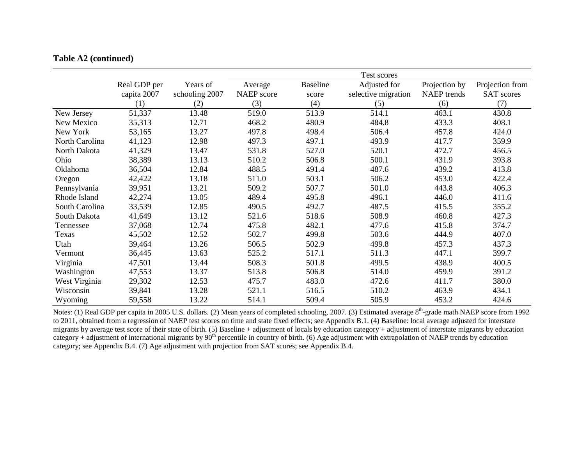## **Table A2 (continued)**

|                |              |                |            |                 | Test scores         |                    |                   |
|----------------|--------------|----------------|------------|-----------------|---------------------|--------------------|-------------------|
|                | Real GDP per | Years of       | Average    | <b>Baseline</b> | Adjusted for        | Projection by      | Projection from   |
|                | capita 2007  | schooling 2007 | NAEP score | score           | selective migration | <b>NAEP</b> trends | <b>SAT</b> scores |
|                | (1)          | (2)            | (3)        | (4)             | (5)                 | (6)                | (7)               |
| New Jersey     | 51,337       | 13.48          | 519.0      | 513.9           | 514.1               | 463.1              | 430.8             |
| New Mexico     | 35,313       | 12.71          | 468.2      | 480.9           | 484.8               | 433.3              | 408.1             |
| New York       | 53,165       | 13.27          | 497.8      | 498.4           | 506.4               | 457.8              | 424.0             |
| North Carolina | 41,123       | 12.98          | 497.3      | 497.1           | 493.9               | 417.7              | 359.9             |
| North Dakota   | 41,329       | 13.47          | 531.8      | 527.0           | 520.1               | 472.7              | 456.5             |
| Ohio           | 38,389       | 13.13          | 510.2      | 506.8           | 500.1               | 431.9              | 393.8             |
| Oklahoma       | 36,504       | 12.84          | 488.5      | 491.4           | 487.6               | 439.2              | 413.8             |
| Oregon         | 42,422       | 13.18          | 511.0      | 503.1           | 506.2               | 453.0              | 422.4             |
| Pennsylvania   | 39,951       | 13.21          | 509.2      | 507.7           | 501.0               | 443.8              | 406.3             |
| Rhode Island   | 42,274       | 13.05          | 489.4      | 495.8           | 496.1               | 446.0              | 411.6             |
| South Carolina | 33,539       | 12.85          | 490.5      | 492.7           | 487.5               | 415.5              | 355.2             |
| South Dakota   | 41,649       | 13.12          | 521.6      | 518.6           | 508.9               | 460.8              | 427.3             |
| Tennessee      | 37,068       | 12.74          | 475.8      | 482.1           | 477.6               | 415.8              | 374.7             |
| Texas          | 45,502       | 12.52          | 502.7      | 499.8           | 503.6               | 444.9              | 407.0             |
| Utah           | 39,464       | 13.26          | 506.5      | 502.9           | 499.8               | 457.3              | 437.3             |
| Vermont        | 36,445       | 13.63          | 525.2      | 517.1           | 511.3               | 447.1              | 399.7             |
| Virginia       | 47,501       | 13.44          | 508.3      | 501.8           | 499.5               | 438.9              | 400.5             |
| Washington     | 47,553       | 13.37          | 513.8      | 506.8           | 514.0               | 459.9              | 391.2             |
| West Virginia  | 29,302       | 12.53          | 475.7      | 483.0           | 472.6               | 411.7              | 380.0             |
| Wisconsin      | 39,841       | 13.28          | 521.1      | 516.5           | 510.2               | 463.9              | 434.1             |
| Wyoming        | 59,558       | 13.22          | 514.1      | 509.4           | 505.9               | 453.2              | 424.6             |

Notes: (1) Real GDP per capita in 2005 U.S. dollars. (2) Mean years of completed schooling, 2007. (3) Estimated average 8<sup>th</sup>-grade math NAEP score from 1992 to 2011, obtained from a regression of NAEP test scores on time and state fixed effects; see Appendix B.1. (4) Baseline: local average adjusted for interstate migrants by average test score of their state of birth. (5) Baseline + adjustment of locals by education category + adjustment of interstate migrants by education category + adjustment of international migrants by  $90^{th}$  percentile in country of birth. (6) Age adjustment with extrapolation of NAEP trends by education category; see Appendix B.4. (7) Age adjustment with projection from SAT scores; see Appendix B.4.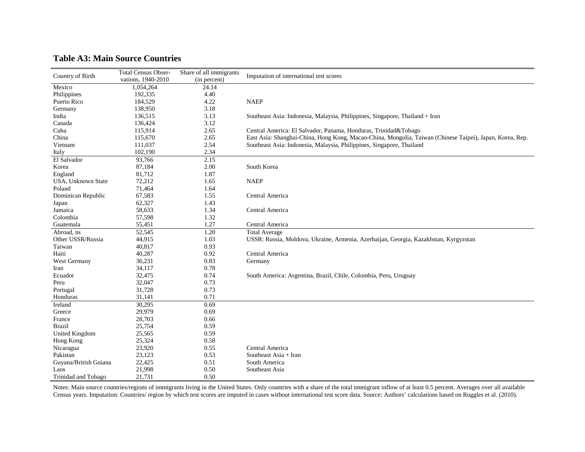## **Table A3: Main Source Countries**

| Country of Birth      | <b>Total Census Obser-</b> | Share of all immigrants | Imputation of international test scores                                                                  |
|-----------------------|----------------------------|-------------------------|----------------------------------------------------------------------------------------------------------|
|                       | vations, 1940-2010         | (in percent)            |                                                                                                          |
| Mexico                | 1,054,264                  | 24.14                   |                                                                                                          |
| Philippines           | 192,335                    | 4.40                    |                                                                                                          |
| Puerto Rico           | 184,529                    | 4.22                    | <b>NAEP</b>                                                                                              |
| Germany               | 138,950                    | 3.18                    |                                                                                                          |
| India                 | 136,515                    | 3.13                    | Southeast Asia: Indonesia, Malaysia, Philippines, Singapore, Thailand + Iran                             |
| Canada                | 136,424                    | 3.12                    |                                                                                                          |
| Cuba                  | 115,914                    | 2.65                    | Central America: El Salvador, Panama, Honduras, Trinidad&Tobago                                          |
| China                 | 115,670                    | 2.65                    | East Asia: Shanghai-China, Hong Kong, Macao-China, Mongolia, Taiwan (Chinese Taipei), Japan, Korea, Rep. |
| Vietnam               | 111,037                    | 2.54                    | Southeast Asia: Indonesia, Malaysia, Philippines, Singapore, Thailand                                    |
| Italy                 | 102,190                    | 2.34                    |                                                                                                          |
| El Salvador           | 93,766                     | 2.15                    |                                                                                                          |
| Korea                 | 87,184                     | 2.00                    | South Korea                                                                                              |
| England               | 81,712                     | 1.87                    |                                                                                                          |
| USA, Unknown State    | 72,212                     | 1.65                    | <b>NAEP</b>                                                                                              |
| Poland                | 71,464                     | 1.64                    |                                                                                                          |
| Dominican Republic    | 67,583                     | 1.55                    | Central America                                                                                          |
| Japan                 | 62,327                     | 1.43                    |                                                                                                          |
| Jamaica               | 58,633                     | 1.34                    | Central America                                                                                          |
| Colombia              | 57,598                     | 1.32                    |                                                                                                          |
| Guatemala             | 55,451                     | 1.27                    | Central America                                                                                          |
| Abroad, ns            | 52,545                     | 1.20                    | <b>Total Average</b>                                                                                     |
| Other USSR/Russia     | 44,915                     | 1.03                    | USSR: Russia, Moldova, Ukraine, Armenia, Azerbaijan, Georgia, Kazakhstan, Kyrgyzstan                     |
| Taiwan                | 40,817                     | 0.93                    |                                                                                                          |
| Haiti                 | 40,287                     | 0.92                    | Central America                                                                                          |
| West Germany          | 36,231                     | 0.83                    | Germany                                                                                                  |
| Iran                  | 34,117                     | 0.78                    |                                                                                                          |
| Ecuador               | 32,475                     | 0.74                    | South America: Argentina, Brazil, Chile, Colombia, Peru, Uruguay                                         |
| Peru                  | 32,047                     | 0.73                    |                                                                                                          |
| Portugal              | 31,728                     | 0.73                    |                                                                                                          |
| Honduras              | 31,141                     | 0.71                    |                                                                                                          |
| Ireland               | 30,295                     | 0.69                    |                                                                                                          |
| Greece                | 29,979                     | 0.69                    |                                                                                                          |
| France                | 28,703                     | 0.66                    |                                                                                                          |
| <b>Brazil</b>         | 25,754                     | 0.59                    |                                                                                                          |
| <b>United Kingdom</b> | 25,565                     | 0.59                    |                                                                                                          |
| Hong Kong             | 25,324                     | 0.58                    |                                                                                                          |
| Nicaragua             | 23,920                     | 0.55                    | Central America                                                                                          |
| Pakistan              | 23,123                     | 0.53                    | Southeast Asia + Iran                                                                                    |
| Guyana/British Guiana | 22,425                     | 0.51                    | South America                                                                                            |
| Laos                  | 21,998                     | 0.50                    | Southeast Asia                                                                                           |
| Trinidad and Tobago   | 21,731                     | 0.50                    |                                                                                                          |

Notes: Main source countries/regions of immigrants living in the United States. Only countries with a share of the total immigrant inflow of at least 0.5 percent. Averages over all available Census years. Imputation: Countries/ region by which test scores are imputed in cases without international test score data. Source: Authors' calculations based on [Ruggles et al. \(2010\)](#page-38-3).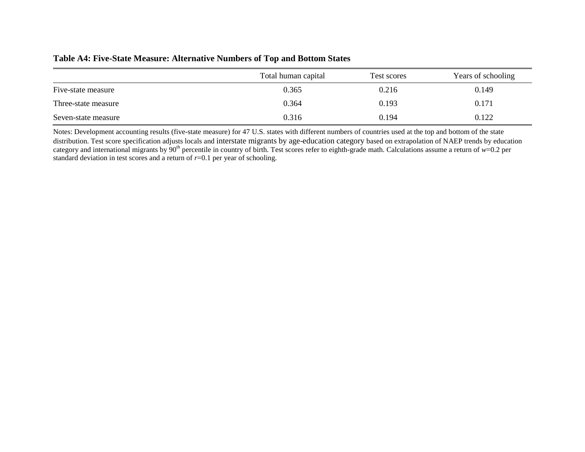|                     | Total human capital | Test scores | Years of schooling |
|---------------------|---------------------|-------------|--------------------|
| Five-state measure  | 0.365               | 0.216       | 0.149              |
| Three-state measure | 0.364               | 0.193       | 0.171              |
| Seven-state measure | 0.316               | 0.194       | 0.122              |

Notes: Development accounting results (five-state measure) for 47 U.S. states with different numbers of countries used at the top and bottom of the state distribution. Test score specification adjusts locals and interstate migrants by age-education category based on extrapolation of NAEP trends by education category and international migrants by 90<sup>th</sup> percentile in country of birth. Test scores refer to eighth-grade math. Calculations assume a return of *w*=0.2 per standard deviation in test scores and a return of  $r=0.1$  per year of schooling.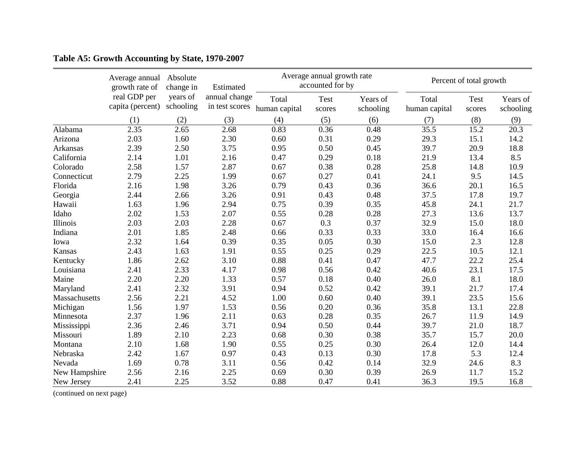|               | Average annual<br>growth rate of<br>real GDP per<br>capita (percent) | Absolute<br>change in<br>years of<br>schooling | Estimated<br>annual change<br>in test scores | Average annual growth rate<br>accounted for by |                |                       | Percent of total growth |                |                       |
|---------------|----------------------------------------------------------------------|------------------------------------------------|----------------------------------------------|------------------------------------------------|----------------|-----------------------|-------------------------|----------------|-----------------------|
|               |                                                                      |                                                |                                              | Total<br>human capital                         | Test<br>scores | Years of<br>schooling | Total<br>human capital  | Test<br>scores | Years of<br>schooling |
|               | (1)                                                                  | (2)                                            | (3)                                          | (4)                                            | (5)            | (6)                   | (7)                     | (8)            | (9)                   |
| Alabama       | 2.35                                                                 | 2.65                                           | 2.68                                         | 0.83                                           | 0.36           | 0.48                  | 35.5                    | 15.2           | 20.3                  |
| Arizona       | 2.03                                                                 | 1.60                                           | 2.30                                         | 0.60                                           | 0.31           | 0.29                  | 29.3                    | 15.1           | 14.2                  |
| Arkansas      | 2.39                                                                 | 2.50                                           | 3.75                                         | 0.95                                           | 0.50           | 0.45                  | 39.7                    | 20.9           | 18.8                  |
| California    | 2.14                                                                 | 1.01                                           | 2.16                                         | 0.47                                           | 0.29           | 0.18                  | 21.9                    | 13.4           | 8.5                   |
| Colorado      | 2.58                                                                 | 1.57                                           | 2.87                                         | 0.67                                           | 0.38           | 0.28                  | 25.8                    | 14.8           | 10.9                  |
| Connecticut   | 2.79                                                                 | 2.25                                           | 1.99                                         | 0.67                                           | 0.27           | 0.41                  | 24.1                    | 9.5            | 14.5                  |
| Florida       | 2.16                                                                 | 1.98                                           | 3.26                                         | 0.79                                           | 0.43           | 0.36                  | 36.6                    | 20.1           | 16.5                  |
| Georgia       | 2.44                                                                 | 2.66                                           | 3.26                                         | 0.91                                           | 0.43           | 0.48                  | 37.5                    | 17.8           | 19.7                  |
| Hawaii        | 1.63                                                                 | 1.96                                           | 2.94                                         | 0.75                                           | 0.39           | 0.35                  | 45.8                    | 24.1           | 21.7                  |
| Idaho         | 2.02                                                                 | 1.53                                           | 2.07                                         | 0.55                                           | 0.28           | 0.28                  | 27.3                    | 13.6           | 13.7                  |
| Illinois      | 2.03                                                                 | 2.03                                           | 2.28                                         | 0.67                                           | 0.3            | 0.37                  | 32.9                    | 15.0           | 18.0                  |
| Indiana       | 2.01                                                                 | 1.85                                           | 2.48                                         | 0.66                                           | 0.33           | 0.33                  | 33.0                    | 16.4           | 16.6                  |
| Iowa          | 2.32                                                                 | 1.64                                           | 0.39                                         | 0.35                                           | 0.05           | 0.30                  | 15.0                    | 2.3            | 12.8                  |
| Kansas        | 2.43                                                                 | 1.63                                           | 1.91                                         | 0.55                                           | 0.25           | 0.29                  | 22.5                    | 10.5           | 12.1                  |
| Kentucky      | 1.86                                                                 | 2.62                                           | 3.10                                         | 0.88                                           | 0.41           | 0.47                  | 47.7                    | 22.2           | 25.4                  |
| Louisiana     | 2.41                                                                 | 2.33                                           | 4.17                                         | 0.98                                           | 0.56           | 0.42                  | 40.6                    | 23.1           | 17.5                  |
| Maine         | 2.20                                                                 | 2.20                                           | 1.33                                         | 0.57                                           | 0.18           | 0.40                  | 26.0                    | 8.1            | 18.0                  |
| Maryland      | 2.41                                                                 | 2.32                                           | 3.91                                         | 0.94                                           | 0.52           | 0.42                  | 39.1                    | 21.7           | 17.4                  |
| Massachusetts | 2.56                                                                 | 2.21                                           | 4.52                                         | 1.00                                           | 0.60           | 0.40                  | 39.1                    | 23.5           | 15.6                  |
| Michigan      | 1.56                                                                 | 1.97                                           | 1.53                                         | 0.56                                           | 0.20           | 0.36                  | 35.8                    | 13.1           | 22.8                  |
| Minnesota     | 2.37                                                                 | 1.96                                           | 2.11                                         | 0.63                                           | 0.28           | 0.35                  | 26.7                    | 11.9           | 14.9                  |
| Mississippi   | 2.36                                                                 | 2.46                                           | 3.71                                         | 0.94                                           | 0.50           | 0.44                  | 39.7                    | 21.0           | 18.7                  |
| Missouri      | 1.89                                                                 | 2.10                                           | 2.23                                         | 0.68                                           | 0.30           | 0.38                  | 35.7                    | 15.7           | 20.0                  |
| Montana       | 2.10                                                                 | 1.68                                           | 1.90                                         | 0.55                                           | 0.25           | 0.30                  | 26.4                    | 12.0           | 14.4                  |
| Nebraska      | 2.42                                                                 | 1.67                                           | 0.97                                         | 0.43                                           | 0.13           | 0.30                  | 17.8                    | 5.3            | 12.4                  |
| Nevada        | 1.69                                                                 | 0.78                                           | 3.11                                         | 0.56                                           | 0.42           | 0.14                  | 32.9                    | 24.6           | 8.3                   |
| New Hampshire | 2.56                                                                 | 2.16                                           | 2.25                                         | 0.69                                           | 0.30           | 0.39                  | 26.9                    | 11.7           | 15.2                  |
| New Jersey    | 2.41                                                                 | 2.25                                           | 3.52                                         | 0.88                                           | 0.47           | 0.41                  | 36.3                    | 19.5           | 16.8                  |

**Table A5: Growth Accounting by State, 1970-2007**

(continued on next page)